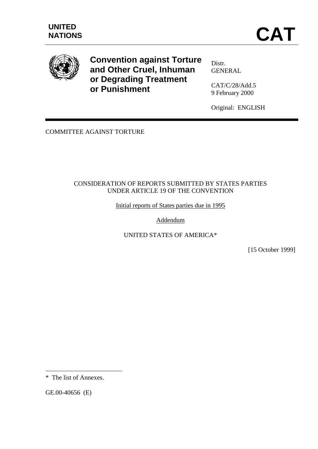

**Convention against Torture and Other Cruel, Inhuman or Degrading Treatment or Punishment**

Distr. **GENERAL** 

CAT/C/28/Add.5 9 February 2000

Original: ENGLISH

COMMITTEE AGAINST TORTURE

# CONSIDERATION OF REPORTS SUBMITTED BY STATES PARTIES UNDER ARTICLE 19 OF THE CONVENTION

Initial reports of States parties due in 1995

Addendum

UNITED STATES OF AMERICA\*

[15 October 1999]

GE.00-40656 (E)

 $\overline{a}$ 

<sup>\*</sup> The list of Annexes.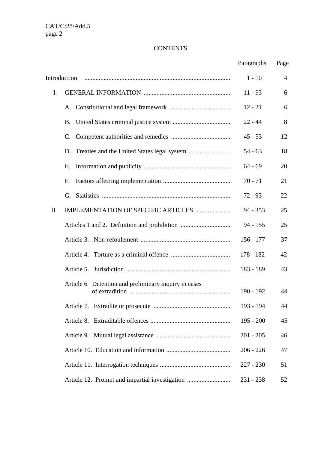# **CONTENTS**

|                                                      | Paragraphs  | Page           |
|------------------------------------------------------|-------------|----------------|
| Introduction                                         | $1 - 10$    | $\overline{4}$ |
| I.                                                   | $11 - 93$   | 6              |
|                                                      | $12 - 21$   | 6              |
| <b>B.</b>                                            | $22 - 44$   | 8              |
| C.                                                   | $45 - 53$   | 12             |
| D.                                                   | $54 - 63$   | 18             |
| Е.                                                   | $64 - 69$   | 20             |
| F.                                                   | $70 - 71$   | 21             |
|                                                      | $72 - 93$   | 22             |
| IMPLEMENTATION OF SPECIFIC ARTICLES<br>II.           | $94 - 353$  | 25             |
|                                                      | $94 - 155$  | 25             |
|                                                      | $156 - 177$ | 37             |
|                                                      | 178 - 182   | 42             |
|                                                      | 183 - 189   | 43             |
| Article 6 Detention and preliminary inquiry in cases | $190 - 192$ | 44             |
|                                                      | 193 - 194   | 44             |
|                                                      | $195 - 200$ | 45             |
|                                                      | $201 - 205$ | 46             |
|                                                      | $206 - 226$ | 47             |
|                                                      | $227 - 230$ | 51             |
|                                                      | $231 - 238$ | 52             |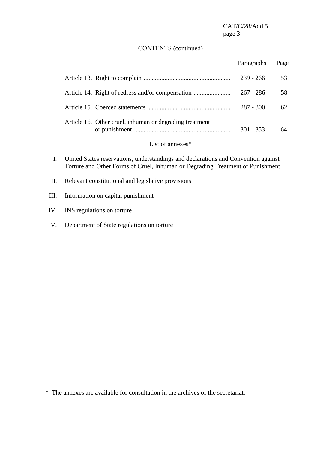#### CONTENTS (continued)

|                                                         | Paragraphs  | Page |
|---------------------------------------------------------|-------------|------|
|                                                         | $239 - 266$ | 53   |
|                                                         | $267 - 286$ | 58   |
|                                                         | $287 - 300$ | 62   |
| Article 16. Other cruel, inhuman or degrading treatment | $301 - 353$ | 64   |
| $\sim$ $\sim$ $\sim$ $\sim$ $\sim$ $\sim$               |             |      |

# List of annexes\*

- I. United States reservations, understandings and declarations and Convention against Torture and Other Forms of Cruel, Inhuman or Degrading Treatment or Punishment
- II. Relevant constitutional and legislative provisions
- III. Information on capital punishment
- IV. INS regulations on torture

 $\overline{a}$ 

V. Department of State regulations on torture

<sup>\*</sup> The annexes are available for consultation in the archives of the secretariat.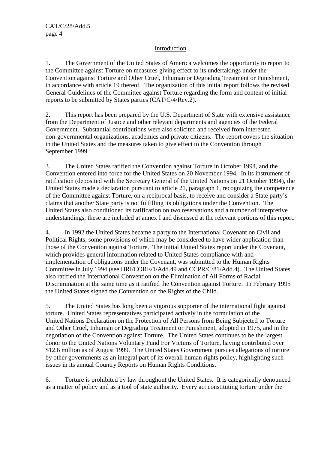#### Introduction

1. The Government of the United States of America welcomes the opportunity to report to the Committee against Torture on measures giving effect to its undertakings under the Convention against Torture and Other Cruel, Inhuman or Degrading Treatment or Punishment, in accordance with article 19 thereof. The organization of this initial report follows the revised General Guidelines of the Committee against Torture regarding the form and content of initial reports to be submitted by States parties (CAT/C/4/Rev.2).

2. This report has been prepared by the U.S. Department of State with extensive assistance from the Department of Justice and other relevant departments and agencies of the Federal Government. Substantial contributions were also solicited and received from interested non-governmental organizations, academics and private citizens. The report covers the situation in the United States and the measures taken to give effect to the Convention through September 1999.

3. The United States ratified the Convention against Torture in October 1994, and the Convention entered into force for the United States on 20 November 1994. In its instrument of ratification (deposited with the Secretary General of the United Nations on 21 October 1994), the United States made a declaration pursuant to article 21, paragraph 1, recognizing the competence of the Committee against Torture, on a reciprocal basis, to receive and consider a State party's claims that another State party is not fulfilling its obligations under the Convention. The United States also conditioned its ratification on two reservations and a number of interpretive understandings; these are included at annex I and discussed at the relevant portions of this report.

4. In 1992 the United States became a party to the International Covenant on Civil and Political Rights, some provisions of which may be considered to have wider application than those of the Convention against Torture. The initial United States report under the Covenant, which provides general information related to United States compliance with and implementation of obligations under the Covenant, was submitted to the Human Rights Committee in July 1994 (see HRI/CORE/1/Add.49 and CCPR/C/81/Add.4). The United States also ratified the International Convention on the Elimination of All Forms of Racial Discrimination at the same time as it ratified the Convention against Torture. In February 1995 the United States signed the Convention on the Rights of the Child.

5. The United States has long been a vigorous supporter of the international fight against torture. United States representatives participated actively in the formulation of the United Nations Declaration on the Protection of All Persons from Being Subjected to Torture and Other Cruel, Inhuman or Degrading Treatment or Punishment, adopted in 1975, and in the negotiation of the Convention against Torture. The United States continues to be the largest donor to the United Nations Voluntary Fund For Victims of Torture, having contributed over \$12.6 million as of August 1999. The United States Government pursues allegations of torture by other governments as an integral part of its overall human rights policy, highlighting such issues in its annual Country Reports on Human Rights Conditions.

6. Torture is prohibited by law throughout the United States. It is categorically denounced as a matter of policy and as a tool of state authority. Every act constituting torture under the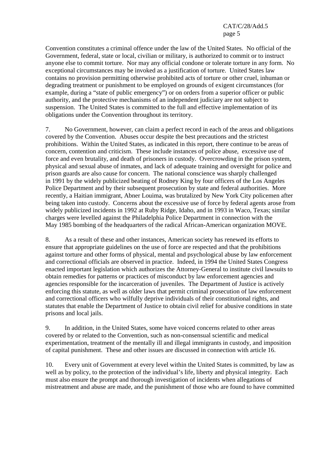Convention constitutes a criminal offence under the law of the United States. No official of the Government, federal, state or local, civilian or military, is authorized to commit or to instruct anyone else to commit torture. Nor may any official condone or tolerate torture in any form. No exceptional circumstances may be invoked as a justification of torture. United States law contains no provision permitting otherwise prohibited acts of torture or other cruel, inhuman or degrading treatment or punishment to be employed on grounds of exigent circumstances (for example, during a "state of public emergency") or on orders from a superior officer or public authority, and the protective mechanisms of an independent judiciary are not subject to suspension. The United States is committed to the full and effective implementation of its obligations under the Convention throughout its territory.

7. No Government, however, can claim a perfect record in each of the areas and obligations covered by the Convention. Abuses occur despite the best precautions and the strictest prohibitions. Within the United States, as indicated in this report, there continue to be areas of concern, contention and criticism. These include instances of police abuse, excessive use of force and even brutality, and death of prisoners in custody. Overcrowding in the prison system, physical and sexual abuse of inmates, and lack of adequate training and oversight for police and prison guards are also cause for concern. The national conscience was sharply challenged in 1991 by the widely publicized beating of Rodney King by four officers of the Los Angeles Police Department and by their subsequent prosecution by state and federal authorities. More recently, a Haitian immigrant, Abner Louima, was brutalized by New York City policemen after being taken into custody. Concerns about the excessive use of force by federal agents arose from widely publicized incidents in 1992 at Ruby Ridge, Idaho, and in 1993 in Waco, Texas; similar charges were levelled against the Philadelphia Police Department in connection with the May 1985 bombing of the headquarters of the radical African-American organization MOVE.

8. As a result of these and other instances, American society has renewed its efforts to ensure that appropriate guidelines on the use of force are respected and that the prohibitions against torture and other forms of physical, mental and psychological abuse by law enforcement and correctional officials are observed in practice. Indeed, in 1994 the United States Congress enacted important legislation which authorizes the Attorney-General to institute civil lawsuits to obtain remedies for patterns or practices of misconduct by law enforcement agencies and agencies responsible for the incarceration of juveniles. The Department of Justice is actively enforcing this statute, as well as older laws that permit criminal prosecution of law enforcement and correctional officers who wilfully deprive individuals of their constitutional rights, and statutes that enable the Department of Justice to obtain civil relief for abusive conditions in state prisons and local jails.

9. In addition, in the United States, some have voiced concerns related to other areas covered by or related to the Convention, such as non-consensual scientific and medical experimentation, treatment of the mentally ill and illegal immigrants in custody, and imposition of capital punishment. These and other issues are discussed in connection with article 16.

10. Every unit of Government at every level within the United States is committed, by law as well as by policy, to the protection of the individual's life, liberty and physical integrity. Each must also ensure the prompt and thorough investigation of incidents when allegations of mistreatment and abuse are made, and the punishment of those who are found to have committed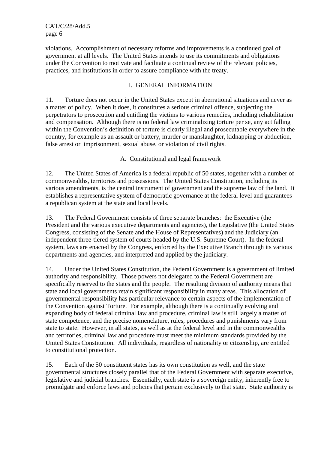violations. Accomplishment of necessary reforms and improvements is a continued goal of government at all levels. The United States intends to use its commitments and obligations under the Convention to motivate and facilitate a continual review of the relevant policies, practices, and institutions in order to assure compliance with the treaty.

### I. GENERAL INFORMATION

11. Torture does not occur in the United States except in aberrational situations and never as a matter of policy. When it does, it constitutes a serious criminal offence, subjecting the perpetrators to prosecution and entitling the victims to various remedies, including rehabilitation and compensation. Although there is no federal law criminalizing torture per se, any act falling within the Convention's definition of torture is clearly illegal and prosecutable everywhere in the country, for example as an assault or battery, murder or manslaughter, kidnapping or abduction, false arrest or imprisonment, sexual abuse, or violation of civil rights.

# A. Constitutional and legal framework

12. The United States of America is a federal republic of 50 states, together with a number of commonwealths, territories and possessions. The United States Constitution, including its various amendments, is the central instrument of government and the supreme law of the land. It establishes a representative system of democratic governance at the federal level and guarantees a republican system at the state and local levels.

13. The Federal Government consists of three separate branches: the Executive (the President and the various executive departments and agencies), the Legislative (the United States Congress, consisting of the Senate and the House of Representatives) and the Judiciary (an independent three-tiered system of courts headed by the U.S. Supreme Court). In the federal system, laws are enacted by the Congress, enforced by the Executive Branch through its various departments and agencies, and interpreted and applied by the judiciary.

14. Under the United States Constitution, the Federal Government is a government of limited authority and responsibility. Those powers not delegated to the Federal Government are specifically reserved to the states and the people. The resulting division of authority means that state and local governments retain significant responsibility in many areas. This allocation of governmental responsibility has particular relevance to certain aspects of the implementation of the Convention against Torture. For example, although there is a continually evolving and expanding body of federal criminal law and procedure, criminal law is still largely a matter of state competence, and the precise nomenclature, rules, procedures and punishments vary from state to state. However, in all states, as well as at the federal level and in the commonwealths and territories, criminal law and procedure must meet the minimum standards provided by the United States Constitution. All individuals, regardless of nationality or citizenship, are entitled to constitutional protection.

15. Each of the 50 constituent states has its own constitution as well, and the state governmental structures closely parallel that of the Federal Government with separate executive, legislative and judicial branches. Essentially, each state is a sovereign entity, inherently free to promulgate and enforce laws and policies that pertain exclusively to that state. State authority is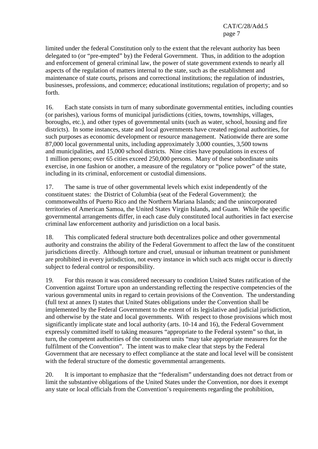limited under the federal Constitution only to the extent that the relevant authority has been delegated to (or "pre-empted" by) the Federal Government. Thus, in addition to the adoption and enforcement of general criminal law, the power of state government extends to nearly all aspects of the regulation of matters internal to the state, such as the establishment and maintenance of state courts, prisons and correctional institutions; the regulation of industries, businesses, professions, and commerce; educational institutions; regulation of property; and so forth.

16. Each state consists in turn of many subordinate governmental entities, including counties (or parishes), various forms of municipal jurisdictions (cities, towns, townships, villages, boroughs, etc.), and other types of governmental units (such as water, school, housing and fire districts). In some instances, state and local governments have created regional authorities, for such purposes as economic development or resource management. Nationwide there are some 87,000 local governmental units, including approximately 3,000 counties, 3,500 towns and municipalities, and 15,000 school districts. Nine cities have populations in excess of 1 million persons; over 65 cities exceed 250,000 persons. Many of these subordinate units exercise, in one fashion or another, a measure of the regulatory or "police power" of the state, including in its criminal, enforcement or custodial dimensions.

17. The same is true of other governmental levels which exist independently of the constituent states: the District of Columbia (seat of the Federal Government); the commonwealths of Puerto Rico and the Northern Mariana Islands; and the unincorporated territories of American Samoa, the United States Virgin Islands, and Guam. While the specific governmental arrangements differ, in each case duly constituted local authorities in fact exercise criminal law enforcement authority and jurisdiction on a local basis.

18. This complicated federal structure both decentralizes police and other governmental authority and constrains the ability of the Federal Government to affect the law of the constituent jurisdictions directly. Although torture and cruel, unusual or inhuman treatment or punishment are prohibited in every jurisdiction, not every instance in which such acts might occur is directly subject to federal control or responsibility.

19. For this reason it was considered necessary to condition United States ratification of the Convention against Torture upon an understanding reflecting the respective competencies of the various governmental units in regard to certain provisions of the Convention. The understanding (full text at annex I) states that United States obligations under the Convention shall be implemented by the Federal Government to the extent of its legislative and judicial jurisdiction, and otherwise by the state and local governments. With respect to those provisions which most significantly implicate state and local authority (arts. 10-14 and 16), the Federal Government expressly committed itself to taking measures "appropriate to the Federal system" so that, in turn, the competent authorities of the constituent units "may take appropriate measures for the fulfilment of the Convention". The intent was to make clear that steps by the Federal Government that are necessary to effect compliance at the state and local level will be consistent with the federal structure of the domestic governmental arrangements.

20. It is important to emphasize that the "federalism" understanding does not detract from or limit the substantive obligations of the United States under the Convention, nor does it exempt any state or local officials from the Convention's requirements regarding the prohibition,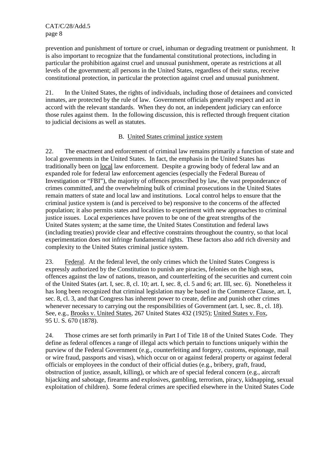prevention and punishment of torture or cruel, inhuman or degrading treatment or punishment. It is also important to recognize that the fundamental constitutional protections, including in particular the prohibition against cruel and unusual punishment, operate as restrictions at all levels of the government; all persons in the United States, regardless of their status, receive constitutional protection, in particular the protection against cruel and unusual punishment.

21. In the United States, the rights of individuals, including those of detainees and convicted inmates, are protected by the rule of law. Government officials generally respect and act in accord with the relevant standards. When they do not, an independent judiciary can enforce those rules against them. In the following discussion, this is reflected through frequent citation to judicial decisions as well as statutes.

### B. United States criminal justice system

22. The enactment and enforcement of criminal law remains primarily a function of state and local governments in the United States. In fact, the emphasis in the United States has traditionally been on local law enforcement. Despite a growing body of federal law and an expanded role for federal law enforcement agencies (especially the Federal Bureau of Investigation or "FBI"), the majority of offences proscribed by law, the vast preponderance of crimes committed, and the overwhelming bulk of criminal prosecutions in the United States remain matters of state and local law and institutions. Local control helps to ensure that the criminal justice system is (and is perceived to be) responsive to the concerns of the affected population; it also permits states and localities to experiment with new approaches to criminal justice issues. Local experiences have proven to be one of the great strengths of the United States system; at the same time, the United States Constitution and federal laws (including treaties) provide clear and effective constraints throughout the country, so that local experimentation does not infringe fundamental rights. These factors also add rich diversity and complexity to the United States criminal justice system.

23. Federal. At the federal level, the only crimes which the United States Congress is expressly authorized by the Constitution to punish are piracies, felonies on the high seas, offences against the law of nations, treason, and counterfeiting of the securities and current coin of the United States (art. I, sec. 8, cl. 10; art. I, sec. 8, cl. 5 and 6; art. III, sec. 6). Nonetheless it has long been recognized that criminal legislation may be based in the Commerce Clause, art. I, sec. 8, cl. 3, and that Congress has inherent power to create, define and punish other crimes whenever necessary to carrying out the responsibilities of Government (art. I, sec. 8., cl. 18). See, e.g., Brooks v. United States, 267 United States 432 (1925); United States v. Fox, 95 U. S. 670 (1878).

24. Those crimes are set forth primarily in Part I of Title 18 of the United States Code. They define as federal offences a range of illegal acts which pertain to functions uniquely within the purview of the Federal Government (e.g., counterfeiting and forgery, customs, espionage, mail or wire fraud, passports and visas), which occur on or against federal property or against federal officials or employees in the conduct of their official duties (e.g., bribery, graft, fraud, obstruction of justice, assault, killing), or which are of special federal concern (e.g., aircraft hijacking and sabotage, firearms and explosives, gambling, terrorism, piracy, kidnapping, sexual exploitation of children). Some federal crimes are specified elsewhere in the United States Code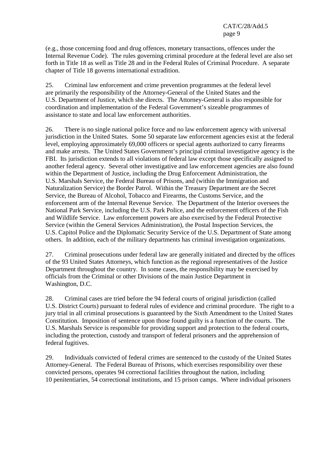(e.g., those concerning food and drug offences, monetary transactions, offences under the Internal Revenue Code). The rules governing criminal procedure at the federal level are also set forth in Title 18 as well as Title 28 and in the Federal Rules of Criminal Procedure. A separate chapter of Title 18 governs international extradition.

25. Criminal law enforcement and crime prevention programmes at the federal level are primarily the responsibility of the Attorney-General of the United States and the U.S. Department of Justice, which she directs. The Attorney-General is also responsible for coordination and implementation of the Federal Government's sizeable programmes of assistance to state and local law enforcement authorities.

26. There is no single national police force and no law enforcement agency with universal jurisdiction in the United States. Some 50 separate law enforcement agencies exist at the federal level, employing approximately 69,000 officers or special agents authorized to carry firearms and make arrests. The United States Government's principal criminal investigative agency is the FBI. Its jurisdiction extends to all violations of federal law except those specifically assigned to another federal agency. Several other investigative and law enforcement agencies are also found within the Department of Justice, including the Drug Enforcement Administration, the U.S. Marshals Service, the Federal Bureau of Prisons, and (within the Immigration and Naturalization Service) the Border Patrol. Within the Treasury Department are the Secret Service, the Bureau of Alcohol, Tobacco and Firearms, the Customs Service, and the enforcement arm of the Internal Revenue Service. The Department of the Interior oversees the National Park Service, including the U.S. Park Police, and the enforcement officers of the Fish and Wildlife Service. Law enforcement powers are also exercised by the Federal Protective Service (within the General Services Administration), the Postal Inspection Services, the U.S. Capitol Police and the Diplomatic Security Service of the U.S. Department of State among others. In addition, each of the military departments has criminal investigation organizations.

27. Criminal prosecutions under federal law are generally initiated and directed by the offices of the 93 United States Attorneys, which function as the regional representatives of the Justice Department throughout the country. In some cases, the responsibility may be exercised by officials from the Criminal or other Divisions of the main Justice Department in Washington, D.C.

28. Criminal cases are tried before the 94 federal courts of original jurisdiction (called U.S. District Courts) pursuant to federal rules of evidence and criminal procedure. The right to a jury trial in all criminal prosecutions is guaranteed by the Sixth Amendment to the United States Constitution. Imposition of sentence upon those found guilty is a function of the courts. The U.S. Marshals Service is responsible for providing support and protection to the federal courts, including the protection, custody and transport of federal prisoners and the apprehension of federal fugitives.

29. Individuals convicted of federal crimes are sentenced to the custody of the United States Attorney-General. The Federal Bureau of Prisons, which exercises responsibility over these convicted persons, operates 94 correctional facilities throughout the nation, including 10 penitentiaries, 54 correctional institutions, and 15 prison camps. Where individual prisoners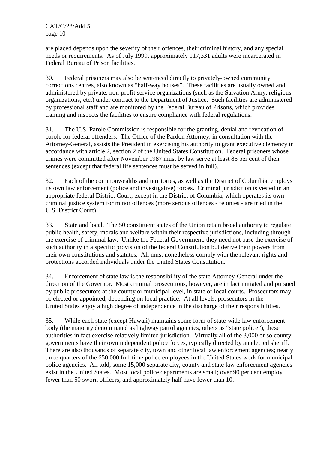are placed depends upon the severity of their offences, their criminal history, and any special needs or requirements. As of July 1999, approximately 117,331 adults were incarcerated in Federal Bureau of Prison facilities.

30. Federal prisoners may also be sentenced directly to privately-owned community corrections centres, also known as "half-way houses". These facilities are usually owned and administered by private, non-profit service organizations (such as the Salvation Army, religious organizations, etc.) under contract to the Department of Justice. Such facilities are administered by professional staff and are monitored by the Federal Bureau of Prisons, which provides training and inspects the facilities to ensure compliance with federal regulations.

31. The U.S. Parole Commission is responsible for the granting, denial and revocation of parole for federal offenders. The Office of the Pardon Attorney, in consultation with the Attorney-General, assists the President in exercising his authority to grant executive clemency in accordance with article 2, section 2 of the United States Constitution. Federal prisoners whose crimes were committed after November 1987 must by law serve at least 85 per cent of their sentences (except that federal life sentences must be served in full).

32. Each of the commonwealths and territories, as well as the District of Columbia, employs its own law enforcement (police and investigative) forces. Criminal jurisdiction is vested in an appropriate federal District Court, except in the District of Columbia, which operates its own criminal justice system for minor offences (more serious offences - felonies - are tried in the U.S. District Court).

33. State and local. The 50 constituent states of the Union retain broad authority to regulate public health, safety, morals and welfare within their respective jurisdictions, including through the exercise of criminal law. Unlike the Federal Government, they need not base the exercise of such authority in a specific provision of the federal Constitution but derive their powers from their own constitutions and statutes. All must nonetheless comply with the relevant rights and protections accorded individuals under the United States Constitution.

34. Enforcement of state law is the responsibility of the state Attorney-General under the direction of the Governor. Most criminal prosecutions, however, are in fact initiated and pursued by public prosecutors at the county or municipal level, in state or local courts. Prosecutors may be elected or appointed, depending on local practice. At all levels, prosecutors in the United States enjoy a high degree of independence in the discharge of their responsibilities.

35. While each state (except Hawaii) maintains some form of state-wide law enforcement body (the majority denominated as highway patrol agencies, others as "state police"), these authorities in fact exercise relatively limited jurisdiction. Virtually all of the 3,000 or so county governments have their own independent police forces, typically directed by an elected sheriff. There are also thousands of separate city, town and other local law enforcement agencies; nearly three quarters of the 650,000 full-time police employees in the United States work for municipal police agencies. All told, some 15,000 separate city, county and state law enforcement agencies exist in the United States. Most local police departments are small; over 90 per cent employ fewer than 50 sworn officers, and approximately half have fewer than 10.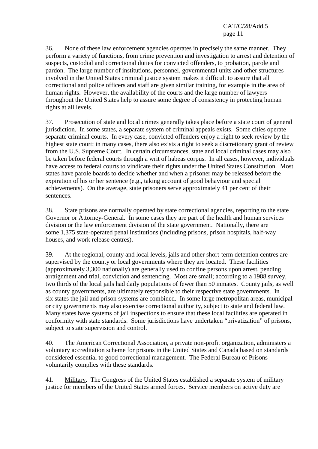36. None of these law enforcement agencies operates in precisely the same manner. They perform a variety of functions, from crime prevention and investigation to arrest and detention of suspects, custodial and correctional duties for convicted offenders, to probation, parole and pardon. The large number of institutions, personnel, governmental units and other structures involved in the United States criminal justice system makes it difficult to assure that all correctional and police officers and staff are given similar training, for example in the area of human rights. However, the availability of the courts and the large number of lawyers throughout the United States help to assure some degree of consistency in protecting human rights at all levels.

37. Prosecution of state and local crimes generally takes place before a state court of general jurisdiction. In some states, a separate system of criminal appeals exists. Some cities operate separate criminal courts. In every case, convicted offenders enjoy a right to seek review by the highest state court; in many cases, there also exists a right to seek a discretionary grant of review from the U.S. Supreme Court. In certain circumstances, state and local criminal cases may also be taken before federal courts through a writ of habeas corpus. In all cases, however, individuals have access to federal courts to vindicate their rights under the United States Constitution. Most states have parole boards to decide whether and when a prisoner may be released before the expiration of his or her sentence (e.g., taking account of good behaviour and special achievements). On the average, state prisoners serve approximately 41 per cent of their sentences.

38. State prisons are normally operated by state correctional agencies, reporting to the state Governor or Attorney-General. In some cases they are part of the health and human services division or the law enforcement division of the state government. Nationally, there are some 1,375 state-operated penal institutions (including prisons, prison hospitals, half-way houses, and work release centres).

39. At the regional, county and local levels, jails and other short-term detention centres are supervised by the county or local governments where they are located. These facilities (approximately 3,300 nationally) are generally used to confine persons upon arrest, pending arraignment and trial, conviction and sentencing. Most are small; according to a 1988 survey, two thirds of the local jails had daily populations of fewer than 50 inmates. County jails, as well as county governments, are ultimately responsible to their respective state governments. In six states the jail and prison systems are combined. In some large metropolitan areas, municipal or city governments may also exercise correctional authority, subject to state and federal law. Many states have systems of jail inspections to ensure that these local facilities are operated in conformity with state standards. Some jurisdictions have undertaken "privatization" of prisons, subject to state supervision and control.

40. The American Correctional Association, a private non-profit organization, administers a voluntary accreditation scheme for prisons in the United States and Canada based on standards considered essential to good correctional management. The Federal Bureau of Prisons voluntarily complies with these standards.

41. Military. The Congress of the United States established a separate system of military justice for members of the United States armed forces. Service members on active duty are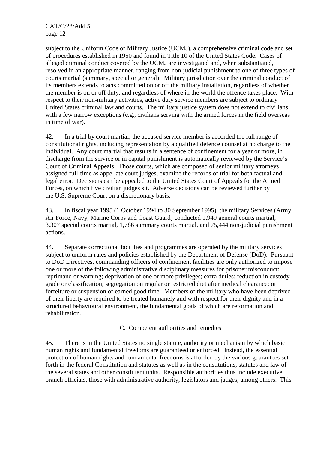subject to the Uniform Code of Military Justice (UCMJ), a comprehensive criminal code and set of procedures established in 1950 and found in Title 10 of the United States Code. Cases of alleged criminal conduct covered by the UCMJ are investigated and, when substantiated, resolved in an appropriate manner, ranging from non-judicial punishment to one of three types of courts martial (summary, special or general). Military jurisdiction over the criminal conduct of its members extends to acts committed on or off the military installation, regardless of whether the member is on or off duty, and regardless of where in the world the offence takes place. With respect to their non-military activities, active duty service members are subject to ordinary United States criminal law and courts. The military justice system does not extend to civilians with a few narrow exceptions (e.g., civilians serving with the armed forces in the field overseas in time of war).

42. In a trial by court martial, the accused service member is accorded the full range of constitutional rights, including representation by a qualified defence counsel at no charge to the individual. Any court martial that results in a sentence of confinement for a year or more, in discharge from the service or in capital punishment is automatically reviewed by the Service's Court of Criminal Appeals. Those courts, which are composed of senior military attorneys assigned full-time as appellate court judges, examine the records of trial for both factual and legal error. Decisions can be appealed to the United States Court of Appeals for the Armed Forces, on which five civilian judges sit. Adverse decisions can be reviewed further by the U.S. Supreme Court on a discretionary basis.

43. In fiscal year 1995 (1 October 1994 to 30 September 1995), the military Services (Army, Air Force, Navy, Marine Corps and Coast Guard) conducted 1,949 general courts martial, 3,307 special courts martial, 1,786 summary courts martial, and 75,444 non-judicial punishment actions.

44. Separate correctional facilities and programmes are operated by the military services subject to uniform rules and policies established by the Department of Defense (DoD). Pursuant to DoD Directives, commanding officers of confinement facilities are only authorized to impose one or more of the following administrative disciplinary measures for prisoner misconduct: reprimand or warning; deprivation of one or more privileges; extra duties; reduction in custody grade or classification; segregation on regular or restricted diet after medical clearance; or forfeiture or suspension of earned good time. Members of the military who have been deprived of their liberty are required to be treated humanely and with respect for their dignity and in a structured behavioural environment, the fundamental goals of which are reformation and rehabilitation.

# C. Competent authorities and remedies

45. There is in the United States no single statute, authority or mechanism by which basic human rights and fundamental freedoms are guaranteed or enforced. Instead, the essential protection of human rights and fundamental freedoms is afforded by the various guarantees set forth in the federal Constitution and statutes as well as in the constitutions, statutes and law of the several states and other constituent units. Responsible authorities thus include executive branch officials, those with administrative authority, legislators and judges, among others. This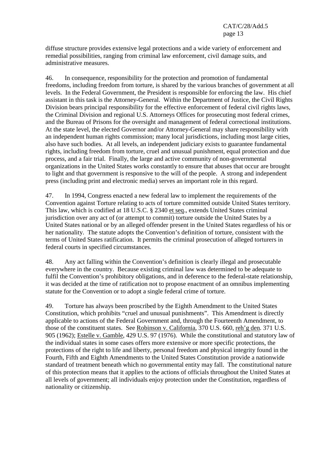diffuse structure provides extensive legal protections and a wide variety of enforcement and remedial possibilities, ranging from criminal law enforcement, civil damage suits, and administrative measures.

46. In consequence, responsibility for the protection and promotion of fundamental freedoms, including freedom from torture, is shared by the various branches of government at all levels. In the Federal Government, the President is responsible for enforcing the law. His chief assistant in this task is the Attorney-General. Within the Department of Justice, the Civil Rights Division bears principal responsibility for the effective enforcement of federal civil rights laws, the Criminal Division and regional U.S. Attorneys Offices for prosecuting most federal crimes, and the Bureau of Prisons for the oversight and management of federal correctional institutions. At the state level, the elected Governor and/or Attorney-General may share responsibility with an independent human rights commission; many local jurisdictions, including most large cities, also have such bodies. At all levels, an independent judiciary exists to guarantee fundamental rights, including freedom from torture, cruel and unusual punishment, equal protection and due process, and a fair trial. Finally, the large and active community of non-governmental organizations in the United States works constantly to ensure that abuses that occur are brought to light and that government is responsive to the will of the people. A strong and independent press (including print and electronic media) serves an important role in this regard.

47. In 1994, Congress enacted a new federal law to implement the requirements of the Convention against Torture relating to acts of torture committed outside United States territory. This law, which is codified at 18 U.S.C. § 2340 et seq., extends United States criminal jurisdiction over any act of (or attempt to commit) torture outside the United States by a United States national or by an alleged offender present in the United States regardless of his or her nationality. The statute adopts the Convention's definition of torture, consistent with the terms of United States ratification. It permits the criminal prosecution of alleged torturers in federal courts in specified circumstances.

48. Any act falling within the Convention's definition is clearly illegal and prosecutable everywhere in the country. Because existing criminal law was determined to be adequate to fulfil the Convention's prohibitory obligations, and in deference to the federal-state relationship, it was decided at the time of ratification not to propose enactment of an omnibus implementing statute for the Convention or to adopt a single federal crime of torture.

49. Torture has always been proscribed by the Eighth Amendment to the United States Constitution, which prohibits "cruel and unusual punishments". This Amendment is directly applicable to actions of the Federal Government and, through the Fourteenth Amendment, to those of the constituent states. See Robinson v. California, 370 U.S. 660, reh'g den. 371 U.S. 905 (1962); Estelle v. Gamble, 429 U.S. 97 (1976). While the constitutional and statutory law of the individual states in some cases offers more extensive or more specific protections, the protections of the right to life and liberty, personal freedom and physical integrity found in the Fourth, Fifth and Eighth Amendments to the United States Constitution provide a nationwide standard of treatment beneath which no governmental entity may fall. The constitutional nature of this protection means that it applies to the actions of officials throughout the United States at all levels of government; all individuals enjoy protection under the Constitution, regardless of nationality or citizenship.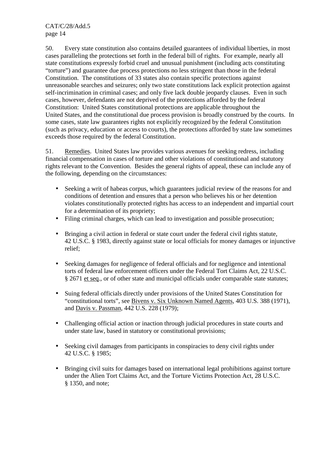50. Every state constitution also contains detailed guarantees of individual liberties, in most cases paralleling the protections set forth in the federal bill of rights. For example, nearly all state constitutions expressly forbid cruel and unusual punishment (including acts constituting "torture") and guarantee due process protections no less stringent than those in the federal Constitution. The constitutions of 33 states also contain specific protections against unreasonable searches and seizures; only two state constitutions lack explicit protection against self-incrimination in criminal cases; and only five lack double jeopardy clauses. Even in such cases, however, defendants are not deprived of the protections afforded by the federal Constitution: United States constitutional protections are applicable throughout the United States, and the constitutional due process provision is broadly construed by the courts. In some cases, state law guarantees rights not explicitly recognized by the federal Constitution (such as privacy, education or access to courts), the protections afforded by state law sometimes exceeds those required by the federal Constitution.

51. Remedies. United States law provides various avenues for seeking redress, including financial compensation in cases of torture and other violations of constitutional and statutory rights relevant to the Convention. Besides the general rights of appeal, these can include any of the following, depending on the circumstances:

- Seeking a writ of habeas corpus, which guarantees judicial review of the reasons for and conditions of detention and ensures that a person who believes his or her detention violates constitutionally protected rights has access to an independent and impartial court for a determination of its propriety;
- Filing criminal charges, which can lead to investigation and possible prosecution;
- Bringing a civil action in federal or state court under the federal civil rights statute, 42 U.S.C. § 1983, directly against state or local officials for money damages or injunctive relief;
- Seeking damages for negligence of federal officials and for negligence and intentional torts of federal law enforcement officers under the Federal Tort Claims Act, 22 U.S.C. § 2671 et seq., or of other state and municipal officials under comparable state statutes;
- Suing federal officials directly under provisions of the United States Constitution for "constitutional torts", see Bivens v. Six Unknown Named Agents, 403 U.S. 388 (1971), and Davis v. Passman, 442 U.S. 228 (1979);
- Challenging official action or inaction through judicial procedures in state courts and under state law, based in statutory or constitutional provisions;
- Seeking civil damages from participants in conspiracies to deny civil rights under 42 U.S.C. § 1985;
- Bringing civil suits for damages based on international legal prohibitions against torture under the Alien Tort Claims Act, and the Torture Victims Protection Act, 28 U.S.C. § 1350, and note;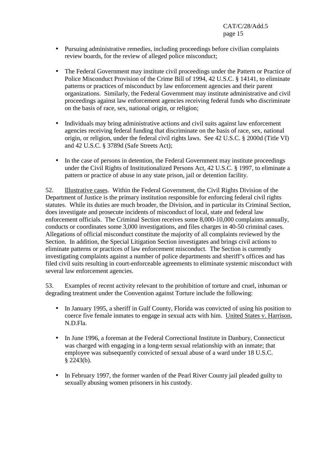- Pursuing administrative remedies, including proceedings before civilian complaints review boards, for the review of alleged police misconduct;
- The Federal Government may institute civil proceedings under the Pattern or Practice of Police Misconduct Provision of the Crime Bill of 1994, 42 U.S.C. § 14141, to eliminate patterns or practices of misconduct by law enforcement agencies and their parent organizations. Similarly, the Federal Government may institute administrative and civil proceedings against law enforcement agencies receiving federal funds who discriminate on the basis of race, sex, national origin, or religion;
- Individuals may bring administrative actions and civil suits against law enforcement agencies receiving federal funding that discriminate on the basis of race, sex, national origin, or religion, under the federal civil rights laws. See 42 U.S.C. § 2000d (Title VI) and 42 U.S.C. § 3789d (Safe Streets Act);
- In the case of persons in detention, the Federal Government may institute proceedings under the Civil Rights of Institutionalized Persons Act, 42 U.S.C. § 1997, to eliminate a pattern or practice of abuse in any state prison, jail or detention facility.

52. Illustrative cases. Within the Federal Government, the Civil Rights Division of the Department of Justice is the primary institution responsible for enforcing federal civil rights statutes. While its duties are much broader, the Division, and in particular its Criminal Section, does investigate and prosecute incidents of misconduct of local, state and federal law enforcement officials. The Criminal Section receives some 8,000-10,000 complaints annually, conducts or coordinates some 3,000 investigations, and files charges in 40-50 criminal cases. Allegations of official misconduct constitute the majority of all complaints reviewed by the Section. In addition, the Special Litigation Section investigates and brings civil actions to eliminate patterns or practices of law enforcement misconduct. The Section is currently investigating complaints against a number of police departments and sheriff's offices and has filed civil suits resulting in court-enforceable agreements to eliminate systemic misconduct with several law enforcement agencies.

53. Examples of recent activity relevant to the prohibition of torture and cruel, inhuman or degrading treatment under the Convention against Torture include the following:

- In January 1995, a sheriff in Gulf County, Florida was convicted of using his position to coerce five female inmates to engage in sexual acts with him. United States v. Harrison, N.D.Fla.
- In June 1996, a foreman at the Federal Correctional Institute in Danbury, Connecticut was charged with engaging in a long-term sexual relationship with an inmate; that employee was subsequently convicted of sexual abuse of a ward under 18 U.S.C. § 2243(b).
- In February 1997, the former warden of the Pearl River County jail pleaded guilty to sexually abusing women prisoners in his custody.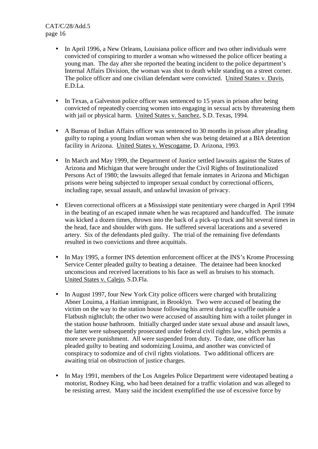- In April 1996, a New Orleans, Louisiana police officer and two other individuals were convicted of conspiring to murder a woman who witnessed the police officer beating a young man. The day after she reported the beating incident to the police department's Internal Affairs Division, the woman was shot to death while standing on a street corner. The police officer and one civilian defendant were convicted. United States v. Davis, E.D.La.
- In Texas, a Galveston police officer was sentenced to 15 years in prison after being convicted of repeatedly coercing women into engaging in sexual acts by threatening them with jail or physical harm. United States v. Sanchez, S.D. Texas, 1994.
- A Bureau of Indian Affairs officer was sentenced to 30 months in prison after pleading guilty to raping a young Indian woman when she was being detained at a BIA detention facility in Arizona. United States v. Wescogame, D. Arizona, 1993.
- In March and May 1999, the Department of Justice settled lawsuits against the States of Arizona and Michigan that were brought under the Civil Rights of Institutionalized Persons Act of 1980; the lawsuits alleged that female inmates in Arizona and Michigan prisons were being subjected to improper sexual conduct by correctional officers, including rape, sexual assault, and unlawful invasion of privacy.
- Eleven correctional officers at a Mississippi state penitentiary were charged in April 1994 in the beating of an escaped inmate when he was recaptured and handcuffed. The inmate was kicked a dozen times, thrown into the back of a pick-up truck and hit several times in the head, face and shoulder with guns. He suffered several lacerations and a severed artery. Six of the defendants pled guilty. The trial of the remaining five defendants resulted in two convictions and three acquittals.
- In May 1995, a former INS detention enforcement officer at the INS's Krome Processing Service Center pleaded guilty to beating a detainee. The detainee had been knocked unconscious and received lacerations to his face as well as bruises to his stomach. United States v. Calejo, S.D.Fla.
- In August 1997, four New York City police officers were charged with brutalizing Abner Louima, a Haitian immigrant, in Brooklyn. Two were accused of beating the victim on the way to the station house following his arrest during a scuffle outside a Flatbush nightclub; the other two were accused of assaulting him with a toilet plunger in the station house bathroom. Initially charged under state sexual abuse and assault laws, the latter were subsequently prosecuted under federal civil rights law, which permits a more severe punishment. All were suspended from duty. To date, one officer has pleaded guilty to beating and sodomizing Louima, and another was convicted of conspiracy to sodomize and of civil rights violations. Two additional officers are awaiting trial on obstruction of justice charges.
- In May 1991, members of the Los Angeles Police Department were videotaped beating a motorist, Rodney King, who had been detained for a traffic violation and was alleged to be resisting arrest. Many said the incident exemplified the use of excessive force by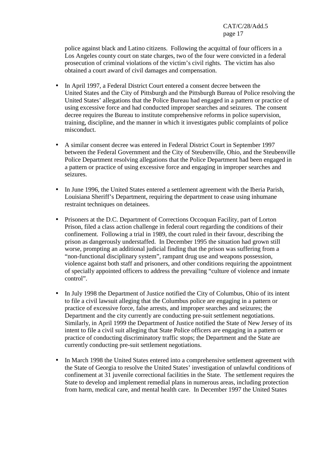police against black and Latino citizens. Following the acquittal of four officers in a Los Angeles county court on state charges, two of the four were convicted in a federal prosecution of criminal violations of the victim's civil rights. The victim has also obtained a court award of civil damages and compensation.

- In April 1997, a Federal District Court entered a consent decree between the United States and the City of Pittsburgh and the Pittsburgh Bureau of Police resolving the United States' allegations that the Police Bureau had engaged in a pattern or practice of using excessive force and had conducted improper searches and seizures. The consent decree requires the Bureau to institute comprehensive reforms in police supervision, training, discipline, and the manner in which it investigates public complaints of police misconduct.
- A similar consent decree was entered in Federal District Court in September 1997 between the Federal Government and the City of Steubenville, Ohio, and the Steubenville Police Department resolving allegations that the Police Department had been engaged in a pattern or practice of using excessive force and engaging in improper searches and seizures.
- In June 1996, the United States entered a settlement agreement with the Iberia Parish, Louisiana Sheriff's Department, requiring the department to cease using inhumane restraint techniques on detainees.
- Prisoners at the D.C. Department of Corrections Occoquan Facility, part of Lorton Prison, filed a class action challenge in federal court regarding the conditions of their confinement. Following a trial in 1989, the court ruled in their favour, describing the prison as dangerously understaffed. In December 1995 the situation had grown still worse, prompting an additional judicial finding that the prison was suffering from a "non-functional disciplinary system", rampant drug use and weapons possession, violence against both staff and prisoners, and other conditions requiring the appointment of specially appointed officers to address the prevailing "culture of violence and inmate control".
- In July 1998 the Department of Justice notified the City of Columbus, Ohio of its intent to file a civil lawsuit alleging that the Columbus police are engaging in a pattern or practice of excessive force, false arrests, and improper searches and seizures; the Department and the city currently are conducting pre-suit settlement negotiations. Similarly, in April 1999 the Department of Justice notified the State of New Jersey of its intent to file a civil suit alleging that State Police officers are engaging in a pattern or practice of conducting discriminatory traffic stops; the Department and the State are currently conducting pre-suit settlement negotiations.
- In March 1998 the United States entered into a comprehensive settlement agreement with the State of Georgia to resolve the United States' investigation of unlawful conditions of confinement at 31 juvenile correctional facilities in the State. The settlement requires the State to develop and implement remedial plans in numerous areas, including protection from harm, medical care, and mental health care. In December 1997 the United States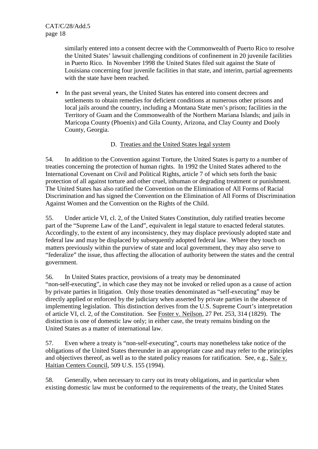similarly entered into a consent decree with the Commonwealth of Puerto Rico to resolve the United States' lawsuit challenging conditions of confinement in 20 juvenile facilities in Puerto Rico. In November 1998 the United States filed suit against the State of Louisiana concerning four juvenile facilities in that state, and interim, partial agreements with the state have been reached.

• In the past several years, the United States has entered into consent decrees and settlements to obtain remedies for deficient conditions at numerous other prisons and local jails around the country, including a Montana State men's prison; facilities in the Territory of Guam and the Commonwealth of the Northern Mariana Islands; and jails in Maricopa County (Phoenix) and Gila County, Arizona, and Clay County and Dooly County, Georgia.

# D. Treaties and the United States legal system

54. In addition to the Convention against Torture, the United States is party to a number of treaties concerning the protection of human rights. In 1992 the United States adhered to the International Covenant on Civil and Political Rights, article 7 of which sets forth the basic protection of all against torture and other cruel, inhuman or degrading treatment or punishment. The United States has also ratified the Convention on the Elimination of All Forms of Racial Discrimination and has signed the Convention on the Elimination of All Forms of Discrimination Against Women and the Convention on the Rights of the Child.

55. Under article VI, cl. 2, of the United States Constitution, duly ratified treaties become part of the "Supreme Law of the Land", equivalent in legal stature to enacted federal statutes. Accordingly, to the extent of any inconsistency, they may displace previously adopted state and federal law and may be displaced by subsequently adopted federal law. Where they touch on matters previously within the purview of state and local government, they may also serve to "federalize" the issue, thus affecting the allocation of authority between the states and the central government.

56. In United States practice, provisions of a treaty may be denominated "non-self-executing", in which case they may not be invoked or relied upon as a cause of action by private parties in litigation. Only those treaties denominated as "self-executing" may be directly applied or enforced by the judiciary when asserted by private parties in the absence of implementing legislation. This distinction derives from the U.S. Supreme Court's interpretation of article VI, cl. 2, of the Constitution. See Foster v. Neilson, 27 Pet. 253, 314 (1829). The distinction is one of domestic law only; in either case, the treaty remains binding on the United States as a matter of international law.

57. Even where a treaty is "non-self-executing", courts may nonetheless take notice of the obligations of the United States thereunder in an appropriate case and may refer to the principles and objectives thereof, as well as to the stated policy reasons for ratification. See, e.g., Sale v. Haitian Centers Council, 509 U.S. 155 (1994).

58. Generally, when necessary to carry out its treaty obligations, and in particular when existing domestic law must be conformed to the requirements of the treaty, the United States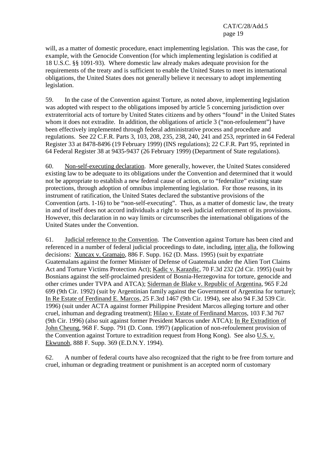will, as a matter of domestic procedure, enact implementing legislation. This was the case, for example, with the Genocide Convention (for which implementing legislation is codified at 18 U.S.C. §§ 1091-93). Where domestic law already makes adequate provision for the requirements of the treaty and is sufficient to enable the United States to meet its international obligations, the United States does not generally believe it necessary to adopt implementing legislation.

59. In the case of the Convention against Torture, as noted above, implementing legislation was adopted with respect to the obligations imposed by article 5 concerning jurisdiction over extraterritorial acts of torture by United States citizens and by others "found" in the United States whom it does not extradite. In addition, the obligations of article 3 ("non-refoulement") have been effectively implemented through federal administrative process and procedure and regulations. See 22 C.F.R. Parts 3, 103, 208, 235, 238, 240, 241 and 253, reprinted in 64 Federal Register 33 at 8478-8496 (19 February 1999) (INS regulations); 22 C.F.R. Part 95, reprinted in 64 Federal Register 38 at 9435-9437 (26 February 1999) (Department of State regulations).

60. Non-self-executing declaration. More generally, however, the United States considered existing law to be adequate to its obligations under the Convention and determined that it would not be appropriate to establish a new federal cause of action, or to "federalize" existing state protections, through adoption of omnibus implementing legislation. For those reasons, in its instrument of ratification, the United States declared the substantive provisions of the Convention (arts. 1-16) to be "non-self-executing". Thus, as a matter of domestic law, the treaty in and of itself does not accord individuals a right to seek judicial enforcement of its provisions. However, this declaration in no way limits or circumscribes the international obligations of the United States under the Convention.

61. Judicial reference to the Convention. The Convention against Torture has been cited and referenced in a number of federal judicial proceedings to date, including, inter alia, the following decisions: Xuncax v. Gramajo, 886 F. Supp. 162 (D. Mass. 1995) (suit by expatriate Guatemalans against the former Minister of Defense of Guatemala under the Alien Tort Claims Act and Torture Victims Protection Act); Kadic v. Karazdic, 70 F.3d 232 (2d Cir. 1995) (suit by Bosnians against the self-proclaimed president of Bosnia-Herzegovina for torture, genocide and other crimes under TVPA and ATCA); Siderman de Blake v. Republic of Argentina, 965 F.2d 699 (9th Cir. 1992) (suit by Argentinian family against the Government of Argentina for torture); In Re Estate of Ferdinand E. Marcos, 25 F.3rd 1467 (9th Cir. 1994), see also 94 F.3d 539 Cir. 1996) (suit under ACTA against former Philippine President Marcos alleging torture and other cruel, inhuman and degrading treatment); Hilao v. Estate of Ferdinand Marcos, 103 F.3d 767 (9th Cir. 1996) (also suit against former President Marcos under ATCA); In Re Extradition of John Cheung, 968 F. Supp. 791 (D. Conn. 1997) (application of non-refoulement provision of the Convention against Torture to extradition request from Hong Kong). See also U.S. v. Ekwunoh, 888 F. Supp. 369 (E.D.N.Y. 1994).

62. A number of federal courts have also recognized that the right to be free from torture and cruel, inhuman or degrading treatment or punishment is an accepted norm of customary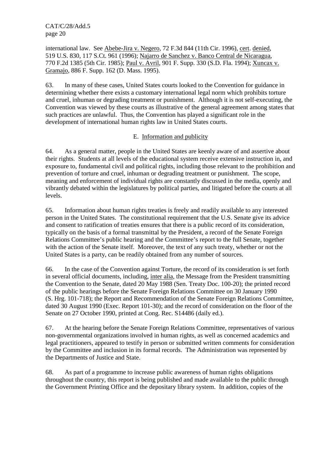international law. See Abebe-Jira v. Negero, 72 F.3d 844 (11th Cir. 1996), cert. denied, 519 U.S. 830, 117 S.Ct. 961 (1996); Najarro de Sanchez v. Banco Central de Nicaragua, 770 F.2d 1385 (5th Cir. 1985); Paul v. Avril, 901 F. Supp. 330 (S.D. Fla. 1994); Xuncax v. Gramajo, 886 F. Supp. 162 (D. Mass. 1995).

63. In many of these cases, United States courts looked to the Convention for guidance in determining whether there exists a customary international legal norm which prohibits torture and cruel, inhuman or degrading treatment or punishment. Although it is not self-executing, the Convention was viewed by these courts as illustrative of the general agreement among states that such practices are unlawful. Thus, the Convention has played a significant role in the development of international human rights law in United States courts.

# E. Information and publicity

64. As a general matter, people in the United States are keenly aware of and assertive about their rights. Students at all levels of the educational system receive extensive instruction in, and exposure to, fundamental civil and political rights, including those relevant to the prohibition and prevention of torture and cruel, inhuman or degrading treatment or punishment. The scope, meaning and enforcement of individual rights are constantly discussed in the media, openly and vibrantly debated within the legislatures by political parties, and litigated before the courts at all levels.

65. Information about human rights treaties is freely and readily available to any interested person in the United States. The constitutional requirement that the U.S. Senate give its advice and consent to ratification of treaties ensures that there is a public record of its consideration, typically on the basis of a formal transmittal by the President, a record of the Senate Foreign Relations Committee's public hearing and the Committee's report to the full Senate, together with the action of the Senate itself. Moreover, the text of any such treaty, whether or not the United States is a party, can be readily obtained from any number of sources.

66. In the case of the Convention against Torture, the record of its consideration is set forth in several official documents, including, inter alia, the Message from the President transmitting the Convention to the Senate, dated 20 May 1988 (Sen. Treaty Doc. 100-20); the printed record of the public hearings before the Senate Foreign Relations Committee on 30 January 1990 (S. Hrg. 101-718); the Report and Recommendation of the Senate Foreign Relations Committee, dated 30 August 1990 (Exec. Report 101-30); and the record of consideration on the floor of the Senate on 27 October 1990, printed at Cong. Rec. S14486 (daily ed.).

67. At the hearing before the Senate Foreign Relations Committee, representatives of various non-governmental organizations involved in human rights, as well as concerned academics and legal practitioners, appeared to testify in person or submitted written comments for consideration by the Committee and inclusion in its formal records. The Administration was represented by the Departments of Justice and State.

68. As part of a programme to increase public awareness of human rights obligations throughout the country, this report is being published and made available to the public through the Government Printing Office and the depositary library system. In addition, copies of the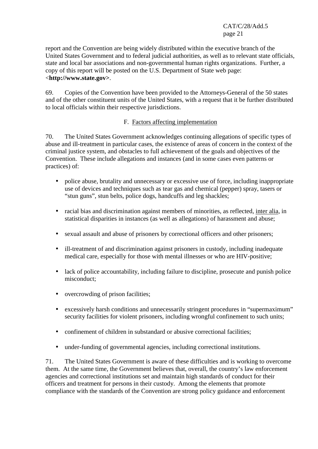report and the Convention are being widely distributed within the executive branch of the United States Government and to federal judicial authorities, as well as to relevant state officials, state and local bar associations and non-governmental human rights organizations. Further, a copy of this report will be posted on the U.S. Department of State web page: <**http://www.state.gov>**.

69. Copies of the Convention have been provided to the Attorneys-General of the 50 states and of the other constituent units of the United States, with a request that it be further distributed to local officials within their respective jurisdictions.

### F. Factors affecting implementation

70. The United States Government acknowledges continuing allegations of specific types of abuse and ill-treatment in particular cases, the existence of areas of concern in the context of the criminal justice system, and obstacles to full achievement of the goals and objectives of the Convention. These include allegations and instances (and in some cases even patterns or practices) of:

- police abuse, brutality and unnecessary or excessive use of force, including inappropriate use of devices and techniques such as tear gas and chemical (pepper) spray, tasers or "stun guns", stun belts, police dogs, handcuffs and leg shackles;
- racial bias and discrimination against members of minorities, as reflected, inter alia, in statistical disparities in instances (as well as allegations) of harassment and abuse;
- sexual assault and abuse of prisoners by correctional officers and other prisoners;
- ill-treatment of and discrimination against prisoners in custody, including inadequate medical care, especially for those with mental illnesses or who are HIV-positive;
- lack of police accountability, including failure to discipline, prosecute and punish police misconduct;
- overcrowding of prison facilities;
- excessively harsh conditions and unnecessarily stringent procedures in "supermaximum" security facilities for violent prisoners, including wrongful confinement to such units;
- confinement of children in substandard or abusive correctional facilities:
- under-funding of governmental agencies, including correctional institutions.

71. The United States Government is aware of these difficulties and is working to overcome them. At the same time, the Government believes that, overall, the country's law enforcement agencies and correctional institutions set and maintain high standards of conduct for their officers and treatment for persons in their custody. Among the elements that promote compliance with the standards of the Convention are strong policy guidance and enforcement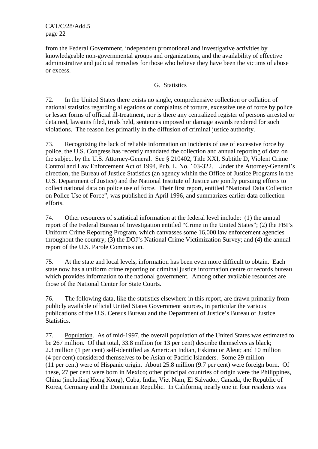from the Federal Government, independent promotional and investigative activities by knowledgeable non-governmental groups and organizations, and the availability of effective administrative and judicial remedies for those who believe they have been the victims of abuse or excess.

#### G. Statistics

72. In the United States there exists no single, comprehensive collection or collation of national statistics regarding allegations or complaints of torture, excessive use of force by police or lesser forms of official ill-treatment, nor is there any centralized register of persons arrested or detained, lawsuits filed, trials held, sentences imposed or damage awards rendered for such violations. The reason lies primarily in the diffusion of criminal justice authority.

73. Recognizing the lack of reliable information on incidents of use of excessive force by police, the U.S. Congress has recently mandated the collection and annual reporting of data on the subject by the U.S. Attorney-General. See § 210402, Title XXI, Subtitle D, Violent Crime Control and Law Enforcement Act of 1994, Pub. L. No. 103-322. Under the Attorney-General's direction, the Bureau of Justice Statistics (an agency within the Office of Justice Programs in the U.S. Department of Justice) and the National Institute of Justice are jointly pursuing efforts to collect national data on police use of force. Their first report, entitled "National Data Collection on Police Use of Force", was published in April 1996, and summarizes earlier data collection efforts.

74. Other resources of statistical information at the federal level include: (1) the annual report of the Federal Bureau of Investigation entitled "Crime in the United States"; (2) the FBI's Uniform Crime Reporting Program, which canvasses some 16,000 law enforcement agencies throughout the country; (3) the DOJ's National Crime Victimization Survey; and (4) the annual report of the U.S. Parole Commission.

75. At the state and local levels, information has been even more difficult to obtain. Each state now has a uniform crime reporting or criminal justice information centre or records bureau which provides information to the national government. Among other available resources are those of the National Center for State Courts.

76. The following data, like the statistics elsewhere in this report, are drawn primarily from publicly available official United States Government sources, in particular the various publications of the U.S. Census Bureau and the Department of Justice's Bureau of Justice **Statistics** 

77. Population. As of mid-1997, the overall population of the United States was estimated to be 267 million. Of that total, 33.8 million (or 13 per cent) describe themselves as black; 2.3 million (1 per cent) self-identified as American Indian, Eskimo or Aleut; and 10 million (4 per cent) considered themselves to be Asian or Pacific Islanders. Some 29 million (11 per cent) were of Hispanic origin. About 25.8 million (9.7 per cent) were foreign born. Of these, 27 per cent were born in Mexico; other principal countries of origin were the Philippines, China (including Hong Kong), Cuba, India, Viet Nam, El Salvador, Canada, the Republic of Korea, Germany and the Dominican Republic. In California, nearly one in four residents was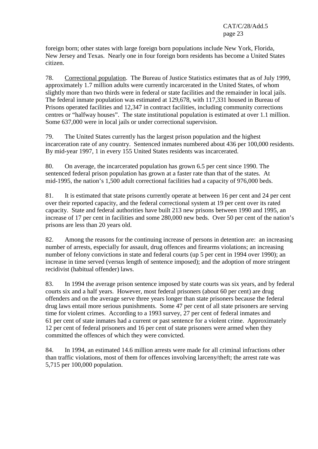foreign born; other states with large foreign born populations include New York, Florida, New Jersey and Texas. Nearly one in four foreign born residents has become a United States citizen.

78. Correctional population. The Bureau of Justice Statistics estimates that as of July 1999, approximately 1.7 million adults were currently incarcerated in the United States, of whom slightly more than two thirds were in federal or state facilities and the remainder in local jails. The federal inmate population was estimated at 129,678, with 117,331 housed in Bureau of Prisons operated facilities and 12,347 in contract facilities, including community corrections centres or "halfway houses". The state institutional population is estimated at over 1.1 million. Some 637,000 were in local jails or under correctional supervision.

79. The United States currently has the largest prison population and the highest incarceration rate of any country. Sentenced inmates numbered about 436 per 100,000 residents. By mid-year 1997, 1 in every 155 United States residents was incarcerated.

80. On average, the incarcerated population has grown 6.5 per cent since 1990. The sentenced federal prison population has grown at a faster rate than that of the states. At mid-1995, the nation's 1,500 adult correctional facilities had a capacity of 976,000 beds.

81. It is estimated that state prisons currently operate at between 16 per cent and 24 per cent over their reported capacity, and the federal correctional system at 19 per cent over its rated capacity. State and federal authorities have built 213 new prisons between 1990 and 1995, an increase of 17 per cent in facilities and some 280,000 new beds. Over 50 per cent of the nation's prisons are less than 20 years old.

82. Among the reasons for the continuing increase of persons in detention are: an increasing number of arrests, especially for assault, drug offences and firearms violations; an increasing number of felony convictions in state and federal courts (up 5 per cent in 1994 over 1990); an increase in time served (versus length of sentence imposed); and the adoption of more stringent recidivist (habitual offender) laws.

83. In 1994 the average prison sentence imposed by state courts was six years, and by federal courts six and a half years. However, most federal prisoners (about 60 per cent) are drug offenders and on the average serve three years longer than state prisoners because the federal drug laws entail more serious punishments. Some 47 per cent of all state prisoners are serving time for violent crimes. According to a 1993 survey, 27 per cent of federal inmates and 61 per cent of state inmates had a current or past sentence for a violent crime. Approximately 12 per cent of federal prisoners and 16 per cent of state prisoners were armed when they committed the offences of which they were convicted.

84. In 1994, an estimated 14.6 million arrests were made for all criminal infractions other than traffic violations, most of them for offences involving larceny/theft; the arrest rate was 5,715 per 100,000 population.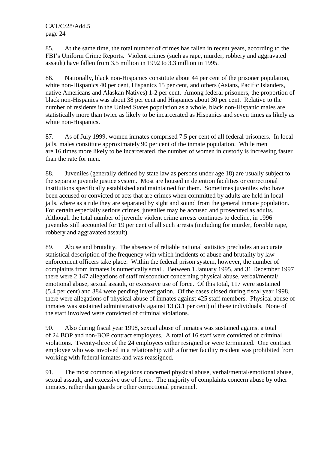85. At the same time, the total number of crimes has fallen in recent years, according to the FBI's Uniform Crime Reports. Violent crimes (such as rape, murder, robbery and aggravated assault) have fallen from 3.5 million in 1992 to 3.3 million in 1995.

86. Nationally, black non-Hispanics constitute about 44 per cent of the prisoner population, white non-Hispanics 40 per cent, Hispanics 15 per cent, and others (Asians, Pacific Islanders, native Americans and Alaskan Natives) 1-2 per cent. Among federal prisoners, the proportion of black non-Hispanics was about 38 per cent and Hispanics about 30 per cent. Relative to the number of residents in the United States population as a whole, black non-Hispanic males are statistically more than twice as likely to be incarcerated as Hispanics and seven times as likely as white non-Hispanics.

87. As of July 1999, women inmates comprised 7.5 per cent of all federal prisoners. In local jails, males constitute approximately 90 per cent of the inmate population. While men are 16 times more likely to be incarcerated, the number of women in custody is increasing faster than the rate for men.

88. Juveniles (generally defined by state law as persons under age 18) are usually subject to the separate juvenile justice system. Most are housed in detention facilities or correctional institutions specifically established and maintained for them. Sometimes juveniles who have been accused or convicted of acts that are crimes when committed by adults are held in local jails, where as a rule they are separated by sight and sound from the general inmate population. For certain especially serious crimes, juveniles may be accused and prosecuted as adults. Although the total number of juvenile violent crime arrests continues to decline, in 1996 juveniles still accounted for 19 per cent of all such arrests (including for murder, forcible rape, robbery and aggravated assault).

89. Abuse and brutality. The absence of reliable national statistics precludes an accurate statistical description of the frequency with which incidents of abuse and brutality by law enforcement officers take place. Within the federal prison system, however, the number of complaints from inmates is numerically small. Between 1 January 1995, and 31 December 1997 there were 2,147 allegations of staff misconduct concerning physical abuse, verbal/mental/ emotional abuse, sexual assault, or excessive use of force. Of this total, 117 were sustained (5.4 per cent) and 384 were pending investigation. Of the cases closed during fiscal year 1998, there were allegations of physical abuse of inmates against 425 staff members. Physical abuse of inmates was sustained administratively against 13 (3.1 per cent) of these individuals. None of the staff involved were convicted of criminal violations.

90. Also during fiscal year 1998, sexual abuse of inmates was sustained against a total of 24 BOP and non-BOP contract employees. A total of 16 staff were convicted of criminal violations. Twenty-three of the 24 employees either resigned or were terminated. One contract employee who was involved in a relationship with a former facility resident was prohibited from working with federal inmates and was reassigned.

91. The most common allegations concerned physical abuse, verbal/mental/emotional abuse, sexual assault, and excessive use of force. The majority of complaints concern abuse by other inmates, rather than guards or other correctional personnel.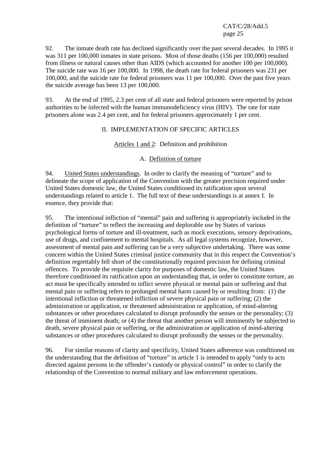92. The inmate death rate has declined significantly over the past several decades. In 1995 it was 311 per 100,000 inmates in state prisons. Most of those deaths (156 per 100,000) resulted from illness or natural causes other than AIDS (which accounted for another 100 per 100,000). The suicide rate was 16 per 100,000. In 1998, the death rate for federal prisoners was 231 per 100,000, and the suicide rate for federal prisoners was 11 per 100,000. Over the past five years the suicide average has been 13 per 100,000.

93. At the end of 1995, 2.3 per cent of all state and federal prisoners were reported by prison authorities to be infected with the human immunodeficiency virus (HIV). The rate for state prisoners alone was 2.4 per cent, and for federal prisoners approximately 1 per cent.

#### II. IMPLEMENTATION OF SPECIFIC ARTICLES

#### Articles 1 and 2: Definition and prohibition

#### A. Definition of torture

94. United States understandings. In order to clarify the meaning of "torture" and to delineate the scope of application of the Convention with the greater precision required under United States domestic law, the United States conditioned its ratification upon several understandings related to article 1. The full text of these understandings is at annex I. In essence, they provide that:

95. The intentional infliction of "mental" pain and suffering is appropriately included in the definition of "torture" to reflect the increasing and deplorable use by States of various psychological forms of torture and ill-treatment, such as mock executions, sensory deprivations, use of drugs, and confinement to mental hospitals. As all legal systems recognize, however, assessment of mental pain and suffering can be a very subjective undertaking. There was some concern within the United States criminal justice community that in this respect the Convention's definition regrettably fell short of the constitutionally required precision for defining criminal offences. To provide the requisite clarity for purposes of domestic law, the United States therefore conditioned its ratification upon an understanding that, in order to constitute torture, an act must be specifically intended to inflict severe physical or mental pain or suffering and that mental pain or suffering refers to prolonged mental harm caused by or resulting from: (1) the intentional infliction or threatened infliction of severe physical pain or suffering; (2) the administration or application, or threatened administration or application, of mind-altering substances or other procedures calculated to disrupt profoundly the senses or the personality; (3) the threat of imminent death; or (4) the threat that another person will imminently be subjected to death, severe physical pain or suffering, or the administration or application of mind-altering substances or other procedures calculated to disrupt profoundly the senses or the personality.

96. For similar reasons of clarity and specificity, United States adherence was conditioned on the understanding that the definition of "torture" in article 1 is intended to apply "only to acts directed against persons in the offender's custody or physical control" in order to clarify the relationship of the Convention to normal military and law enforcement operations.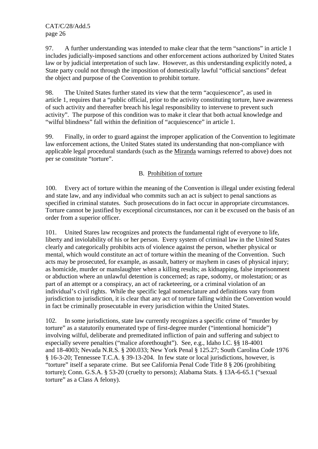97. A further understanding was intended to make clear that the term "sanctions" in article 1 includes judicially-imposed sanctions and other enforcement actions authorized by United States law or by judicial interpretation of such law. However, as this understanding explicitly noted, a State party could not through the imposition of domestically lawful "official sanctions" defeat the object and purpose of the Convention to prohibit torture.

98. The United States further stated its view that the term "acquiescence", as used in article 1, requires that a "public official, prior to the activity constituting torture, have awareness of such activity and thereafter breach his legal responsibility to intervene to prevent such activity". The purpose of this condition was to make it clear that both actual knowledge and "wilful blindness" fall within the definition of "acquiescence" in article 1.

99. Finally, in order to guard against the improper application of the Convention to legitimate law enforcement actions, the United States stated its understanding that non-compliance with applicable legal procedural standards (such as the Miranda warnings referred to above) does not per se constitute "torture".

### B. Prohibition of torture

100. Every act of torture within the meaning of the Convention is illegal under existing federal and state law, and any individual who commits such an act is subject to penal sanctions as specified in criminal statutes. Such prosecutions do in fact occur in appropriate circumstances. Torture cannot be justified by exceptional circumstances, nor can it be excused on the basis of an order from a superior officer.

101. United Stares law recognizes and protects the fundamental right of everyone to life, liberty and inviolability of his or her person. Every system of criminal law in the United States clearly and categorically prohibits acts of violence against the person, whether physical or mental, which would constitute an act of torture within the meaning of the Convention. Such acts may be prosecuted, for example, as assault, battery or mayhem in cases of physical injury; as homicide, murder or manslaughter when a killing results; as kidnapping, false imprisonment or abduction where an unlawful detention is concerned; as rape, sodomy, or molestation; or as part of an attempt or a conspiracy, an act of racketeering, or a criminal violation of an individual's civil rights. While the specific legal nomenclature and definitions vary from jurisdiction to jurisdiction, it is clear that any act of torture falling within the Convention would in fact be criminally prosecutable in every jurisdiction within the United States.

102. In some jurisdictions, state law currently recognizes a specific crime of "murder by torture" as a statutorily enumerated type of first-degree murder ("intentional homicide") involving wilful, deliberate and premeditated infliction of pain and suffering and subject to especially severe penalties ("malice aforethought"). See, e.g., Idaho I.C. §§ 18-4001 and 18-4003; Nevada N.R.S. § 200.033; New York Penal § 125.27; South Carolina Code 1976 § 16-3-20; Tennessee T.C.A. § 39-13-204. In few state or local jurisdictions, however, is "torture" itself a separate crime. But see California Penal Code Title 8 § 206 (prohibiting torture); Conn. G.S.A. § 53-20 (cruelty to persons); Alabama Stats. § 13A-6-65.1 ("sexual torture" as a Class A felony).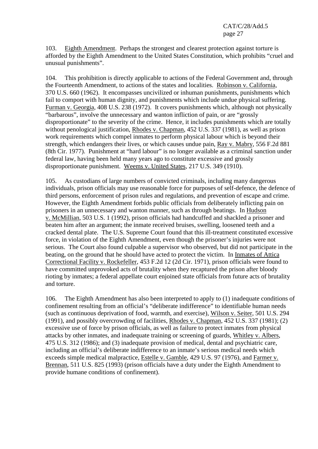103. Eighth Amendment. Perhaps the strongest and clearest protection against torture is afforded by the Eighth Amendment to the United States Constitution, which prohibits "cruel and unusual punishments".

104. This prohibition is directly applicable to actions of the Federal Government and, through the Fourteenth Amendment, to actions of the states and localities. Robinson v. California, 370 U.S. 660 (1962). It encompasses uncivilized or inhuman punishments, punishments which fail to comport with human dignity, and punishments which include undue physical suffering. Furman v. Georgia, 408 U.S. 238 (1972). It covers punishments which, although not physically "barbarous", involve the unnecessary and wanton infliction of pain, or are "grossly disproportionate" to the severity of the crime. Hence, it includes punishments which are totally without penological justification, Rhodes v. Chapman, 452 U.S. 337 (1981), as well as prison work requirements which compel inmates to perform physical labour which is beyond their strength, which endangers their lives, or which causes undue pain, Ray v. Mabry, 556 F.2d 881 (8th Cir. 1977). Punishment at "hard labour" is no longer available as a criminal sanction under federal law, having been held many years ago to constitute excessive and grossly disproportionate punishment. Weems v. United States, 217 U.S. 349 (1910).

105. As custodians of large numbers of convicted criminals, including many dangerous individuals, prison officials may use reasonable force for purposes of self-defence, the defence of third persons, enforcement of prison rules and regulations, and prevention of escape and crime. However, the Eighth Amendment forbids public officials from deliberately inflicting pain on prisoners in an unnecessary and wanton manner, such as through beatings. In Hudson v. McMillian, 503 U.S. 1 (1992), prison officials had handcuffed and shackled a prisoner and beaten him after an argument; the inmate received bruises, swelling, loosened teeth and a cracked dental plate. The U.S. Supreme Court found that this ill-treatment constituted excessive force, in violation of the Eighth Amendment, even though the prisoner's injuries were not serious. The Court also found culpable a supervisor who observed, but did not participate in the beating, on the ground that he should have acted to protect the victim. In Inmates of Attica Correctional Facility v. Rockefeller, 453 F.2d 12 (2d Cir. 1971), prison officials were found to have committed unprovoked acts of brutality when they recaptured the prison after bloody rioting by inmates; a federal appellate court enjoined state officials from future acts of brutality and torture.

106. The Eighth Amendment has also been interpreted to apply to (1) inadequate conditions of confinement resulting from an official's "deliberate indifference" to identifiable human needs (such as continuous deprivation of food, warmth, and exercise), Wilson v. Seiter, 501 U.S. 294 (1991), and possibly overcrowding of facilities, Rhodes v. Chapman, 452 U.S. 337 (1981); (2) excessive use of force by prison officials, as well as failure to protect inmates from physical attacks by other inmates, and inadequate training or screening of guards, Whitley v. Albers, 475 U.S. 312 (1986); and (3) inadequate provision of medical, dental and psychiatric care, including an official's deliberate indifference to an inmate's serious medical needs which exceeds simple medical malpractice, Estelle v. Gamble, 429 U.S. 97 (1976), and Farmer v. Brennan, 511 U.S. 825 (1993) (prison officials have a duty under the Eighth Amendment to provide humane conditions of confinement).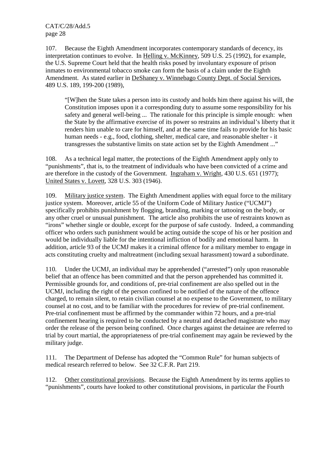107. Because the Eighth Amendment incorporates contemporary standards of decency, its interpretation continues to evolve. In Helling v. McKinney, 509 U.S. 25 (1992), for example, the U.S. Supreme Court held that the health risks posed by involuntary exposure of prison inmates to environmental tobacco smoke can form the basis of a claim under the Eighth Amendment. As stated earlier in DeShaney v. Winnebago County Dept. of Social Services, 489 U.S. 189, 199-200 (1989),

"[W]hen the State takes a person into its custody and holds him there against his will, the Constitution imposes upon it a corresponding duty to assume some responsibility for his safety and general well-being ... The rationale for this principle is simple enough: when the State by the affirmative exercise of its power so restrains an individual's liberty that it renders him unable to care for himself, and at the same time fails to provide for his basic human needs - e.g., food, clothing, shelter, medical care, and reasonable shelter - it transgresses the substantive limits on state action set by the Eighth Amendment ..."

108. As a technical legal matter, the protections of the Eighth Amendment apply only to "punishments", that is, to the treatment of individuals who have been convicted of a crime and are therefore in the custody of the Government. Ingraham v. Wright, 430 U.S. 651 (1977); United States v. Lovett, 328 U.S. 303 (1946).

109. Military justice system. The Eighth Amendment applies with equal force to the military justice system. Moreover, article 55 of the Uniform Code of Military Justice ("UCMJ") specifically prohibits punishment by flogging, branding, marking or tattooing on the body, or any other cruel or unusual punishment. The article also prohibits the use of restraints known as "irons" whether single or double, except for the purpose of safe custody. Indeed, a commanding officer who orders such punishment would be acting outside the scope of his or her position and would be individually liable for the intentional infliction of bodily and emotional harm. In addition, article 93 of the UCMJ makes it a criminal offence for a military member to engage in acts constituting cruelty and maltreatment (including sexual harassment) toward a subordinate.

110. Under the UCMJ, an individual may be apprehended ("arrested") only upon reasonable belief that an offence has been committed and that the person apprehended has committed it. Permissible grounds for, and conditions of, pre-trial confinement are also spelled out in the UCMJ, including the right of the person confined to be notified of the nature of the offence charged, to remain silent, to retain civilian counsel at no expense to the Government, to military counsel at no cost, and to be familiar with the procedures for review of pre-trial confinement. Pre-trial confinement must be affirmed by the commander within 72 hours, and a pre-trial confinement hearing is required to be conducted by a neutral and detached magistrate who may order the release of the person being confined. Once charges against the detainee are referred to trial by court martial, the appropriateness of pre-trial confinement may again be reviewed by the military judge.

111. The Department of Defense has adopted the "Common Rule" for human subjects of medical research referred to below. See 32 C.F.R. Part 219.

112. Other constitutional provisions. Because the Eighth Amendment by its terms applies to "punishments", courts have looked to other constitutional provisions, in particular the Fourth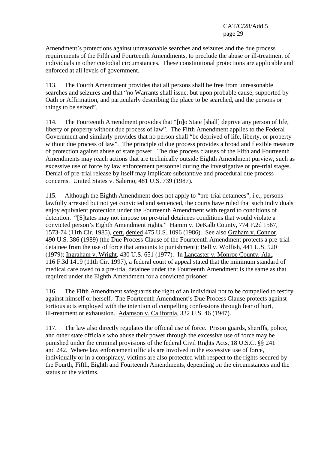Amendment's protections against unreasonable searches and seizures and the due process requirements of the Fifth and Fourteenth Amendments, to preclude the abuse or ill-treatment of individuals in other custodial circumstances. These constitutional protections are applicable and enforced at all levels of government.

113. The Fourth Amendment provides that all persons shall be free from unreasonable searches and seizures and that "no Warrants shall issue, but upon probable cause, supported by Oath or Affirmation, and particularly describing the place to be searched, and the persons or things to be seized".

114. The Fourteenth Amendment provides that "[n]o State [shall] deprive any person of life, liberty or property without due process of law". The Fifth Amendment applies to the Federal Government and similarly provides that no person shall "be deprived of life, liberty, or property without due process of law". The principle of due process provides a broad and flexible measure of protection against abuse of state power. The due process clauses of the Fifth and Fourteenth Amendments may reach actions that are technically outside Eighth Amendment purview, such as excessive use of force by law enforcement personnel during the investigative or pre-trial stages. Denial of pre-trial release by itself may implicate substantive and procedural due process concerns. United States v. Salerno, 481 U.S. 739 (1987).

115. Although the Eighth Amendment does not apply to "pre-trial detainees", i.e., persons lawfully arrested but not yet convicted and sentenced, the courts have ruled that such individuals enjoy equivalent protection under the Fourteenth Amendment with regard to conditions of detention. "[S]tates may not impose on pre-trial detainees conditions that would violate a convicted person's Eighth Amendment rights." Hamm v. DeKalb County, 774 F.2d 1567, 1573-74 (11th Cir. 1985), cert. denied 475 U.S. 1096 (1986). See also Graham v. Connor, 490 U.S. 386 (1989) (the Due Process Clause of the Fourteenth Amendment protects a pre-trial detainee from the use of force that amounts to punishment); Bell v. Wolfish, 441 U.S. 520 (1979); Ingraham v. Wright, 430 U.S. 651 (1977). In Lancaster v. Monroe County, Ala., 116 F.3d 1419 (11th Cir. 1997), a federal court of appeal stated that the minimum standard of medical care owed to a pre-trial detainee under the Fourteenth Amendment is the same as that required under the Eighth Amendment for a convicted prisoner.

116. The Fifth Amendment safeguards the right of an individual not to be compelled to testify against himself or herself. The Fourteenth Amendment's Due Process Clause protects against tortious acts employed with the intention of compelling confessions through fear of hurt, ill-treatment or exhaustion. Adamson v. California, 332 U.S. 46 (1947).

117. The law also directly regulates the official use of force. Prison guards, sheriffs, police, and other state officials who abuse their power through the excessive use of force may be punished under the criminal provisions of the federal Civil Rights Acts, 18 U.S.C. §§ 241 and 242. Where law enforcement officials are involved in the excessive use of force, individually or in a conspiracy, victims are also protected with respect to the rights secured by the Fourth, Fifth, Eighth and Fourteenth Amendments, depending on the circumstances and the status of the victims.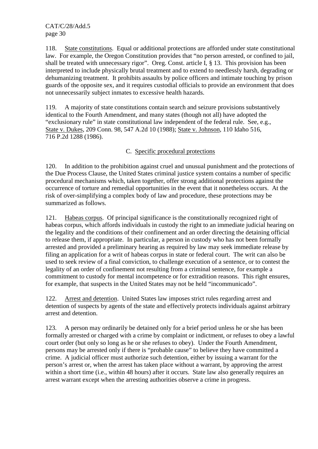118. State constitutions. Equal or additional protections are afforded under state constitutional law. For example, the Oregon Constitution provides that "no person arrested, or confined to jail, shall be treated with unnecessary rigor". Oreg. Const. article I, § 13. This provision has been interpreted to include physically brutal treatment and to extend to needlessly harsh, degrading or dehumanizing treatment. It prohibits assaults by police officers and intimate touching by prison guards of the opposite sex, and it requires custodial officials to provide an environment that does not unnecessarily subject inmates to excessive health hazards.

119. A majority of state constitutions contain search and seizure provisions substantively identical to the Fourth Amendment, and many states (though not all) have adopted the "exclusionary rule" in state constitutional law independent of the federal rule. See, e.g., State v. Dukes, 209 Conn. 98, 547 A.2d 10 (1988); State v. Johnson, 110 Idaho 516, 716 P.2d 1288 (1986).

# C. Specific procedural protections

120. In addition to the prohibition against cruel and unusual punishment and the protections of the Due Process Clause, the United States criminal justice system contains a number of specific procedural mechanisms which, taken together, offer strong additional protections against the occurrence of torture and remedial opportunities in the event that it nonetheless occurs. At the risk of over-simplifying a complex body of law and procedure, these protections may be summarized as follows.

121. Habeas corpus. Of principal significance is the constitutionally recognized right of habeas corpus, which affords individuals in custody the right to an immediate judicial hearing on the legality and the conditions of their confinement and an order directing the detaining official to release them, if appropriate. In particular, a person in custody who has not been formally arrested and provided a preliminary hearing as required by law may seek immediate release by filing an application for a writ of habeas corpus in state or federal court. The writ can also be used to seek review of a final conviction, to challenge execution of a sentence, or to contest the legality of an order of confinement not resulting from a criminal sentence, for example a commitment to custody for mental incompetence or for extradition reasons. This right ensures, for example, that suspects in the United States may not be held "incommunicado".

122. Arrest and detention. United States law imposes strict rules regarding arrest and detention of suspects by agents of the state and effectively protects individuals against arbitrary arrest and detention.

123. A person may ordinarily be detained only for a brief period unless he or she has been formally arrested or charged with a crime by complaint or indictment, or refuses to obey a lawful court order (but only so long as he or she refuses to obey). Under the Fourth Amendment, persons may be arrested only if there is "probable cause" to believe they have committed a crime. A judicial officer must authorize such detention, either by issuing a warrant for the person's arrest or, when the arrest has taken place without a warrant, by approving the arrest within a short time (i.e., within 48 hours) after it occurs. State law also generally requires an arrest warrant except when the arresting authorities observe a crime in progress.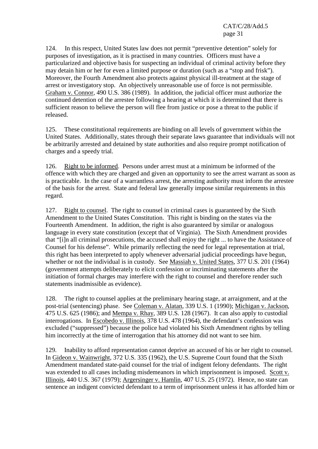124. In this respect, United States law does not permit "preventive detention" solely for purposes of investigation, as it is practised in many countries. Officers must have a particularized and objective basis for suspecting an individual of criminal activity before they may detain him or her for even a limited purpose or duration (such as a "stop and frisk"). Moreover, the Fourth Amendment also protects against physical ill-treatment at the stage of arrest or investigatory stop. An objectively unreasonable use of force is not permissible. Graham v. Connor, 490 U.S. 386 (1989). In addition, the judicial officer must authorize the continued detention of the arrestee following a hearing at which it is determined that there is sufficient reason to believe the person will flee from justice or pose a threat to the public if released.

125. These constitutional requirements are binding on all levels of government within the United States. Additionally, states through their separate laws guarantee that individuals will not be arbitrarily arrested and detained by state authorities and also require prompt notification of charges and a speedy trial.

126. Right to be informed. Persons under arrest must at a minimum be informed of the offence with which they are charged and given an opportunity to see the arrest warrant as soon as is practicable. In the case of a warrantless arrest, the arresting authority must inform the arrestee of the basis for the arrest. State and federal law generally impose similar requirements in this regard.

127. Right to counsel. The right to counsel in criminal cases is guaranteed by the Sixth Amendment to the United States Constitution. This right is binding on the states via the Fourteenth Amendment. In addition, the right is also guaranteed by similar or analogous language in every state constitution (except that of Virginia). The Sixth Amendment provides that "[i]n all criminal prosecutions, the accused shall enjoy the right ... to have the Assistance of Counsel for his defense". While primarily reflecting the need for legal representation at trial, this right has been interpreted to apply whenever adversarial judicial proceedings have begun, whether or not the individual is in custody. See Massiah v. United States, 377 U.S. 201 (1964) (government attempts deliberately to elicit confession or incriminating statements after the initiation of formal charges may interfere with the right to counsel and therefore render such statements inadmissible as evidence).

128. The right to counsel applies at the preliminary hearing stage, at arraignment, and at the post-trial (sentencing) phase. See Coleman v. Alatan, 339 U.S. 1 (1990); Michigan v. Jackson, 475 U.S. 625 (1986); and Mempa v. Rhay, 389 U.S. 128 (1967). It can also apply to custodial interrogations. In Escobedo v. Illinois, 378 U.S. 478 (1964), the defendant's confession was excluded ("suppressed") because the police had violated his Sixth Amendment rights by telling him incorrectly at the time of interrogation that his attorney did not want to see him.

129. Inability to afford representation cannot deprive an accused of his or her right to counsel. In Gideon v. Wainwright, 372 U.S. 335 (1962), the U.S. Supreme Court found that the Sixth Amendment mandated state-paid counsel for the trial of indigent felony defendants. The right was extended to all cases including misdemeanors in which imprisonment is imposed. Scott v. Illinois, 440 U.S. 367 (1979); Argersinger v. Hamlin, 407 U.S. 25 (1972). Hence, no state can sentence an indigent convicted defendant to a term of imprisonment unless it has afforded him or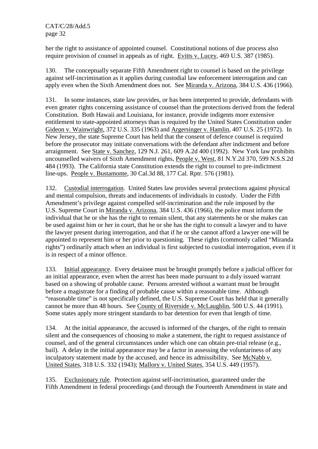her the right to assistance of appointed counsel. Constitutional notions of due process also require provision of counsel in appeals as of right. Evitts v. Lucey, 469 U.S. 387 (1985).

130. The conceptually separate Fifth Amendment right to counsel is based on the privilege against self-incrimination as it applies during custodial law enforcement interrogation and can apply even when the Sixth Amendment does not. See Miranda v. Arizona, 384 U.S. 436 (1966).

131. In some instances, state law provides, or has been interpreted to provide, defendants with even greater rights concerning assistance of counsel than the protections derived from the federal Constitution. Both Hawaii and Louisiana, for instance, provide indigents more extensive entitlement to state-appointed attorneys than is required by the United States Constitution under Gideon v. Wainwright, 372 U.S. 335 (1963) and Argersinger v. Hamlin, 407 U.S. 25 (1972). In New Jersey, the state Supreme Court has held that the consent of defence counsel is required before the prosecutor may initiate conversations with the defendant after indictment and before arraignment. See State v. Sanchez, 129 N.J. 261, 609 A.2d 400 (1992). New York law prohibits uncounselled waivers of Sixth Amendment rights, People v. West, 81 N.Y.2d 370, 599 N.S.S.2d 484 (1993). The California state Constitution extends the right to counsel to pre-indictment line-ups. People v. Bustamonte, 30 Cal.3d 88, 177 Cal. Rptr. 576 (1981).

132. Custodial interrogation. United States law provides several protections against physical and mental compulsion, threats and inducements of individuals in custody. Under the Fifth Amendment's privilege against compelled self-incrimination and the rule imposed by the U.S. Supreme Court in Miranda v. Arizona, 384 U.S. 436 (1966), the police must inform the individual that he or she has the right to remain silent, that any statements he or she makes can be used against him or her in court, that he or she has the right to consult a lawyer and to have the lawyer present during interrogation, and that if he or she cannot afford a lawyer one will be appointed to represent him or her prior to questioning. These rights (commonly called "Miranda rights") ordinarily attach when an individual is first subjected to custodial interrogation, even if it is in respect of a minor offence.

133. Initial appearance. Every detainee must be brought promptly before a judicial officer for an initial appearance, even when the arrest has been made pursuant to a duly issued warrant based on a showing of probable cause. Persons arrested without a warrant must be brought before a magistrate for a finding of probable cause within a reasonable time. Although "reasonable time" is not specifically defined, the U.S. Supreme Court has held that it generally cannot be more than 48 hours. See County of Riverside v. McLaughlin, 500 U.S. 44 (1991). Some states apply more stringent standards to bar detention for even that length of time.

134. At the initial appearance, the accused is informed of the charges, of the right to remain silent and the consequences of choosing to make a statement, the right to request assistance of counsel, and of the general circumstances under which one can obtain pre-trial release (e.g., bail). A delay in the initial appearance may be a factor in assessing the voluntariness of any inculpatory statement made by the accused, and hence its admissibility. See McNabb v. United States, 318 U.S. 332 (1943); Mallory v. United States, 354 U.S. 449 (1957).

135. Exclusionary rule. Protection against self-incrimination, guaranteed under the Fifth Amendment in federal proceedings (and through the Fourteenth Amendment in state and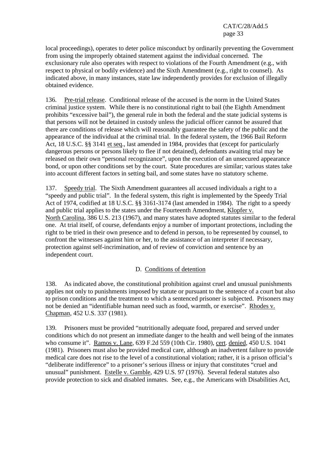local proceedings), operates to deter police misconduct by ordinarily preventing the Government from using the improperly obtained statement against the individual concerned. The exclusionary rule also operates with respect to violations of the Fourth Amendment (e.g., with respect to physical or bodily evidence) and the Sixth Amendment (e.g., right to counsel). As indicated above, in many instances, state law independently provides for exclusion of illegally obtained evidence.

136. Pre-trial release. Conditional release of the accused is the norm in the United States criminal justice system. While there is no constitutional right to bail (the Eighth Amendment prohibits "excessive bail"), the general rule in both the federal and the state judicial systems is that persons will not be detained in custody unless the judicial officer cannot be assured that there are conditions of release which will reasonably guarantee the safety of the public and the appearance of the individual at the criminal trial. In the federal system, the 1966 Bail Reform Act, 18 U.S.C. §§ 3141 et seq., last amended in 1984, provides that (except for particularly dangerous persons or persons likely to flee if not detained), defendants awaiting trial may be released on their own "personal recognizance", upon the execution of an unsecured appearance bond, or upon other conditions set by the court. State procedures are similar; various states take into account different factors in setting bail, and some states have no statutory scheme.

137. Speedy trial. The Sixth Amendment guarantees all accused individuals a right to a "speedy and public trial". In the federal system, this right is implemented by the Speedy Trial Act of 1974, codified at 18 U.S.C. §§ 3161-3174 (last amended in 1984). The right to a speedy and public trial applies to the states under the Fourteenth Amendment, Klopfer v. North Carolina, 386 U.S. 213 (1967), and many states have adopted statutes similar to the federal one. At trial itself, of course, defendants enjoy a number of important protections, including the right to be tried in their own presence and to defend in person, to be represented by counsel, to confront the witnesses against him or her, to the assistance of an interpreter if necessary, protection against self-incrimination, and of review of conviction and sentence by an independent court.

### D. Conditions of detention

138. As indicated above, the constitutional prohibition against cruel and unusual punishments applies not only to punishments imposed by statute or pursuant to the sentence of a court but also to prison conditions and the treatment to which a sentenced prisoner is subjected. Prisoners may not be denied an "identifiable human need such as food, warmth, or exercise". Rhodes v. Chapman, 452 U.S. 337 (1981).

139. Prisoners must be provided "nutritionally adequate food, prepared and served under conditions which do not present an immediate danger to the health and well being of the inmates who consume it". Ramos v. Lane, 639 F.2d 559 (10th Cir. 1980), cert. denied, 450 U.S. 1041 (1981). Prisoners must also be provided medical care, although an inadvertent failure to provide medical care does not rise to the level of a constitutional violation; rather, it is a prison official's "deliberate indifference" to a prisoner's serious illness or injury that constitutes "cruel and unusual" punishment. Estelle v. Gamble, 429 U.S. 97 (1976). Several federal statutes also provide protection to sick and disabled inmates. See, e.g., the Americans with Disabilities Act,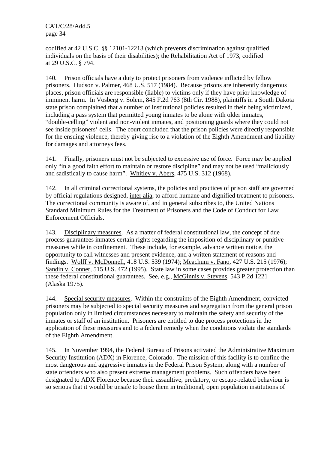codified at 42 U.S.C. §§ 12101-12213 (which prevents discrimination against qualified individuals on the basis of their disabilities); the Rehabilitation Act of 1973, codified at 29 U.S.C. § 794.

140. Prison officials have a duty to protect prisoners from violence inflicted by fellow prisoners. Hudson v. Palmer, 468 U.S. 517 (1984). Because prisons are inherently dangerous places, prison officials are responsible (liable) to victims only if they have prior knowledge of imminent harm. In Vosberg v. Solem, 845 F.2d 763 (8th Cir. 1988), plaintiffs in a South Dakota state prison complained that a number of institutional policies resulted in their being victimized, including a pass system that permitted young inmates to be alone with older inmates, "double-celling" violent and non-violent inmates, and positioning guards where they could not see inside prisoners' cells. The court concluded that the prison policies were directly responsible for the ensuing violence, thereby giving rise to a violation of the Eighth Amendment and liability for damages and attorneys fees.

141. Finally, prisoners must not be subjected to excessive use of force. Force may be applied only "in a good faith effort to maintain or restore discipline" and may not be used "maliciously and sadistically to cause harm". Whitley v. Abers, 475 U.S. 312 (1968).

142. In all criminal correctional systems, the policies and practices of prison staff are governed by official regulations designed, inter alia, to afford humane and dignified treatment to prisoners. The correctional community is aware of, and in general subscribes to, the United Nations Standard Minimum Rules for the Treatment of Prisoners and the Code of Conduct for Law Enforcement Officials.

143. Disciplinary measures. As a matter of federal constitutional law, the concept of due process guarantees inmates certain rights regarding the imposition of disciplinary or punitive measures while in confinement. These include, for example, advance written notice, the opportunity to call witnesses and present evidence, and a written statement of reasons and findings. Wolff v. McDonnell, 418 U.S. 539 (1974); Meachum v. Fano, 427 U.S. 215 (1976); Sandin v. Conner, 515 U.S. 472 (1995). State law in some cases provides greater protection than these federal constitutional guarantees. See, e.g., McGinnis v. Stevens, 543 P.2d 1221 (Alaska 1975).

144. Special security measures. Within the constraints of the Eighth Amendment, convicted prisoners may be subjected to special security measures and segregation from the general prison population only in limited circumstances necessary to maintain the safety and security of the inmates or staff of an institution. Prisoners are entitled to due process protections in the application of these measures and to a federal remedy when the conditions violate the standards of the Eighth Amendment.

145. In November 1994, the Federal Bureau of Prisons activated the Administrative Maximum Security Institution (ADX) in Florence, Colorado. The mission of this facility is to confine the most dangerous and aggressive inmates in the Federal Prison System, along with a number of state offenders who also present extreme management problems. Such offenders have been designated to ADX Florence because their assaultive, predatory, or escape-related behaviour is so serious that it would be unsafe to house them in traditional, open population institutions of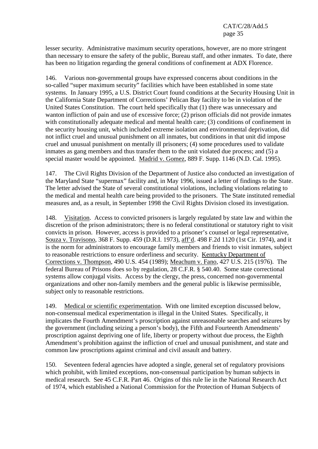lesser security. Administrative maximum security operations, however, are no more stringent than necessary to ensure the safety of the public, Bureau staff, and other inmates. To date, there has been no litigation regarding the general conditions of confinement at ADX Florence.

146. Various non-governmental groups have expressed concerns about conditions in the so-called "super maximum security" facilities which have been established in some state systems. In January 1995, a U.S. District Court found conditions at the Security Housing Unit in the California State Department of Corrections' Pelican Bay facility to be in violation of the United States Constitution. The court held specifically that (1) there was unnecessary and wanton infliction of pain and use of excessive force; (2) prison officials did not provide inmates with constitutionally adequate medical and mental health care; (3) conditions of confinement in the security housing unit, which included extreme isolation and environmental deprivation, did not inflict cruel and unusual punishment on all inmates, but conditions in that unit did impose cruel and unusual punishment on mentally ill prisoners; (4) some procedures used to validate inmates as gang members and thus transfer them to the unit violated due process; and (5) a special master would be appointed. Madrid v. Gomez, 889 F. Supp. 1146 (N.D. Cal. 1995).

147. The Civil Rights Division of the Department of Justice also conducted an investigation of the Maryland State "supermax" facility and, in May 1996, issued a letter of findings to the State. The letter advised the State of several constitutional violations, including violations relating to the medical and mental health care being provided to the prisoners. The State instituted remedial measures and, as a result, in September 1998 the Civil Rights Division closed its investigation.

148. Visitation. Access to convicted prisoners is largely regulated by state law and within the discretion of the prison administrators; there is no federal constitutional or statutory right to visit convicts in prison. However, access is provided to a prisoner's counsel or legal representative, Souza v. Travisono, 368 F. Supp. 459 (D.R.I. 1973), aff'd. 498 F.2d 1120 (1st Cir. 1974), and it is the norm for administrators to encourage family members and friends to visit inmates, subject to reasonable restrictions to ensure orderliness and security. Kentucky Department of Corrections v. Thompson, 490 U.S. 454 (1989); Meachum v. Fano, 427 U.S. 215 (1976). The federal Bureau of Prisons does so by regulation, 28 C.F.R. § 540.40. Some state correctional systems allow conjugal visits. Access by the clergy, the press, concerned non-governmental organizations and other non-family members and the general public is likewise permissible, subject only to reasonable restrictions.

149. Medical or scientific experimentation. With one limited exception discussed below, non-consensual medical experimentation is illegal in the United States. Specifically, it implicates the Fourth Amendment's proscription against unreasonable searches and seizures by the government (including seizing a person's body), the Fifth and Fourteenth Amendments' proscription against depriving one of life, liberty or property without due process, the Eighth Amendment's prohibition against the infliction of cruel and unusual punishment, and state and common law proscriptions against criminal and civil assault and battery.

150. Seventeen federal agencies have adopted a single, general set of regulatory provisions which prohibit, with limited exceptions, non-consensual participation by human subjects in medical research. See 45 C.F.R. Part 46. Origins of this rule lie in the National Research Act of 1974, which established a National Commission for the Protection of Human Subjects of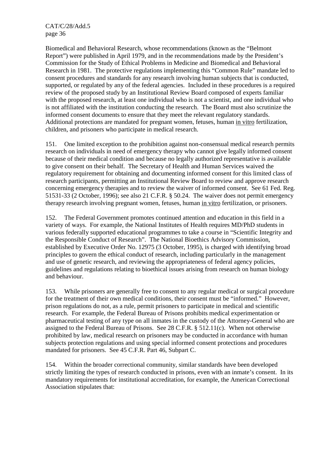Biomedical and Behavioral Research, whose recommendations (known as the "Belmont Report") were published in April 1979, and in the recommendations made by the President's Commission for the Study of Ethical Problems in Medicine and Biomedical and Behavioral Research in 1981. The protective regulations implementing this "Common Rule" mandate led to consent procedures and standards for any research involving human subjects that is conducted, supported, or regulated by any of the federal agencies. Included in these procedures is a required review of the proposed study by an Institutional Review Board composed of experts familiar with the proposed research, at least one individual who is not a scientist, and one individual who is not affiliated with the institution conducting the research. The Board must also scrutinize the informed consent documents to ensure that they meet the relevant regulatory standards. Additional protections are mandated for pregnant women, fetuses, human in vitro fertilization, children, and prisoners who participate in medical research.

151. One limited exception to the prohibition against non-consensual medical research permits research on individuals in need of emergency therapy who cannot give legally informed consent because of their medical condition and because no legally authorized representative is available to give consent on their behalf. The Secretary of Health and Human Services waived the regulatory requirement for obtaining and documenting informed consent for this limited class of research participants, permitting an Institutional Review Board to review and approve research concerning emergency therapies and to review the waiver of informed consent. See 61 Fed. Reg. 51531-33 (2 October, 1996); see also 21 C.F.R. § 50.24. The waiver does not permit emergency therapy research involving pregnant women, fetuses, human in vitro fertilization, or prisoners.

152. The Federal Government promotes continued attention and education in this field in a variety of ways. For example, the National Institutes of Health requires MD/PhD students in various federally supported educational programmes to take a course in "Scientific Integrity and the Responsible Conduct of Research". The National Bioethics Advisory Commission, established by Executive Order No. 12975 (3 October, 1995), is charged with identifying broad principles to govern the ethical conduct of research, including particularly in the management and use of genetic research, and reviewing the appropriateness of federal agency policies, guidelines and regulations relating to bioethical issues arising from research on human biology and behaviour.

153. While prisoners are generally free to consent to any regular medical or surgical procedure for the treatment of their own medical conditions, their consent must be "informed." However, prison regulations do not, as a rule, permit prisoners to participate in medical and scientific research. For example, the Federal Bureau of Prisons prohibits medical experimentation or pharmaceutical testing of any type on all inmates in the custody of the Attorney-General who are assigned to the Federal Bureau of Prisons. See 28 C.F.R. § 512.11(c). When not otherwise prohibited by law, medical research on prisoners may be conducted in accordance with human subjects protection regulations and using special informed consent protections and procedures mandated for prisoners. See 45 C.F.R. Part 46, Subpart C.

154. Within the broader correctional community, similar standards have been developed strictly limiting the types of research conducted in prisons, even with an inmate's consent. In its mandatory requirements for institutional accreditation, for example, the American Correctional Association stipulates that: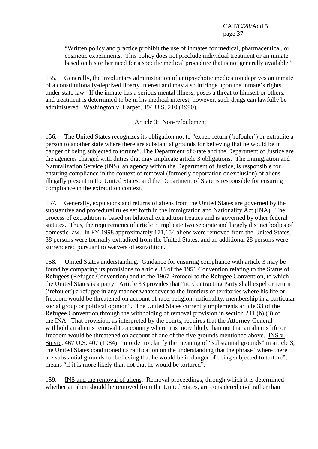"Written policy and practice prohibit the use of inmates for medical, pharmaceutical, or cosmetic experiments. This policy does not preclude individual treatment or an inmate based on his or her need for a specific medical procedure that is not generally available."

155. Generally, the involuntary administration of antipsychotic medication deprives an inmate of a constitutionally-deprived liberty interest and may also infringe upon the inmate's rights under state law. If the inmate has a serious mental illness, poses a threat to himself or others, and treatment is determined to be in his medical interest, however, such drugs can lawfully be administered. Washington v. Harper, 494 U.S. 210 (1990).

## Article 3: Non-refoulement

156. The United States recognizes its obligation not to "expel, return ('refouler') or extradite a person to another state where there are substantial grounds for believing that he would be in danger of being subjected to torture". The Department of State and the Department of Justice are the agencies charged with duties that may implicate article 3 obligations. The Immigration and Naturalization Service (INS), an agency within the Department of Justice, is responsible for ensuring compliance in the context of removal (formerly deportation or exclusion) of aliens illegally present in the United States, and the Department of State is responsible for ensuring compliance in the extradition context.

157. Generally, expulsions and returns of aliens from the United States are governed by the substantive and procedural rules set forth in the Immigration and Nationality Act (INA). The process of extradition is based on bilateral extradition treaties and is governed by other federal statutes. Thus, the requirements of article 3 implicate two separate and largely distinct bodies of domestic law. In FY 1998 approximately 171,154 aliens were removed from the United States, 38 persons were formally extradited from the United States, and an additional 28 persons were surrendered pursuant to waivers of extradition.

158. United States understanding. Guidance for ensuring compliance with article 3 may be found by comparing its provisions to article 33 of the 1951 Convention relating to the Status of Refugees (Refugee Convention) and to the 1967 Protocol to the Refugee Convention, to which the United States is a party. Article 33 provides that "no Contracting Party shall expel or return ('refouler') a refugee in any manner whatsoever to the frontiers of territories where his life or freedom would be threatened on account of race, religion, nationality, membership in a particular social group or political opinion". The United States currently implements article 33 of the Refugee Convention through the withholding of removal provision in section 241 (b) (3) of the INA. That provision, as interpreted by the courts, requires that the Attorney-General withhold an alien's removal to a country where it is more likely than not that an alien's life or freedom would be threatened on account of one of the five grounds mentioned above. INS v. Stevic, 467 U.S. 407 (1984). In order to clarify the meaning of "substantial grounds" in article 3, the United States conditioned its ratification on the understanding that the phrase "where there are substantial grounds for believing that he would be in danger of being subjected to torture", means "if it is more likely than not that he would be tortured".

159. INS and the removal of aliens. Removal proceedings, through which it is determined whether an alien should be removed from the United States, are considered civil rather than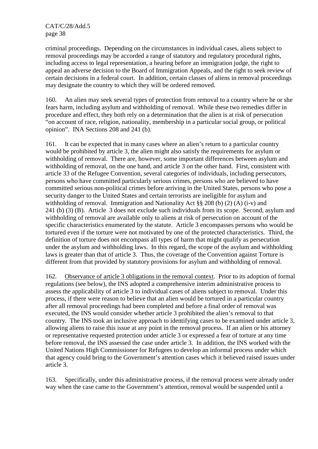criminal proceedings. Depending on the circumstances in individual cases, aliens subject to removal proceedings may be accorded a range of statutory and regulatory procedural rights, including access to legal representation, a hearing before an immigration judge, the right to appeal an adverse decision to the Board of Immigration Appeals, and the right to seek review of certain decisions in a federal court. In addition, certain classes of aliens in removal proceedings may designate the country to which they will be ordered removed.

160. An alien may seek several types of protection from removal to a country where he or she fears harm, including asylum and withholding of removal. While these two remedies differ in procedure and effect, they both rely on a determination that the alien is at risk of persecution "on account of race, religion, nationality, membership in a particular social group, or political opinion". INA Sections 208 and 241 (b).

161. It can be expected that in many cases where an alien's return to a particular country would be prohibited by article 3, the alien might also satisfy the requirements for asylum or withholding of removal. There are, however, some important differences between asylum and withholding of removal, on the one hand, and article 3 on the other hand. First, consistent with article 33 of the Refugee Convention, several categories of individuals, including persecutors, persons who have committed particularly serious crimes, persons who are believed to have committed serious non-political crimes before arriving in the United States, persons who pose a security danger to the United States and certain terrorists are ineligible for asylum and withholding of removal. Immigration and Nationality Act §§ 208 (b) (2) (A) (i-v) and 241 (b) (3) (B). Article 3 does not exclude such individuals from its scope. Second, asylum and withholding of removal are available only to aliens at risk of persecution on account of the specific characteristics enumerated by the statute. Article 3 encompasses persons who would be tortured even if the torture were not motivated by one of the protected characteristics. Third, the definition of torture does not encompass all types of harm that might qualify as persecution under the asylum and withholding laws. In this regard, the scope of the asylum and withholding laws is greater than that of article 3. Thus, the coverage of the Convention against Torture is different from that provided by statutory provisions for asylum and withholding of removal.

162. Observance of article 3 obligations in the removal context. Prior to its adoption of formal regulations (see below), the INS adopted a comprehensive interim administrative process to assess the applicability of article 3 to individual cases of aliens subject to removal. Under this process, if there were reason to believe that an alien would be tortured in a particular country after all removal proceedings had been completed and before a final order of removal was executed, the INS would consider whether article 3 prohibited the alien's removal to that country. The INS took an inclusive approach to identifying cases to be examined under article 3, allowing aliens to raise this issue at any point in the removal process. If an alien or his attorney or representative requested protection under article 3 or expressed a fear of torture at any time before removal, the INS assessed the case under article 3. In addition, the INS worked with the United Nations High Commissioner for Refugees to develop an informal process under which that agency could bring to the Government's attention cases which it believed raised issues under article 3.

163. Specifically, under this administrative process, if the removal process were already under way when the case came to the Government's attention, removal would be suspended until a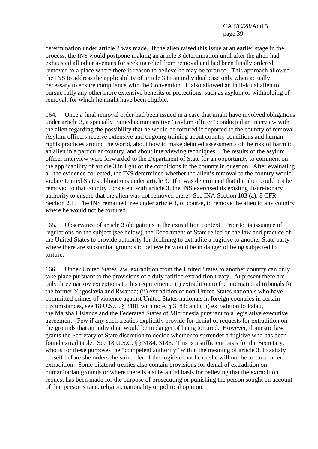determination under article 3 was made. If the alien raised this issue at an earlier stage in the process, the INS would postpone making an article 3 determination until after the alien had exhausted all other avenues for seeking relief from removal and had been finally ordered removed to a place where there is reason to believe he may be tortured. This approach allowed the INS to address the applicability of article 3 to an individual case only when actually necessary to ensure compliance with the Convention. It also allowed an individual alien to pursue fully any other more extensive benefits or protections, such as asylum or withholding of removal, for which he might have been eligible.

164. Once a final removal order had been issued in a case that might have involved obligations under article 3, a specially trained administrative "asylum officer" conducted an interview with the alien regarding the possibility that he would be tortured if deported to the country of removal. Asylum officers receive extensive and ongoing training about country conditions and human rights practices around the world, about how to make detailed assessments of the risk of harm to an alien in a particular country, and about interviewing techniques. The results of the asylum officer interview were forwarded to the Department of State for an opportunity to comment on the applicability of article 3 in light of the conditions in the country in question. After evaluating all the evidence collected, the INS determined whether the alien's removal to the country would violate United States obligations under article 3. If it was determined that the alien could not be removed to that country consistent with article 3, the INS exercised its existing discretionary authority to ensure that the alien was not removed there. See INA Section 103 (a); 8 CFR Section 2.1. The INS remained free under article 3, of course, to remove the alien to any country where he would not be tortured.

165. Observance of article 3 obligations in the extradition context. Prior to its issuance of regulations on the subject (see below), the Department of State relied on the law and practice of the United States to provide authority for declining to extradite a fugitive to another State party where there are substantial grounds to believe he would be in danger of being subjected to torture.

166. Under United States law, extradition from the United States to another country can only take place pursuant to the provisions of a duly ratified extradition treaty. At present there are only three narrow exceptions to this requirement: (i) extradition to the international tribunals for the former Yugoslavia and Rwanda; (ii) extradition of non-United States nationals who have committed crimes of violence against United States nationals in foreign countries in certain circumstances, see 18 U.S.C. § 3181 with note, § 3184; and (iii) extradition to Palau, the Marshall Islands and the Federated States of Micronesia pursuant to a legislative executive agreement. Few if any such treaties explicitly provide for denial of requests for extradition on the grounds that an individual would be in danger of being tortured. However, domestic law grants the Secretary of State discretion to decide whether to surrender a fugitive who has been found extraditable. See 18 U.S.C. §§ 3184, 3186. This is a sufficient basis for the Secretary, who is for these purposes the "competent authority" within the meaning of article 3, to satisfy herself before she orders the surrender of the fugitive that he or she will not be tortured after extradition. Some bilateral treaties also contain provisions for denial of extradition on humanitarian grounds or where there is a substantial basis for believing that the extradition request has been made for the purpose of prosecuting or punishing the person sought on account of that person's race, religion, nationality or political opinion.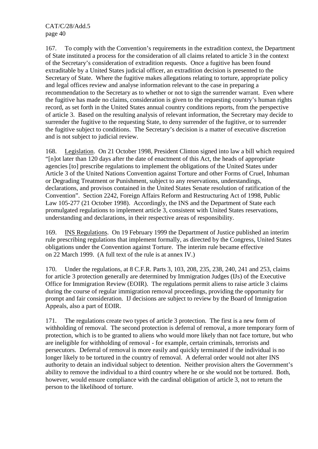167. To comply with the Convention's requirements in the extradition context, the Department of State instituted a process for the consideration of all claims related to article 3 in the context of the Secretary's consideration of extradition requests. Once a fugitive has been found extraditable by a United States judicial officer, an extradition decision is presented to the Secretary of State. Where the fugitive makes allegations relating to torture, appropriate policy and legal offices review and analyse information relevant to the case in preparing a recommendation to the Secretary as to whether or not to sign the surrender warrant. Even where the fugitive has made no claims, consideration is given to the requesting country's human rights record, as set forth in the United States annual country conditions reports, from the perspective of article 3. Based on the resulting analysis of relevant information, the Secretary may decide to surrender the fugitive to the requesting State, to deny surrender of the fugitive, or to surrender the fugitive subject to conditions. The Secretary's decision is a matter of executive discretion and is not subject to judicial review.

168. Legislation. On 21 October 1998, President Clinton signed into law a bill which required "[n]ot later than 120 days after the date of enactment of this Act, the heads of appropriate agencies [to] prescribe regulations to implement the obligations of the United States under Article 3 of the United Nations Convention against Torture and other Forms of Cruel, Inhuman or Degrading Treatment or Punishment, subject to any reservations, understandings, declarations, and provisos contained in the United States Senate resolution of ratification of the Convention". Section 2242, Foreign Affairs Reform and Restructuring Act of 1998, Public Law 105-277 (21 October 1998). Accordingly, the INS and the Department of State each promulgated regulations to implement article 3, consistent with United States reservations, understanding and declarations, in their respective areas of responsibility.

169. INS Regulations. On 19 February 1999 the Department of Justice published an interim rule prescribing regulations that implement formally, as directed by the Congress, United States obligations under the Convention against Torture. The interim rule became effective on 22 March 1999. (A full text of the rule is at annex IV.)

170. Under the regulations, at 8 C.F.R. Parts 3, 103, 208, 235, 238, 240, 241 and 253, claims for article 3 protection generally are determined by Immigration Judges (IJs) of the Executive Office for Immigration Review (EOIR). The regulations permit aliens to raise article 3 claims during the course of regular immigration removal proceedings, providing the opportunity for prompt and fair consideration. IJ decisions are subject to review by the Board of Immigration Appeals, also a part of EOIR.

171. The regulations create two types of article 3 protection. The first is a new form of withholding of removal. The second protection is deferral of removal, a more temporary form of protection, which is to be granted to aliens who would more likely than not face torture, but who are ineligible for withholding of removal - for example, certain criminals, terrorists and persecutors. Deferral of removal is more easily and quickly terminated if the individual is no longer likely to be tortured in the country of removal. A deferral order would not alter INS authority to detain an individual subject to detention. Neither provision alters the Government's ability to remove the individual to a third country where he or she would not be tortured. Both, however, would ensure compliance with the cardinal obligation of article 3, not to return the person to the likelihood of torture.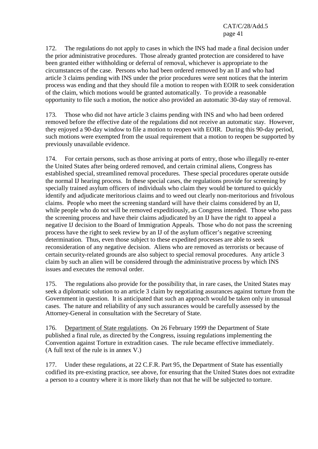172. The regulations do not apply to cases in which the INS had made a final decision under the prior administrative procedures. Those already granted protection are considered to have been granted either withholding or deferral of removal, whichever is appropriate to the circumstances of the case. Persons who had been ordered removed by an IJ and who had article 3 claims pending with INS under the prior procedures were sent notices that the interim process was ending and that they should file a motion to reopen with EOIR to seek consideration of the claim, which motions would be granted automatically. To provide a reasonable opportunity to file such a motion, the notice also provided an automatic 30-day stay of removal.

173. Those who did not have article 3 claims pending with INS and who had been ordered removed before the effective date of the regulations did not receive an automatic stay. However, they enjoyed a 90-day window to file a motion to reopen with EOIR. During this 90-day period, such motions were exempted from the usual requirement that a motion to reopen be supported by previously unavailable evidence.

174. For certain persons, such as those arriving at ports of entry, those who illegally re-enter the United States after being ordered removed, and certain criminal aliens, Congress has established special, streamlined removal procedures. These special procedures operate outside the normal IJ hearing process. In these special cases, the regulations provide for screening by specially trained asylum officers of individuals who claim they would be tortured to quickly identify and adjudicate meritorious claims and to weed out clearly non-meritorious and frivolous claims. People who meet the screening standard will have their claims considered by an IJ, while people who do not will be removed expeditiously, as Congress intended. Those who pass the screening process and have their claims adjudicated by an IJ have the right to appeal a negative IJ decision to the Board of Immigration Appeals. Those who do not pass the screening process have the right to seek review by an IJ of the asylum officer's negative screening determination. Thus, even those subject to these expedited processes are able to seek reconsideration of any negative decision. Aliens who are removed as terrorists or because of certain security-related grounds are also subject to special removal procedures. Any article 3 claim by such an alien will be considered through the administrative process by which INS issues and executes the removal order.

175. The regulations also provide for the possibility that, in rare cases, the United States may seek a diplomatic solution to an article 3 claim by negotiating assurances against torture from the Government in question. It is anticipated that such an approach would be taken only in unusual cases. The nature and reliability of any such assurances would be carefully assessed by the Attorney-General in consultation with the Secretary of State.

176. Department of State regulations. On 26 February 1999 the Department of State published a final rule, as directed by the Congress, issuing regulations implementing the Convention against Torture in extradition cases. The rule became effective immediately. (A full text of the rule is in annex V.)

177. Under these regulations, at 22 C.F.R. Part 95, the Department of State has essentially codified its pre-existing practice, see above, for ensuring that the United States does not extradite a person to a country where it is more likely than not that he will be subjected to torture.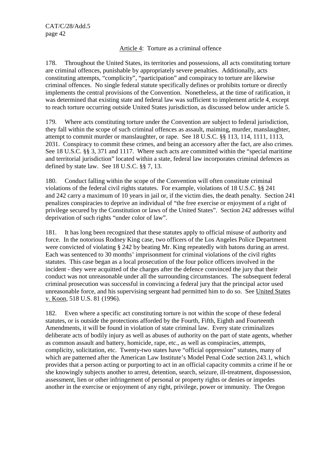# Article 4: Torture as a criminal offence

178. Throughout the United States, its territories and possessions, all acts constituting torture are criminal offences, punishable by appropriately severe penalties. Additionally, acts constituting attempts, "complicity", "participation" and conspiracy to torture are likewise criminal offences. No single federal statute specifically defines or prohibits torture or directly implements the central provisions of the Convention. Nonetheless, at the time of ratification, it was determined that existing state and federal law was sufficient to implement article 4, except to reach torture occurring outside United States jurisdiction, as discussed below under article 5.

179. Where acts constituting torture under the Convention are subject to federal jurisdiction, they fall within the scope of such criminal offences as assault, maiming, murder, manslaughter, attempt to commit murder or manslaughter, or rape. See 18 U.S.C. §§ 113, 114, 1111, 1113, 2031. Conspiracy to commit these crimes, and being an accessory after the fact, are also crimes. See 18 U.S.C. §§ 3, 371 and 1117. Where such acts are committed within the "special maritime and territorial jurisdiction" located within a state, federal law incorporates criminal defences as defined by state law. See 18 U.S.C. §§ 7, 13.

180. Conduct falling within the scope of the Convention will often constitute criminal violations of the federal civil rights statutes. For example, violations of 18 U.S.C. §§ 241 and 242 carry a maximum of 10 years in jail or, if the victim dies, the death penalty. Section 241 penalizes conspiracies to deprive an individual of "the free exercise or enjoyment of a right of privilege secured by the Constitution or laws of the United States". Section 242 addresses wilful deprivation of such rights "under color of law".

181. It has long been recognized that these statutes apply to official misuse of authority and force. In the notorious Rodney King case, two officers of the Los Angeles Police Department were convicted of violating § 242 by beating Mr. King repeatedly with batons during an arrest. Each was sentenced to 30 months' imprisonment for criminal violations of the civil rights statutes. This case began as a local prosecution of the four police officers involved in the incident - they were acquitted of the charges after the defence convinced the jury that their conduct was not unreasonable under all the surrounding circumstances. The subsequent federal criminal prosecution was successful in convincing a federal jury that the principal actor used unreasonable force, and his supervising sergeant had permitted him to do so. See United States v. Koon, 518 U.S. 81 (1996).

182. Even where a specific act constituting torture is not within the scope of these federal statutes, or is outside the protections afforded by the Fourth, Fifth, Eighth and Fourteenth Amendments, it will be found in violation of state criminal law. Every state criminalizes deliberate acts of bodily injury as well as abuses of authority on the part of state agents, whether as common assault and battery, homicide, rape, etc., as well as conspiracies, attempts, complicity, solicitation, etc. Twenty-two states have "official oppression" statutes, many of which are patterned after the American Law Institute's Model Penal Code section 243.1, which provides that a person acting or purporting to act in an official capacity commits a crime if he or she knowingly subjects another to arrest, detention, search, seizure, ill-treatment, dispossession, assessment, lien or other infringement of personal or property rights or denies or impedes another in the exercise or enjoyment of any right, privilege, power or immunity. The Oregon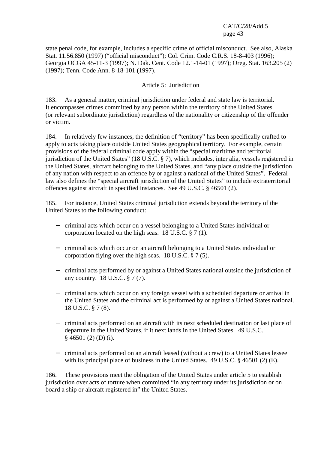state penal code, for example, includes a specific crime of official misconduct. See also, Alaska Stat. 11.56.850 (1997) ("official misconduct"); Col. Crim. Code C.R.S. 18-8-403 (1996); Georgia OCGA 45-11-3 (1997); N. Dak. Cent. Code 12.1-14-01 (1997); Oreg. Stat. 163.205 (2) (1997); Tenn. Code Ann. 8-18-101 (1997).

#### Article 5: Jurisdiction

183. As a general matter, criminal jurisdiction under federal and state law is territorial. It encompasses crimes committed by any person within the territory of the United States (or relevant subordinate jurisdiction) regardless of the nationality or citizenship of the offender or victim.

184. In relatively few instances, the definition of "territory" has been specifically crafted to apply to acts taking place outside United States geographical territory. For example, certain provisions of the federal criminal code apply within the "special maritime and territorial jurisdiction of the United States" (18 U.S.C. § 7), which includes, inter alia, vessels registered in the United States, aircraft belonging to the United States, and "any place outside the jurisdiction of any nation with respect to an offence by or against a national of the United States". Federal law also defines the "special aircraft jurisdiction of the United States" to include extraterritorial offences against aircraft in specified instances. See 49 U.S.C. § 46501 (2).

185. For instance, United States criminal jurisdiction extends beyond the territory of the United States to the following conduct:

- − criminal acts which occur on a vessel belonging to a United States individual or corporation located on the high seas. 18 U.S.C. § 7 (1).
- − criminal acts which occur on an aircraft belonging to a United States individual or corporation flying over the high seas. 18 U.S.C. § 7 (5).
- − criminal acts performed by or against a United States national outside the jurisdiction of any country. 18 U.S.C. § 7 (7).
- − criminal acts which occur on any foreign vessel with a scheduled departure or arrival in the United States and the criminal act is performed by or against a United States national. 18 U.S.C. § 7 (8).
- − criminal acts performed on an aircraft with its next scheduled destination or last place of departure in the United States, if it next lands in the United States. 49 U.S.C. § 46501 (2) (D) (i).
- − criminal acts performed on an aircraft leased (without a crew) to a United States lessee with its principal place of business in the United States. 49 U.S.C. § 46501 (2) (E).

186. These provisions meet the obligation of the United States under article 5 to establish jurisdiction over acts of torture when committed "in any territory under its jurisdiction or on board a ship or aircraft registered in" the United States.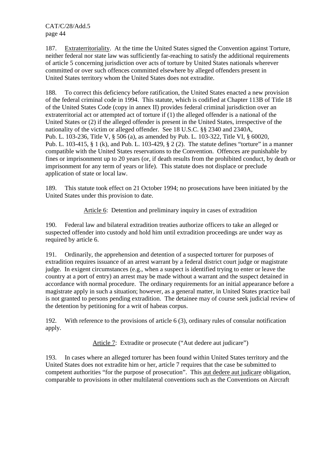187. Extraterritoriality. At the time the United States signed the Convention against Torture, neither federal nor state law was sufficiently far-reaching to satisfy the additional requirements of article 5 concerning jurisdiction over acts of torture by United States nationals wherever committed or over such offences committed elsewhere by alleged offenders present in United States territory whom the United States does not extradite.

188. To correct this deficiency before ratification, the United States enacted a new provision of the federal criminal code in 1994. This statute, which is codified at Chapter 113B of Title 18 of the United States Code (copy in annex II) provides federal criminal jurisdiction over an extraterritorial act or attempted act of torture if (1) the alleged offender is a national of the United States or (2) if the alleged offender is present in the United States, irrespective of the nationality of the victim or alleged offender. See 18 U.S.C. §§ 2340 and 2340A, Pub. L. 103-236, Title V, § 506 (a), as amended by Pub. L. 103-322, Title VI, § 60020, Pub. L. 103-415, § 1 (k), and Pub. L. 103-429, § 2 (2). The statute defines "torture" in a manner compatible with the United States reservations to the Convention. Offences are punishable by fines or imprisonment up to 20 years (or, if death results from the prohibited conduct, by death or imprisonment for any term of years or life). This statute does not displace or preclude application of state or local law.

189. This statute took effect on 21 October 1994; no prosecutions have been initiated by the United States under this provision to date.

Article 6: Detention and preliminary inquiry in cases of extradition

190. Federal law and bilateral extradition treaties authorize officers to take an alleged or suspected offender into custody and hold him until extradition proceedings are under way as required by article 6.

191. Ordinarily, the apprehension and detention of a suspected torturer for purposes of extradition requires issuance of an arrest warrant by a federal district court judge or magistrate judge. In exigent circumstances (e.g., when a suspect is identified trying to enter or leave the country at a port of entry) an arrest may be made without a warrant and the suspect detained in accordance with normal procedure. The ordinary requirements for an initial appearance before a magistrate apply in such a situation; however, as a general matter, in United States practice bail is not granted to persons pending extradition. The detainee may of course seek judicial review of the detention by petitioning for a writ of habeas corpus.

192. With reference to the provisions of article 6 (3), ordinary rules of consular notification apply.

Article 7: Extradite or prosecute ("Aut dedere aut judicare")

193. In cases where an alleged torturer has been found within United States territory and the United States does not extradite him or her, article 7 requires that the case be submitted to competent authorities "for the purpose of prosecution". This aut dedere aut judicare obligation, comparable to provisions in other multilateral conventions such as the Conventions on Aircraft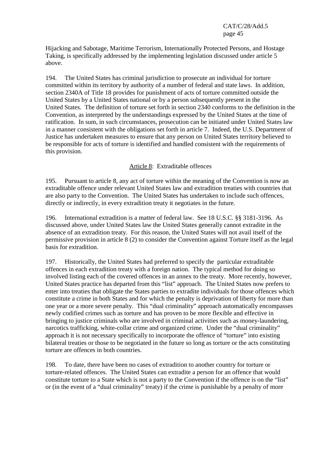Hijacking and Sabotage, Maritime Terrorism, Internationally Protected Persons, and Hostage Taking, is specifically addressed by the implementing legislation discussed under article 5 above.

194. The United States has criminal jurisdiction to prosecute an individual for torture committed within its territory by authority of a number of federal and state laws. In addition, section 2340A of Title 18 provides for punishment of acts of torture committed outside the United States by a United States national or by a person subsequently present in the United States. The definition of torture set forth in section 2340 conforms to the definition in the Convention, as interpreted by the understandings expressed by the United States at the time of ratification. In sum, in such circumstances, prosecution can be initiated under United States law in a manner consistent with the obligations set forth in article 7. Indeed, the U.S. Department of Justice has undertaken measures to ensure that any person on United States territory believed to be responsible for acts of torture is identified and handled consistent with the requirements of this provision.

## Article 8: Extraditable offences

195. Pursuant to article 8, any act of torture within the meaning of the Convention is now an extraditable offence under relevant United States law and extradition treaties with countries that are also party to the Convention. The United States has undertaken to include such offences, directly or indirectly, in every extradition treaty it negotiates in the future.

196. International extradition is a matter of federal law. See 18 U.S.C. §§ 3181-3196. As discussed above, under United States law the United States generally cannot extradite in the absence of an extradition treaty. For this reason, the United States will not avail itself of the permissive provision in article 8 (2) to consider the Convention against Torture itself as the legal basis for extradition.

197. Historically, the United States had preferred to specify the particular extraditable offences in each extradition treaty with a foreign nation. The typical method for doing so involved listing each of the covered offences in an annex to the treaty. More recently, however, United States practice has departed from this "list" approach. The United States now prefers to enter into treaties that obligate the States parties to extradite individuals for those offences which constitute a crime in both States and for which the penalty is deprivation of liberty for more than one year or a more severe penalty. This "dual criminality" approach automatically encompasses newly codified crimes such as torture and has proven to be more flexible and effective in bringing to justice criminals who are involved in criminal activities such as money-laundering, narcotics trafficking, white-collar crime and organized crime. Under the "dual criminality" approach it is not necessary specifically to incorporate the offence of "torture" into existing bilateral treaties or those to be negotiated in the future so long as torture or the acts constituting torture are offences in both countries.

198. To date, there have been no cases of extradition to another country for torture or torture-related offences. The United States can extradite a person for an offence that would constitute torture to a State which is not a party to the Convention if the offence is on the "list" or (in the event of a "dual criminality" treaty) if the crime is punishable by a penalty of more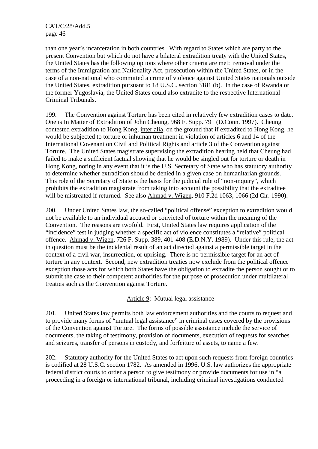than one year's incarceration in both countries. With regard to States which are party to the present Convention but which do not have a bilateral extradition treaty with the United States, the United States has the following options where other criteria are met: removal under the terms of the Immigration and Nationality Act, prosecution within the United States, or in the case of a non-national who committed a crime of violence against United States nationals outside the United States, extradition pursuant to 18 U.S.C. section 3181 (b). In the case of Rwanda or the former Yugoslavia, the United States could also extradite to the respective International Criminal Tribunals.

199. The Convention against Torture has been cited in relatively few extradition cases to date. One is In Matter of Extradition of John Cheung, 968 F. Supp. 791 (D.Conn. 1997). Cheung contested extradition to Hong Kong, inter alia, on the ground that if extradited to Hong Kong, he would be subjected to torture or inhuman treatment in violation of articles 6 and 14 of the International Covenant on Civil and Political Rights and article 3 of the Convention against Torture. The United States magistrate supervising the extradition hearing held that Cheung had failed to make a sufficient factual showing that he would be singled out for torture or death in Hong Kong, noting in any event that it is the U.S. Secretary of State who has statutory authority to determine whether extradition should be denied in a given case on humanitarian grounds. This role of the Secretary of State is the basis for the judicial rule of "non-inquiry", which prohibits the extradition magistrate from taking into account the possibility that the extraditee will be mistreated if returned. See also Ahmad v. Wigen, 910 F.2d 1063, 1066 (2d Cir. 1990).

200. Under United States law, the so-called "political offense" exception to extradition would not be available to an individual accused or convicted of torture within the meaning of the Convention. The reasons are twofold. First, United States law requires application of the "incidence" test in judging whether a specific act of violence constitutes a "relative" political offence. Ahmad v. Wigen**,** 726 F. Supp. 389, 401-408 (E.D.N.Y. 1989). Under this rule, the act in question must be the incidental result of an act directed against a permissible target in the context of a civil war, insurrection, or uprising**.** There is no permissible target for an act of torture in any context. Second, new extradition treaties now exclude from the political offence exception those acts for which both States have the obligation to extradite the person sought or to submit the case to their competent authorities for the purpose of prosecution under multilateral treaties such as the Convention against Torture.

Article 9: Mutual legal assistance

201. United States law permits both law enforcement authorities and the courts to request and to provide many forms of "mutual legal assistance" in criminal cases covered by the provisions of the Convention against Torture. The forms of possible assistance include the service of documents, the taking of testimony, provision of documents, execution of requests for searches and seizures, transfer of persons in custody, and forfeiture of assets, to name a few.

202. Statutory authority for the United States to act upon such requests from foreign countries is codified at 28 U.S.C. section 1782. As amended in 1996, U.S. law authorizes the appropriate federal district courts to order a person to give testimony or provide documents for use in "a proceeding in a foreign or international tribunal, including criminal investigations conducted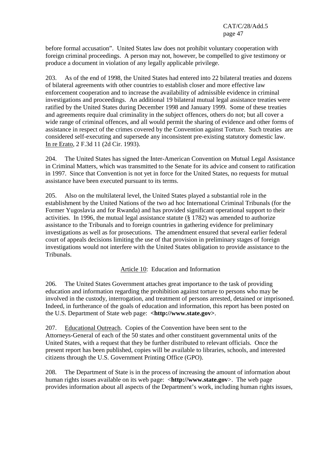before formal accusation". United States law does not prohibit voluntary cooperation with foreign criminal proceedings. A person may not, however, be compelled to give testimony or produce a document in violation of any legally applicable privilege.

203. As of the end of 1998, the United States had entered into 22 bilateral treaties and dozens of bilateral agreements with other countries to establish closer and more effective law enforcement cooperation and to increase the availability of admissible evidence in criminal investigations and proceedings. An additional 19 bilateral mutual legal assistance treaties were ratified by the United States during December 1998 and January 1999. Some of these treaties and agreements require dual criminality in the subject offences, others do not; but all cover a wide range of criminal offences, and all would permit the sharing of evidence and other forms of assistance in respect of the crimes covered by the Convention against Torture. Such treaties are considered self-executing and supersede any inconsistent pre-existing statutory domestic law. In re Erato, 2 F.3d 11 (2d Cir. 1993).

204. The United States has signed the Inter-American Convention on Mutual Legal Assistance in Criminal Matters, which was transmitted to the Senate for its advice and consent to ratification in 1997. Since that Convention is not yet in force for the United States, no requests for mutual assistance have been executed pursuant to its terms.

205. Also on the multilateral level, the United States played a substantial role in the establishment by the United Nations of the two ad hoc International Criminal Tribunals (for the Former Yugoslavia and for Rwanda) and has provided significant operational support to their activities. In 1996, the mutual legal assistance statute (§ 1782) was amended to authorize assistance to the Tribunals and to foreign countries in gathering evidence for preliminary investigations as well as for prosecutions. The amendment ensured that several earlier federal court of appeals decisions limiting the use of that provision in preliminary stages of foreign investigations would not interfere with the United States obligation to provide assistance to the Tribunals.

Article 10: Education and Information

206. The United States Government attaches great importance to the task of providing education and information regarding the prohibition against torture to persons who may be involved in the custody, interrogation, and treatment of persons arrested, detained or imprisoned. Indeed, in furtherance of the goals of education and information, this report has been posted on the U.S. Department of State web page: **<http://www.state.gov>**.

207. Educational Outreach. Copies of the Convention have been sent to the Attorneys-General of each of the 50 states and other constituent governmental units of the United States, with a request that they be further distributed to relevant officials. Once the present report has been published, copies will be available to libraries, schools, and interested citizens through the U.S. Government Printing Office (GPO).

208. The Department of State is in the process of increasing the amount of information about human rights issues available on its web page: <**http://www.state.gov**>. The web page provides information about all aspects of the Department's work, including human rights issues,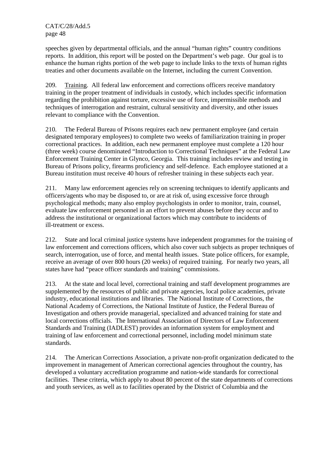speeches given by departmental officials, and the annual "human rights" country conditions reports. In addition, this report will be posted on the Department's web page. Our goal is to enhance the human rights portion of the web page to include links to the texts of human rights treaties and other documents available on the Internet, including the current Convention.

209. Training. All federal law enforcement and corrections officers receive mandatory training in the proper treatment of individuals in custody, which includes specific information regarding the prohibition against torture, excessive use of force, impermissible methods and techniques of interrogation and restraint, cultural sensitivity and diversity, and other issues relevant to compliance with the Convention.

210. The Federal Bureau of Prisons requires each new permanent employee (and certain designated temporary employees) to complete two weeks of familiarization training in proper correctional practices. In addition, each new permanent employee must complete a 120 hour (three week) course denominated "Introduction to Correctional Techniques" at the Federal Law Enforcement Training Center in Glynco, Georgia. This training includes review and testing in Bureau of Prisons policy, firearms proficiency and self-defence. Each employee stationed at a Bureau institution must receive 40 hours of refresher training in these subjects each year.

211. Many law enforcement agencies rely on screening techniques to identify applicants and officers/agents who may be disposed to, or are at risk of, using excessive force through psychological methods; many also employ psychologists in order to monitor, train, counsel, evaluate law enforcement personnel in an effort to prevent abuses before they occur and to address the institutional or organizational factors which may contribute to incidents of ill-treatment or excess.

212. State and local criminal justice systems have independent programmes for the training of law enforcement and corrections officers, which also cover such subjects as proper techniques of search, interrogation, use of force, and mental health issues. State police officers, for example, receive an average of over 800 hours (20 weeks) of required training. For nearly two years, all states have had "peace officer standards and training" commissions.

213. At the state and local level, correctional training and staff development programmes are supplemented by the resources of public and private agencies, local police academies, private industry, educational institutions and libraries. The National Institute of Corrections, the National Academy of Corrections, the National Institute of Justice, the Federal Bureau of Investigation and others provide managerial, specialized and advanced training for state and local corrections officials. The International Association of Directors of Law Enforcement Standards and Training (IADLEST) provides an information system for employment and training of law enforcement and correctional personnel, including model minimum state standards.

214. The American Corrections Association, a private non-profit organization dedicated to the improvement in management of American correctional agencies throughout the country, has developed a voluntary accreditation programme and nation-wide standards for correctional facilities. These criteria, which apply to about 80 percent of the state departments of corrections and youth services, as well as to facilities operated by the District of Columbia and the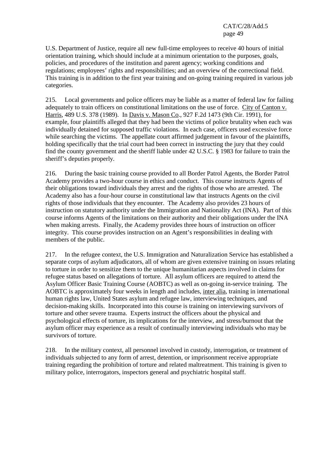U.S. Department of Justice, require all new full-time employees to receive 40 hours of initial orientation training, which should include at a minimum orientation to the purposes, goals, policies, and procedures of the institution and parent agency; working conditions and regulations; employees' rights and responsibilities; and an overview of the correctional field. This training is in addition to the first year training and on-going training required in various job categories.

215. Local governments and police officers may be liable as a matter of federal law for failing adequately to train officers on constitutional limitations on the use of force. City of Canton v. Harris, 489 U.S. 378 (1989). In Davis v. Mason Co., 927 F.2d 1473 (9th Cir. 1991), for example, four plaintiffs alleged that they had been the victims of police brutality when each was individually detained for supposed traffic violations. In each case, officers used excessive force while searching the victims. The appellate court affirmed judgement in favour of the plaintiffs, holding specifically that the trial court had been correct in instructing the jury that they could find the county government and the sheriff liable under 42 U.S.C. § 1983 for failure to train the sheriff's deputies properly.

216. During the basic training course provided to all Border Patrol Agents, the Border Patrol Academy provides a two-hour course in ethics and conduct. This course instructs Agents of their obligations toward individuals they arrest and the rights of those who are arrested. The Academy also has a four-hour course in constitutional law that instructs Agents on the civil rights of those individuals that they encounter. The Academy also provides 23 hours of instruction on statutory authority under the Immigration and Nationality Act (INA). Part of this course informs Agents of the limitations on their authority and their obligations under the INA when making arrests. Finally, the Academy provides three hours of instruction on officer integrity. This course provides instruction on an Agent's responsibilities in dealing with members of the public.

217. In the refugee context, the U.S. Immigration and Naturalization Service has established a separate corps of asylum adjudicators, all of whom are given extensive training on issues relating to torture in order to sensitize them to the unique humanitarian aspects involved in claims for refugee status based on allegations of torture. All asylum officers are required to attend the Asylum Officer Basic Training Course (AOBTC) as well as on-going in-service training. The AOBTC is approximately four weeks in length and includes, inter alia, training in international human rights law, United States asylum and refugee law, interviewing techniques, and decision-making skills. Incorporated into this course is training on interviewing survivors of torture and other severe trauma. Experts instruct the officers about the physical and psychological effects of torture, its implications for the interview, and stress/burnout that the asylum officer may experience as a result of continually interviewing individuals who may be survivors of torture.

218. In the military context, all personnel involved in custody, interrogation, or treatment of individuals subjected to any form of arrest, detention, or imprisonment receive appropriate training regarding the prohibition of torture and related maltreatment. This training is given to military police, interrogators, inspectors general and psychiatric hospital staff.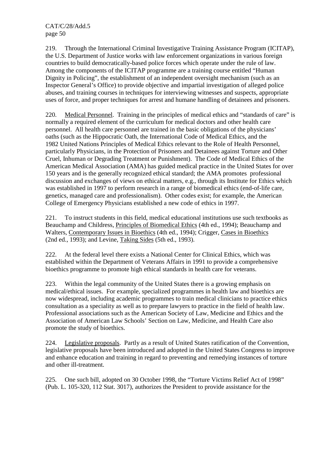219. Through the International Criminal Investigative Training Assistance Program (ICITAP), the U.S. Department of Justice works with law enforcement organizations in various foreign countries to build democratically-based police forces which operate under the rule of law. Among the components of the ICITAP programme are a training course entitled "Human Dignity in Policing", the establishment of an independent oversight mechanism (such as an Inspector General's Office) to provide objective and impartial investigation of alleged police abuses, and training courses in techniques for interviewing witnesses and suspects, appropriate uses of force, and proper techniques for arrest and humane handling of detainees and prisoners.

220. Medical Personnel. Training in the principles of medical ethics and "standards of care" is normally a required element of the curriculum for medical doctors and other health care personnel. All health care personnel are trained in the basic obligations of the physicians' oaths (such as the Hippocratic Oath, the International Code of Medical Ethics, and the 1982 United Nations Principles of Medical Ethics relevant to the Role of Health Personnel, particularly Physicians, in the Protection of Prisoners and Detainees against Torture and Other Cruel, Inhuman or Degrading Treatment or Punishment). The Code of Medical Ethics of the American Medical Association (AMA) has guided medical practice in the United States for over 150 years and is the generally recognized ethical standard; the AMA promotes professional discussion and exchanges of views on ethical matters, e.g., through its Institute for Ethics which was established in 1997 to perform research in a range of biomedical ethics (end-of-life care, genetics, managed care and professionalism). Other codes exist; for example, the American College of Emergency Physicians established a new code of ethics in 1997.

221. To instruct students in this field, medical educational institutions use such textbooks as Beauchamp and Childress, Principles of Biomedical Ethics (4th ed., 1994); Beauchamp and Walters, Contemporary Issues in Bioethics (4th ed., 1994); Crigger, Cases in Bioethics (2nd ed., 1993); and Levine, Taking Sides (5th ed., 1993).

222. At the federal level there exists a National Center for Clinical Ethics, which was established within the Department of Veterans Affairs in 1991 to provide a comprehensive bioethics programme to promote high ethical standards in health care for veterans.

223. Within the legal community of the United States there is a growing emphasis on medical/ethical issues. For example, specialized programmes in health law and bioethics are now widespread, including academic programmes to train medical clinicians to practice ethics consultation as a speciality as well as to prepare lawyers to practice in the field of health law. Professional associations such as the American Society of Law, Medicine and Ethics and the Association of American Law Schools' Section on Law, Medicine, and Health Care also promote the study of bioethics.

224. Legislative proposals. Partly as a result of United States ratification of the Convention, legislative proposals have been introduced and adopted in the United States Congress to improve and enhance education and training in regard to preventing and remedying instances of torture and other ill-treatment.

225. One such bill, adopted on 30 October 1998, the "Torture Victims Relief Act of 1998" (Pub. L. 105-320, 112 Stat. 3017), authorizes the President to provide assistance for the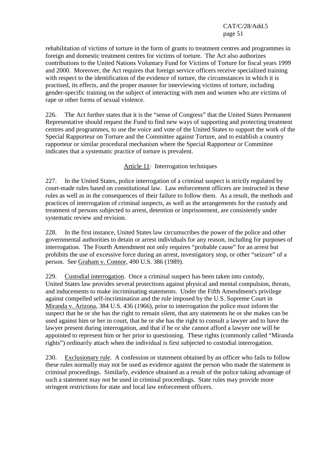rehabilitation of victims of torture in the form of grants to treatment centres and programmes in foreign and domestic treatment centres for victims of torture. The Act also authorizes contributions to the United Nations Voluntary Fund for Victims of Torture for fiscal years 1999 and 2000. Moreover, the Act requires that foreign service officers receive specialized training with respect to the identification of the evidence of torture, the circumstances in which it is practised, its effects, and the proper manner for interviewing victims of torture, including gender-specific training on the subject of interacting with men and women who are victims of rape or other forms of sexual violence.

226. The Act further states that it is the "sense of Congress" that the United States Permanent Representative should request the Fund to find new ways of supporting and protecting treatment centres and programmes, to use the voice and vote of the United States to support the work of the Special Rapporteur on Torture and the Committee against Torture, and to establish a country rapporteur or similar procedural mechanism where the Special Rapporteur or Committee indicates that a systematic practice of torture is prevalent.

# Article 11: Interrogation techniques

227. In the United States, police interrogation of a criminal suspect is strictly regulated by court-made rules based on constitutional law. Law enforcement officers are instructed in these rules as well as in the consequences of their failure to follow them. As a result, the methods and practices of interrogation of criminal suspects, as well as the arrangements for the custody and treatment of persons subjected to arrest, detention or imprisonment, are consistently under systematic review and revision.

228. In the first instance, United States law circumscribes the power of the police and other governmental authorities to detain or arrest individuals for any reason, including for purposes of interrogation. The Fourth Amendment not only requires "probable cause" for an arrest but prohibits the use of excessive force during an arrest, investigatory stop, or other "seizure" of a person. See Graham v. Connor, 490 U.S. 386 (1989).

229. Custodial interrogation. Once a criminal suspect has been taken into custody, United States law provides several protections against physical and mental compulsion, threats, and inducements to make incriminating statements. Under the Fifth Amendment's privilege against compelled self-incrimination and the rule imposed by the U.S. Supreme Court in Miranda v. Arizona, 384 U.S. 436 (1966), prior to interrogation the police must inform the suspect that he or she has the right to remain silent, that any statements he or she makes can be used against him or her in court, that he or she has the right to consult a lawyer and to have the lawyer present during interrogation, and that if he or she cannot afford a lawyer one will be appointed to represent him or her prior to questioning. These rights (commonly called "Miranda rights") ordinarily attach when the individual is first subjected to custodial interrogation.

230. Exclusionary rule. A confession or statement obtained by an officer who fails to follow these rules normally may not be used as evidence against the person who made the statement in criminal proceedings. Similarly, evidence obtained as a result of the police taking advantage of such a statement may not be used in criminal proceedings. State rules may provide more stringent restrictions for state and local law enforcement officers.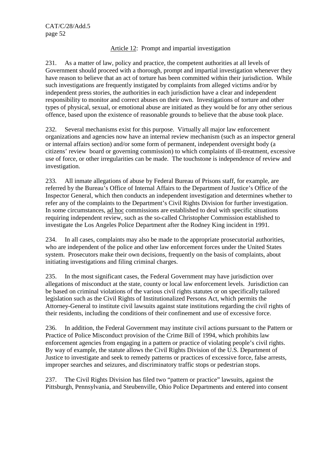# Article 12: Prompt and impartial investigation

231. As a matter of law, policy and practice, the competent authorities at all levels of Government should proceed with a thorough, prompt and impartial investigation whenever they have reason to believe that an act of torture has been committed within their jurisdiction. While such investigations are frequently instigated by complaints from alleged victims and/or by independent press stories, the authorities in each jurisdiction have a clear and independent responsibility to monitor and correct abuses on their own. Investigations of torture and other types of physical, sexual, or emotional abuse are initiated as they would be for any other serious offence, based upon the existence of reasonable grounds to believe that the abuse took place.

232. Several mechanisms exist for this purpose. Virtually all major law enforcement organizations and agencies now have an internal review mechanism (such as an inspector general or internal affairs section) and/or some form of permanent, independent oversight body (a citizens' review board or governing commission) to which complaints of ill-treatment, excessive use of force, or other irregularities can be made. The touchstone is independence of review and investigation.

233. All inmate allegations of abuse by Federal Bureau of Prisons staff, for example, are referred by the Bureau's Office of Internal Affairs to the Department of Justice's Office of the Inspector General, which then conducts an independent investigation and determines whether to refer any of the complaints to the Department's Civil Rights Division for further investigation. In some circumstances, ad hoc commissions are established to deal with specific situations requiring independent review, such as the so-called Christopher Commission established to investigate the Los Angeles Police Department after the Rodney King incident in 1991.

234. In all cases, complaints may also be made to the appropriate prosecutorial authorities, who are independent of the police and other law enforcement forces under the United States system. Prosecutors make their own decisions, frequently on the basis of complaints, about initiating investigations and filing criminal charges.

235. In the most significant cases, the Federal Government may have jurisdiction over allegations of misconduct at the state, county or local law enforcement levels. Jurisdiction can be based on criminal violations of the various civil rights statutes or on specifically tailored legislation such as the Civil Rights of Institutionalized Persons Act, which permits the Attorney-General to institute civil lawsuits against state institutions regarding the civil rights of their residents, including the conditions of their confinement and use of excessive force.

236. In addition, the Federal Government may institute civil actions pursuant to the Pattern or Practice of Police Misconduct provision of the Crime Bill of 1994, which prohibits law enforcement agencies from engaging in a pattern or practice of violating people's civil rights. By way of example, the statute allows the Civil Rights Division of the U.S. Department of Justice to investigate and seek to remedy patterns or practices of excessive force, false arrests, improper searches and seizures, and discriminatory traffic stops or pedestrian stops.

237. The Civil Rights Division has filed two "pattern or practice" lawsuits, against the Pittsburgh, Pennsylvania, and Steubenville, Ohio Police Departments and entered into consent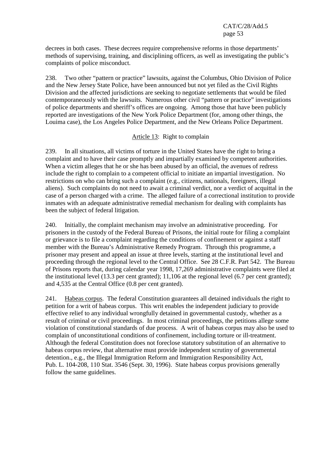decrees in both cases. These decrees require comprehensive reforms in those departments' methods of supervising, training, and disciplining officers, as well as investigating the public's complaints of police misconduct.

238. Two other "pattern or practice" lawsuits, against the Columbus, Ohio Division of Police and the New Jersey State Police, have been announced but not yet filed as the Civil Rights Division and the affected jurisdictions are seeking to negotiate settlements that would be filed contemporaneously with the lawsuits. Numerous other civil "pattern or practice" investigations of police departments and sheriff's offices are ongoing. Among those that have been publicly reported are investigations of the New York Police Department (for, among other things, the Louima case), the Los Angeles Police Department, and the New Orleans Police Department.

#### Article 13: Right to complain

239. In all situations, all victims of torture in the United States have the right to bring a complaint and to have their case promptly and impartially examined by competent authorities. When a victim alleges that he or she has been abused by an official, the avenues of redress include the right to complain to a competent official to initiate an impartial investigation. No restrictions on who can bring such a complaint (e.g., citizens, nationals, foreigners, illegal aliens). Such complaints do not need to await a criminal verdict, nor a verdict of acquittal in the case of a person charged with a crime. The alleged failure of a correctional institution to provide inmates with an adequate administrative remedial mechanism for dealing with complaints has been the subject of federal litigation.

240. Initially, the complaint mechanism may involve an administrative proceeding. For prisoners in the custody of the Federal Bureau of Prisons, the initial route for filing a complaint or grievance is to file a complaint regarding the conditions of confinement or against a staff member with the Bureau's Administrative Remedy Program. Through this programme, a prisoner may present and appeal an issue at three levels, starting at the institutional level and proceeding through the regional level to the Central Office. See 28 C.F.R. Part 542. The Bureau of Prisons reports that, during calendar year 1998, 17,269 administrative complaints were filed at the institutional level (13.3 per cent granted); 11,106 at the regional level (6.7 per cent granted); and 4,535 at the Central Office (0.8 per cent granted).

241. Habeas corpus. The federal Constitution guarantees all detained individuals the right to petition for a writ of habeas corpus. This writ enables the independent judiciary to provide effective relief to any individual wrongfully detained in governmental custody, whether as a result of criminal or civil proceedings. In most criminal proceedings, the petitions allege some violation of constitutional standards of due process. A writ of habeas corpus may also be used to complain of unconstitutional conditions of confinement, including torture or ill-treatment. Although the federal Constitution does not foreclose statutory substitution of an alternative to habeas corpus review, that alternative must provide independent scrutiny of governmental detention., e.g., the Illegal Immigration Reform and Immigration Responsibility Act, Pub. L. 104-208, 110 Stat. 3546 (Sept. 30, 1996). State habeas corpus provisions generally follow the same guidelines.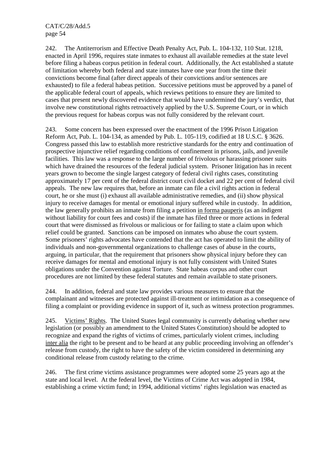242. The Antiterrorism and Effective Death Penalty Act, Pub. L. 104-132, 110 Stat. 1218, enacted in April 1996, requires state inmates to exhaust all available remedies at the state level before filing a habeas corpus petition in federal court. Additionally, the Act established a statute of limitation whereby both federal and state inmates have one year from the time their convictions become final (after direct appeals of their convictions and/or sentences are exhausted) to file a federal habeas petition. Successive petitions must be approved by a panel of the applicable federal court of appeals, which reviews petitions to ensure they are limited to cases that present newly discovered evidence that would have undermined the jury's verdict, that involve new constitutional rights retroactively applied by the U.S. Supreme Court, or in which the previous request for habeas corpus was not fully considered by the relevant court.

243. Some concern has been expressed over the enactment of the 1996 Prison Litigation Reform Act, Pub. L. 104-134, as amended by Pub. L. 105-119, codified at 18 U.S.C. § 3626. Congress passed this law to establish more restrictive standards for the entry and continuation of prospective injunctive relief regarding conditions of confinement in prisons, jails, and juvenile facilities. This law was a response to the large number of frivolous or harassing prisoner suits which have drained the resources of the federal judicial system. Prisoner litigation has in recent years grown to become the single largest category of federal civil rights cases, constituting approximately 17 per cent of the federal district court civil docket and 22 per cent of federal civil appeals. The new law requires that, before an inmate can file a civil rights action in federal court, he or she must (i) exhaust all available administrative remedies, and (ii) show physical injury to receive damages for mental or emotional injury suffered while in custody. In addition, the law generally prohibits an inmate from filing a petition in forma pauperis (as an indigent without liability for court fees and costs) if the inmate has filed three or more actions in federal court that were dismissed as frivolous or malicious or for failing to state a claim upon which relief could be granted. Sanctions can be imposed on inmates who abuse the court system. Some prisoners' rights advocates have contended that the act has operated to limit the ability of individuals and non-governmental organizations to challenge cases of abuse in the courts, arguing, in particular, that the requirement that prisoners show physical injury before they can receive damages for mental and emotional injury is not fully consistent with United States obligations under the Convention against Torture. State habeas corpus and other court procedures are not limited by these federal statutes and remain available to state prisoners.

244. In addition, federal and state law provides various measures to ensure that the complainant and witnesses are protected against ill-treatment or intimidation as a consequence of filing a complaint or providing evidence in support of it, such as witness protection programmes.

245. Victims' Rights. The United States legal community is currently debating whether new legislation (or possibly an amendment to the United States Constitution) should be adopted to recognize and expand the rights of victims of crimes, particularly violent crimes, including inter alia the right to be present and to be heard at any public proceeding involving an offender's release from custody, the right to have the safety of the victim considered in determining any conditional release from custody relating to the crime.

246. The first crime victims assistance programmes were adopted some 25 years ago at the state and local level. At the federal level, the Victims of Crime Act was adopted in 1984, establishing a crime victim fund; in 1994, additional victims' rights legislation was enacted as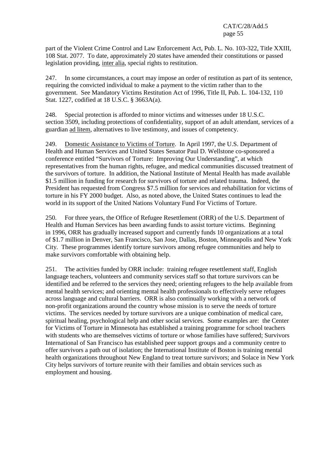part of the Violent Crime Control and Law Enforcement Act, Pub. L. No. 103-322, Title XXIII, 108 Stat. 2077. To date, approximately 20 states have amended their constitutions or passed legislation providing, inter alia, special rights to restitution.

247. In some circumstances, a court may impose an order of restitution as part of its sentence, requiring the convicted individual to make a payment to the victim rather than to the government. See Mandatory Victims Restitution Act of 1996, Title II, Pub. L. 104-132, 110 Stat. 1227, codified at 18 U.S.C. § 3663A(a).

248. Special protection is afforded to minor victims and witnesses under 18 U.S.C. section 3509, including protections of confidentiality, support of an adult attendant, services of a guardian ad litem, alternatives to live testimony, and issues of competency.

249. Domestic Assistance to Victims of Torture. In April 1997, the U.S. Department of Health and Human Services and United States Senator Paul D. Wellstone co-sponsored a conference entitled "Survivors of Torture: Improving Our Understanding", at which representatives from the human rights, refugee, and medical communities discussed treatment of the survivors of torture. In addition, the National Institute of Mental Health has made available \$1.5 million in funding for research for survivors of torture and related trauma. Indeed, the President has requested from Congress \$7.5 million for services and rehabilitation for victims of torture in his FY 2000 budget. Also, as noted above, the United States continues to lead the world in its support of the United Nations Voluntary Fund For Victims of Torture.

250. For three years, the Office of Refugee Resettlement (ORR) of the U.S. Department of Health and Human Services has been awarding funds to assist torture victims. Beginning in 1996, ORR has gradually increased support and currently funds 10 organizations at a total of \$1.7 million in Denver, San Francisco, San Jose, Dallas, Boston, Minneapolis and New York City. These programmes identify torture survivors among refugee communities and help to make survivors comfortable with obtaining help.

251. The activities funded by ORR include: training refugee resettlement staff, English language teachers, volunteers and community services staff so that torture survivors can be identified and be referred to the services they need; orienting refugees to the help available from mental health services; and orienting mental health professionals to effectively serve refugees across language and cultural barriers. ORR is also continually working with a network of non-profit organizations around the country whose mission is to serve the needs of torture victims. The services needed by torture survivors are a unique combination of medical care, spiritual healing, psychological help and other social services. Some examples are: the Center for Victims of Torture in Minnesota has established a training programme for school teachers with students who are themselves victims of torture or whose families have suffered; Survivors International of San Francisco has established peer support groups and a community centre to offer survivors a path out of isolation; the International Institute of Boston is training mental health organizations throughout New England to treat torture survivors; and Solace in New York City helps survivors of torture reunite with their families and obtain services such as employment and housing.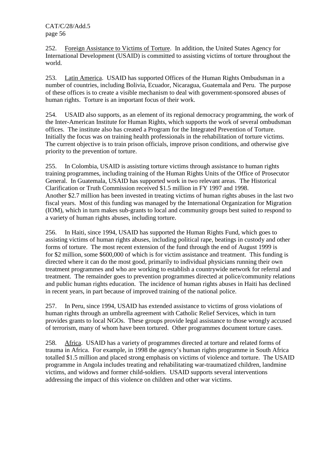252. Foreign Assistance to Victims of Torture. In addition, the United States Agency for International Development (USAID) is committed to assisting victims of torture throughout the world.

253. Latin America. USAID has supported Offices of the Human Rights Ombudsman in a number of countries, including Bolivia, Ecuador, Nicaragua, Guatemala and Peru. The purpose of these offices is to create a visible mechanism to deal with government-sponsored abuses of human rights. Torture is an important focus of their work.

254. USAID also supports, as an element of its regional democracy programming, the work of the Inter-American Institute for Human Rights, which supports the work of several ombudsman offices. The institute also has created a Program for the Integrated Prevention of Torture. Initially the focus was on training health professionals in the rehabilitation of torture victims. The current objective is to train prison officials, improve prison conditions, and otherwise give priority to the prevention of torture.

255. In Colombia, USAID is assisting torture victims through assistance to human rights training programmes, including training of the Human Rights Units of the Office of Prosecutor General. In Guatemala, USAID has supported work in two relevant areas. The Historical Clarification or Truth Commission received \$1.5 million in FY 1997 and 1998. Another \$2.7 million has been invested in treating victims of human rights abuses in the last two fiscal years. Most of this funding was managed by the International Organization for Migration (IOM), which in turn makes sub-grants to local and community groups best suited to respond to a variety of human rights abuses, including torture.

256. In Haiti, since 1994, USAID has supported the Human Rights Fund, which goes to assisting victims of human rights abuses, including political rape, beatings in custody and other forms of torture. The most recent extension of the fund through the end of August 1999 is for \$2 million, some \$600,000 of which is for victim assistance and treatment. This funding is directed where it can do the most good, primarily to individual physicians running their own treatment programmes and who are working to establish a countrywide network for referral and treatment. The remainder goes to prevention programmes directed at police/community relations and public human rights education. The incidence of human rights abuses in Haiti has declined in recent years, in part because of improved training of the national police.

257. In Peru, since 1994, USAID has extended assistance to victims of gross violations of human rights through an umbrella agreement with Catholic Relief Services, which in turn provides grants to local NGOs. These groups provide legal assistance to those wrongly accused of terrorism, many of whom have been tortured. Other programmes document torture cases.

258. Africa. USAID has a variety of programmes directed at torture and related forms of trauma in Africa. For example, in 1998 the agency's human rights programme in South Africa totalled \$1.5 million and placed strong emphasis on victims of violence and torture. The USAID programme in Angola includes treating and rehabilitating war-traumatized children, landmine victims, and widows and former child-soldiers. USAID supports several interventions addressing the impact of this violence on children and other war victims.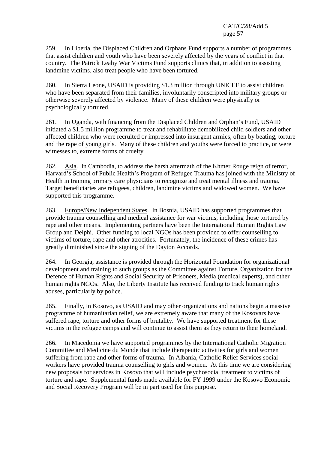259. In Liberia, the Displaced Children and Orphans Fund supports a number of programmes that assist children and youth who have been severely affected by the years of conflict in that country. The Patrick Leahy War Victims Fund supports clinics that, in addition to assisting landmine victims, also treat people who have been tortured.

260. In Sierra Leone, USAID is providing \$1.3 million through UNICEF to assist children who have been separated from their families, involuntarily conscripted into military groups or otherwise severely affected by violence. Many of these children were physically or psychologically tortured.

261. In Uganda, with financing from the Displaced Children and Orphan's Fund, USAID initiated a \$1.5 million programme to treat and rehabilitate demobilized child soldiers and other affected children who were recruited or impressed into insurgent armies, often by beating, torture and the rape of young girls. Many of these children and youths were forced to practice, or were witnesses to, extreme forms of cruelty.

262. Asia. In Cambodia, to address the harsh aftermath of the Khmer Rouge reign of terror, Harvard's School of Public Health's Program of Refugee Trauma has joined with the Ministry of Health in training primary care physicians to recognize and treat mental illness and trauma. Target beneficiaries are refugees, children, landmine victims and widowed women. We have supported this programme.

263. Europe/New Independent States. In Bosnia, USAID has supported programmes that provide trauma counselling and medical assistance for war victims, including those tortured by rape and other means. Implementing partners have been the International Human Rights Law Group and Delphi. Other funding to local NGOs has been provided to offer counselling to victims of torture, rape and other atrocities. Fortunately, the incidence of these crimes has greatly diminished since the signing of the Dayton Accords.

264. In Georgia, assistance is provided through the Horizontal Foundation for organizational development and training to such groups as the Committee against Torture, Organization for the Defence of Human Rights and Social Security of Prisoners, Media (medical experts), and other human rights NGOs. Also, the Liberty Institute has received funding to track human rights abuses, particularly by police.

265. Finally, in Kosovo, as USAID and may other organizations and nations begin a massive programme of humanitarian relief, we are extremely aware that many of the Kosovars have suffered rape, torture and other forms of brutality. We have supported treatment for these victims in the refugee camps and will continue to assist them as they return to their homeland.

266. In Macedonia we have supported programmes by the International Catholic Migration Committee and Medicine du Monde that include therapeutic activities for girls and women suffering from rape and other forms of trauma. In Albania, Catholic Relief Services social workers have provided trauma counselling to girls and women. At this time we are considering new proposals for services in Kosovo that will include psychosocial treatment to victims of torture and rape. Supplemental funds made available for FY 1999 under the Kosovo Economic and Social Recovery Program will be in part used for this purpose.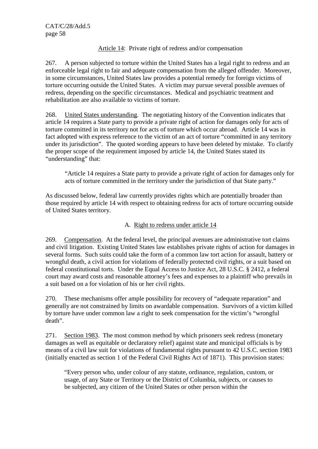# Article 14: Private right of redress and/or compensation

267. A person subjected to torture within the United States has a legal right to redress and an enforceable legal right to fair and adequate compensation from the alleged offender. Moreover, in some circumstances, United States law provides a potential remedy for foreign victims of torture occurring outside the United States. A victim may pursue several possible avenues of redress, depending on the specific circumstances. Medical and psychiatric treatment and rehabilitation are also available to victims of torture.

268. United States understanding. The negotiating history of the Convention indicates that article 14 requires a State party to provide a private right of action for damages only for acts of torture committed in its territory not for acts of torture which occur abroad. Article 14 was in fact adopted with express reference to the victim of an act of torture "committed in any territory under its jurisdiction". The quoted wording appears to have been deleted by mistake. To clarify the proper scope of the requirement imposed by article 14, the United States stated its "understanding" that:

"Article 14 requires a State party to provide a private right of action for damages only for acts of torture committed in the territory under the jurisdiction of that State party."

As discussed below, federal law currently provides rights which are potentially broader than those required by article 14 with respect to obtaining redress for acts of torture occurring outside of United States territory.

# A. Right to redress under article 14

269. Compensation. At the federal level, the principal avenues are administrative tort claims and civil litigation. Existing United States law establishes private rights of action for damages in several forms. Such suits could take the form of a common law tort action for assault, battery or wrongful death, a civil action for violations of federally protected civil rights, or a suit based on federal constitutional torts. Under the Equal Access to Justice Act, 28 U.S.C. § 2412, a federal court may award costs and reasonable attorney's fees and expenses to a plaintiff who prevails in a suit based on a for violation of his or her civil rights.

270. These mechanisms offer ample possibility for recovery of "adequate reparation" and generally are not constrained by limits on awardable compensation. Survivors of a victim killed by torture have under common law a right to seek compensation for the victim's "wrongful death".

271. Section 1983. The most common method by which prisoners seek redress (monetary damages as well as equitable or declaratory relief) against state and municipal officials is by means of a civil law suit for violations of fundamental rights pursuant to 42 U.S.C. section 1983 (initially enacted as section 1 of the Federal Civil Rights Act of 1871). This provision states:

"Every person who, under colour of any statute, ordinance, regulation, custom, or usage, of any State or Territory or the District of Columbia, subjects, or causes to be subjected, any citizen of the United States or other person within the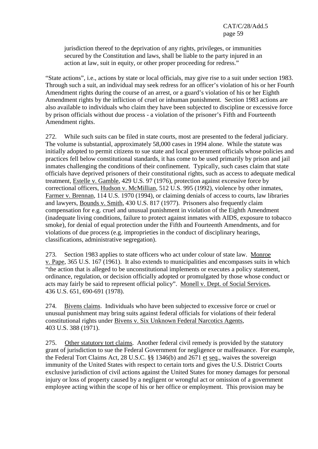jurisdiction thereof to the deprivation of any rights, privileges, or immunities secured by the Constitution and laws, shall be liable to the party injured in an action at law, suit in equity, or other proper proceeding for redress."

"State actions", i.e., actions by state or local officials, may give rise to a suit under section 1983. Through such a suit, an individual may seek redress for an officer's violation of his or her Fourth Amendment rights during the course of an arrest, or a guard's violation of his or her Eighth Amendment rights by the infliction of cruel or inhuman punishment. Section 1983 actions are also available to individuals who claim they have been subjected to discipline or excessive force by prison officials without due process - a violation of the prisoner's Fifth and Fourteenth Amendment rights.

272. While such suits can be filed in state courts, most are presented to the federal judiciary. The volume is substantial, approximately 58,000 cases in 1994 alone. While the statute was initially adopted to permit citizens to sue state and local government officials whose policies and practices fell below constitutional standards, it has come to be used primarily by prison and jail inmates challenging the conditions of their confinement. Typically, such cases claim that state officials have deprived prisoners of their constitutional rights, such as access to adequate medical treatment, Estelle v. Gamble, 429 U.S. 97 (1976), protection against excessive force by correctional officers, Hudson v. McMillian, 512 U.S. 995 (1992), violence by other inmates, Farmer v. Brennan, 114 U.S. 1970 (1994), or claiming denials of access to courts, law libraries and lawyers, Bounds v. Smith, 430 U.S. 817 (1977). Prisoners also frequently claim compensation for e.g. cruel and unusual punishment in violation of the Eighth Amendment (inadequate living conditions, failure to protect against inmates with AIDS, exposure to tobacco smoke), for denial of equal protection under the Fifth and Fourteenth Amendments, and for violations of due process (e.g. improprieties in the conduct of disciplinary hearings, classifications, administrative segregation).

273. Section 1983 applies to state officers who act under colour of state law. Monroe v. Pape, 365 U.S. 167 (1961). It also extends to municipalities and encompasses suits in which "the action that is alleged to be unconstitutional implements or executes a policy statement, ordinance, regulation, or decision officially adopted or promulgated by those whose conduct or acts may fairly be said to represent official policy". Monell v. Dept. of Social Services, 436 U.S. 651, 690-691 (1978).

274. Bivens claims. Individuals who have been subjected to excessive force or cruel or unusual punishment may bring suits against federal officials for violations of their federal constitutional rights under Bivens v. Six Unknown Federal Narcotics Agents, 403 U.S. 388 (1971).

275. Other statutory tort claims. Another federal civil remedy is provided by the statutory grant of jurisdiction to sue the Federal Government for negligence or malfeasance. For example, the Federal Tort Claims Act, 28 U.S.C. §§ 1346(b) and 2671 et seq., waives the sovereign immunity of the United States with respect to certain torts and gives the U.S. District Courts exclusive jurisdiction of civil actions against the United States for money damages for personal injury or loss of property caused by a negligent or wrongful act or omission of a government employee acting within the scope of his or her office or employment. This provision may be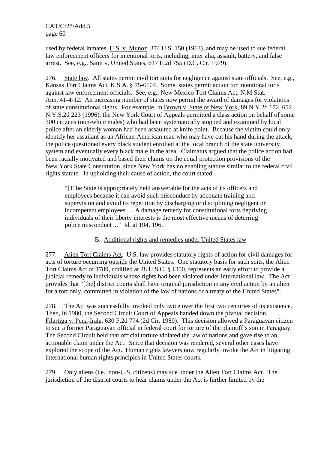used by federal inmates, U.S. v. Munoz, 374 U.S. 150 (1963), and may be used to sue federal law enforcement officers for intentional torts, including, inter alia, assault, battery, and false arrest. See, e.g., Sami v. United States, 617 F.2d 755 (D.C. Cir. 1979).

276. State law. All states permit civil tort suits for negligence against state officials. See, e.g., Kansas Tort Claims Act, K.S.A. § 75-6104. Some states permit action for intentional torts against law enforcement officials. See, e.g., New Mexico Tort Claims Act, N.M Stat. Ann. 41-4-12. An increasing number of states now permit the award of damages for violations of state constitutional rights. For example, in Brown v. State of New York, 89 N.Y.2d 172, 652 N.Y.S.2d 223 (1996), the New York Court of Appeals permitted a class action on behalf of some 300 citizens (non-white males) who had been systematically stopped and examined by local police after an elderly woman had been assaulted at knife point. Because the victim could only identify her assailant as an African-American man who may have cut his hand during the attack, the police questioned every black student enrolled at the local branch of the state university system and eventually every black male in the area. Claimants argued that the police action had been racially motivated and based their claims on the equal protection provisions of the New York State Constitution, since New York has no enabling statute similar to the federal civil rights statute. In upholding their cause of action, the court stated:

"[T]he State is appropriately held answerable for the acts of its officers and employees because it can avoid such misconduct by adequate training and supervision and avoid its repetition by discharging or disciplining negligent or incompetent employees … A damage remedy for constitutional torts depriving individuals of their liberty interests is the most effective means of deterring police misconduct ..." Id. at 194, 196.

## B. Additional rights and remedies under United States law

277. Alien Tort Claims Act. U.S. law provides statutory rights of action for civil damages for acts of torture occurring outside the United States. One statutory basis for such suits, the Alien Tort Claims Act of 1789, codified at 28 U.S.C. § 1350, represents an early effort to provide a judicial remedy to individuals whose rights had been violated under international law. The Act provides that "[the] district courts shall have original jurisdiction in any civil action by an alien for a tort only, committed in violation of the law of nations or a treaty of the United States".

278. The Act was successfully invoked only twice over the first two centuries of its existence. Then, in 1980, the Second Circuit Court of Appeals handed down the pivotal decision, Filartiga v. Pena-Irala, 630 F.2d 774 (2d Cir. 1980). This decision allowed a Paraguayan citizen to sue a former Paraguayan official in federal court for torture of the plaintiff's son in Paraguay. The Second Circuit held that official torture violated the law of nations and gave rise to an actionable claim under the Act. Since that decision was rendered, several other cases have explored the scope of the Act. Human rights lawyers now regularly invoke the Act in litigating international human rights principles in United States courts.

279. Only aliens (i.e., non-U.S. citizens) may sue under the Alien Tort Claims Act. The jurisdiction of the district courts to hear claims under the Act is further limited by the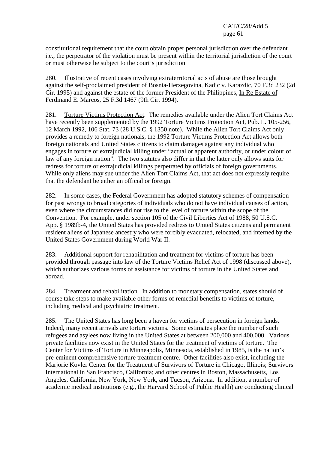constitutional requirement that the court obtain proper personal jurisdiction over the defendant i.e., the perpetrator of the violation must be present within the territorial jurisdiction of the court or must otherwise be subject to the court's jurisdiction

280. Illustrative of recent cases involving extraterritorial acts of abuse are those brought against the self-proclaimed president of Bosnia-Herzegovina, Kadic v. Karazdic, 70 F.3d 232 (2d Cir. 1995) and against the estate of the former President of the Philippines, In Re Estate of Ferdinand E. Marcos, 25 F.3d 1467 (9th Cir. 1994).

281. Torture Victims Protection Act. The remedies available under the Alien Tort Claims Act have recently been supplemented by the 1992 Torture Victims Protection Act, Pub. L. 105-256, 12 March 1992, 106 Stat. 73 (28 U.S.C. § 1350 note). While the Alien Tort Claims Act only provides a remedy to foreign nationals, the 1992 Torture Victims Protection Act allows both foreign nationals and United States citizens to claim damages against any individual who engages in torture or extrajudicial killing under "actual or apparent authority, or under colour of law of any foreign nation". The two statutes also differ in that the latter only allows suits for redress for torture or extrajudicial killings perpetrated by officials of foreign governments. While only aliens may sue under the Alien Tort Claims Act, that act does not expressly require that the defendant be either an official or foreign.

282. In some cases, the Federal Government has adopted statutory schemes of compensation for past wrongs to broad categories of individuals who do not have individual causes of action, even where the circumstances did not rise to the level of torture within the scope of the Convention. For example, under section 105 of the Civil Liberties Act of 1988, 50 U.S.C. App. § 1989b-4, the United States has provided redress to United States citizens and permanent resident aliens of Japanese ancestry who were forcibly evacuated, relocated, and interned by the United States Government during World War II.

283. Additional support for rehabilitation and treatment for victims of torture has been provided through passage into law of the Torture Victims Relief Act of 1998 (discussed above), which authorizes various forms of assistance for victims of torture in the United States and abroad.

284. Treatment and rehabilitation. In addition to monetary compensation, states should of course take steps to make available other forms of remedial benefits to victims of torture, including medical and psychiatric treatment.

285. The United States has long been a haven for victims of persecution in foreign lands. Indeed, many recent arrivals are torture victims. Some estimates place the number of such refugees and asylees now living in the United States at between 200,000 and 400,000. Various private facilities now exist in the United States for the treatment of victims of torture. The Center for Victims of Torture in Minneapolis, Minnesota, established in 1985, is the nation's pre-eminent comprehensive torture treatment centre. Other facilities also exist, including the Marjorie Kovler Center for the Treatment of Survivors of Torture in Chicago, Illinois; Survivors International in San Francisco, California; and other centres in Boston, Massachusetts, Los Angeles, California, New York, New York, and Tucson, Arizona. In addition, a number of academic medical institutions (e.g., the Harvard School of Public Health) are conducting clinical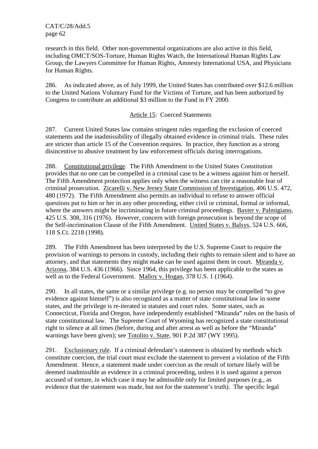research in this field. Other non-governmental organizations are also active in this field, including OMCT/SOS-Torture, Human Rights Watch, the International Human Rights Law Group, the Lawyers Committee for Human Rights, Amnesty International USA, and Physicians for Human Rights.

286. As indicated above, as of July 1999, the United States has contributed over \$12.6 million to the United Nations Voluntary Fund for the Victims of Torture, and has been authorized by Congress to contribute an additional \$3 million to the Fund in FY 2000.

## Article 15: Coerced Statements

287. Current United States law contains stringent rules regarding the exclusion of coerced statements and the inadmissibility of illegally obtained evidence in criminal trials. These rules are stricter than article 15 of the Convention requires. In practice, they function as a strong disincentive to abusive treatment by law enforcement officials during interrogations.

288. Constitutional privilege. The Fifth Amendment to the United States Constitution provides that no one can be compelled in a criminal case to be a witness against him or herself. The Fifth Amendment protection applies only when the witness can cite a reasonable fear of criminal prosecution. Zicarelli v. New Jersey State Commission of Investigation, 406 U.S. 472, 480 (1972). The Fifth Amendment also permits an individual to refuse to answer official questions put to him or her in any other proceeding, either civil or criminal, formal or informal, where the answers might be incriminating in future criminal proceedings. Baxter v. Palmigiano, 425 U.S. 308, 316 (1976). However, concern with foreign prosecution is beyond the scope of the Self-incrimination Clause of the Fifth Amendment. United States v. Balsys, 524 U.S. 666, 118 S.Ct. 2218 (1998).

289. The Fifth Amendment has been interpreted by the U.S. Supreme Court to require the provision of warnings to persons in custody, including their rights to remain silent and to have an attorney, and that statements they might make can be used against them in court. Miranda v. Arizona, 384 U.S. 436 (1966). Since 1964, this privilege has been applicable to the states as well as to the Federal Government. Malloy v. Hogan, 378 U.S. 1 (1964).

290. In all states, the same or a similar privilege (e.g. no person may be compelled "to give evidence against himself") is also recognized as a matter of state constitutional law in some states, and the privilege is re-iterated in statutes and court rules. Some states, such as Connecticut, Florida and Oregon, have independently established "Miranda" rules on the basis of state constitutional law. The Supreme Court of Wyoming has recognized a state constitutional right to silence at all times (before, during and after arrest as well as before the "Miranda" warnings have been given); see Totolito v. State, 901 P.2d 387 (WY 1995).

291. Exclusionary rule. If a criminal defendant's statement is obtained by methods which constitute coercion, the trial court must exclude the statement to prevent a violation of the Fifth Amendment. Hence, a statement made under coercion as the result of torture likely will be deemed inadmissible as evidence in a criminal proceeding, unless it is used against a person accused of torture, in which case it may be admissible only for limited purposes (e.g., as evidence that the statement was made, but not for the statement's truth).The specific legal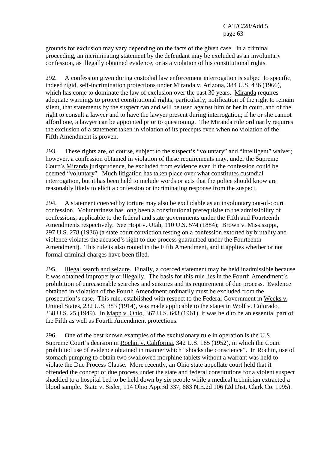grounds for exclusion may vary depending on the facts of the given case. In a criminal proceeding, an incriminating statement by the defendant may be excluded as an involuntary confession, as illegally obtained evidence, or as a violation of his constitutional rights.

292. A confession given during custodial law enforcement interrogation is subject to specific, indeed rigid, self-incrimination protections under Miranda v. Arizona, 384 U.S. 436 (1966), which has come to dominate the law of exclusion over the past 30 years. Miranda requires adequate warnings to protect constitutional rights; particularly, notification of the right to remain silent, that statements by the suspect can and will be used against him or her in court, and of the right to consult a lawyer and to have the lawyer present during interrogation; if he or she cannot afford one, a lawyer can be appointed prior to questioning. The Miranda rule ordinarily requires the exclusion of a statement taken in violation of its precepts even when no violation of the Fifth Amendment is proven.

293. These rights are, of course, subject to the suspect's "voluntary" and "intelligent" waiver; however, a confession obtained in violation of these requirements may, under the Supreme Court's Miranda jurisprudence, be excluded from evidence even if the confession could be deemed "voluntary". Much litigation has taken place over what constitutes custodial interrogation, but it has been held to include words or acts that the police should know are reasonably likely to elicit a confession or incriminating response from the suspect.

294. A statement coerced by torture may also be excludable as an involuntary out-of-court confession. Voluntariness has long been a constitutional prerequisite to the admissibility of confessions, applicable to the federal and state governments under the Fifth and Fourteenth Amendments respectively. See Hopt v. Utah, 110 U.S. 574 (1884); Brown v. Mississippi, 297 U.S. 278 (1936) (a state court conviction resting on a confession extorted by brutality and violence violates the accused's right to due process guaranteed under the Fourteenth Amendment). This rule is also rooted in the Fifth Amendment, and it applies whether or not formal criminal charges have been filed.

295. Illegal search and seizure. Finally, a coerced statement may be held inadmissible because it was obtained improperly or illegally. The basis for this rule lies in the Fourth Amendment's prohibition of unreasonable searches and seizures and its requirement of due process. Evidence obtained in violation of the Fourth Amendment ordinarily must be excluded from the prosecution's case. This rule, established with respect to the Federal Government in Weeks v. United States, 232 U.S. 383 (1914), was made applicable to the states in Wolf v. Colorado, 338 U.S. 25 (1949). In Mapp v. Ohio, 367 U.S. 643 (1961), it was held to be an essential part of the Fifth as well as Fourth Amendment protections.

296. One of the best known examples of the exclusionary rule in operation is the U.S. Supreme Court's decision in Rochin v. California, 342 U.S. 165 (1952), in which the Court prohibited use of evidence obtained in manner which "shocks the conscience". In Rochin, use of stomach pumping to obtain two swallowed morphine tablets without a warrant was held to violate the Due Process Clause. More recently, an Ohio state appellate court held that it offended the concept of due process under the state and federal constitutions for a violent suspect shackled to a hospital bed to be held down by six people while a medical technician extracted a blood sample. State v. Sisler, 114 Ohio App.3d 337, 683 N.E.2d 106 (2d Dist. Clark Co. 1995).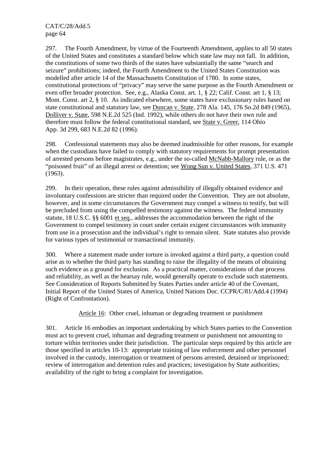297. The Fourth Amendment, by virtue of the Fourteenth Amendment, applies to all 50 states of the United States and constitutes a standard below which state law may not fall. In addition, the constitutions of some two thirds of the states have substantially the same "search and seizure" prohibitions; indeed, the Fourth Amendment to the United States Constitution was modelled after article 14 of the Massachusetts Constitution of 1780. In some states, constitutional protections of "privacy" may serve the same purpose as the Fourth Amendment or even offer broader protection. See, e.g., Alaska Const. art. 1, § 22; Calif. Const. art 1, § 13; Mont. Const. art 2, § 10. As indicated elsewhere, some states have exclusionary rules based on state constitutional and statutory law, see Duncan v. State, 278 Ala. 145, 176 So.2d 849 (1965), Dolliver v. State, 598 N.E.2d 525 (Ind. 1992), while others do not have their own rule and therefore must follow the federal constitutional standard, see State v. Greer, 114 Ohio App. 3d 299, 683 N.E.2d 82 (1996).

298. Confessional statements may also be deemed inadmissible for other reasons, for example when the custodians have failed to comply with statutory requirements for prompt presentation of arrested persons before magistrates, e.g., under the so-called McNabb-Mallory rule, or as the "poisoned fruit" of an illegal arrest or detention; see Wong Sun v. United States, 371 U.S. 471 (1963).

299. In their operation, these rules against admissibility of illegally obtained evidence and involuntary confessions are stricter than required under the Convention. They are not absolute, however, and in some circumstances the Government may compel a witness to testify, but will be precluded from using the compelled testimony against the witness. The federal immunity statute, 18 U.S.C. §§ 6001 et seq., addresses the accommodation between the right of the Government to compel testimony in court under certain exigent circumstances with immunity from use in a prosecution and the individual's right to remain silent. State statutes also provide for various types of testimonial or transactional immunity.

300. Where a statement made under torture is invoked against a third party, a question could arise as to whether the third party has standing to raise the illegality of the means of obtaining such evidence as a ground for exclusion. As a practical matter, considerations of due process and reliability, as well as the hearsay rule, would generally operate to exclude such statements. See Consideration of Reports Submitted by States Parties under article 40 of the Covenant, Initial Report of the United States of America, United Nations Doc. CCPR/C/81/Add.4 (1994) (Right of Confrontation).

Article 16: Other cruel, inhuman or degrading treatment or punishment

301. Article 16 embodies an important undertaking by which States parties to the Convention must act to prevent cruel, inhuman and degrading treatment or punishment not amounting to torture within territories under their jurisdiction. The particular steps required by this article are those specified in articles 10-13: appropriate training of law enforcement and other personnel involved in the custody, interrogation or treatment of persons arrested, detained or imprisoned; review of interrogation and detention rules and practices; investigation by State authorities; availability of the right to bring a complaint for investigation.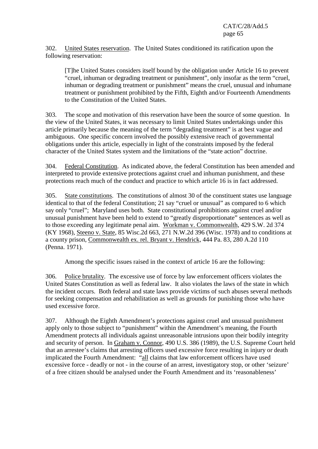302. United States reservation. The United States conditioned its ratification upon the following reservation:

[T]he United States considers itself bound by the obligation under Article 16 to prevent "cruel, inhuman or degrading treatment or punishment", only insofar as the term "cruel, inhuman or degrading treatment or punishment" means the cruel, unusual and inhumane treatment or punishment prohibited by the Fifth, Eighth and/or Fourteenth Amendments to the Constitution of the United States.

303. The scope and motivation of this reservation have been the source of some question. In the view of the United States, it was necessary to limit United States undertakings under this article primarily because the meaning of the term "degrading treatment" is at best vague and ambiguous. One specific concern involved the possibly extensive reach of governmental obligations under this article, especially in light of the constraints imposed by the federal character of the United States system and the limitations of the "state action" doctrine.

304. Federal Constitution. As indicated above, the federal Constitution has been amended and interpreted to provide extensive protections against cruel and inhuman punishment, and these protections reach much of the conduct and practice to which article 16 is in fact addressed.

305. State constitutions. The constitutions of almost 30 of the constituent states use language identical to that of the federal Constitution; 21 say "cruel or unusual" as compared to 6 which say only "cruel"; Maryland uses both. State constitutional prohibitions against cruel and/or unusual punishment have been held to extend to "greatly disproportionate" sentences as well as to those exceeding any legitimate penal aim. Workman v. Commonwealth, 429 S.W. 2d 374 (KY 1968), Steeno v. State, 85 Wisc.2d 663, 271 N.W.2d 396 (Wisc. 1978) and to conditions at a county prison, Commonwealth ex. rel. Bryant v. Hendrick, 444 Pa. 83, 280 A.2d 110 (Penna. 1971).

Among the specific issues raised in the context of article 16 are the following:

306. Police brutality. The excessive use of force by law enforcement officers violates the United States Constitution as well as federal law. It also violates the laws of the state in which the incident occurs. Both federal and state laws provide victims of such abuses several methods for seeking compensation and rehabilitation as well as grounds for punishing those who have used excessive force.

307. Although the Eighth Amendment's protections against cruel and unusual punishment apply only to those subject to "punishment" within the Amendment's meaning, the Fourth Amendment protects all individuals against unreasonable intrusions upon their bodily integrity and security of person. In Graham v. Connor, 490 U.S. 386 (1989), the U.S. Supreme Court held that an arrestee's claims that arresting officers used excessive force resulting in injury or death implicated the Fourth Amendment: "all claims that law enforcement officers have used excessive force - deadly or not - in the course of an arrest, investigatory stop, or other 'seizure' of a free citizen should be analysed under the Fourth Amendment and its 'reasonableness'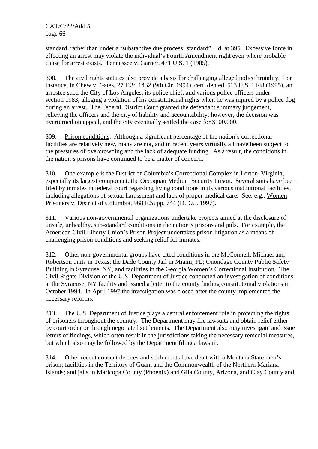standard, rather than under a 'substantive due process' standard". Id. at 395. Excessive force in effecting an arrest may violate the individual's Fourth Amendment right even where probable cause for arrest exists. Tennessee v. Garner, 471 U.S. 1 (1985).

308. The civil rights statutes also provide a basis for challenging alleged police brutality. For instance, in Chew v. Gates, 27 F.3d 1432 (9th Cir. 1994), cert. denied, 513 U.S. 1148 (1995), an arrestee sued the City of Los Angeles, its police chief, and various police officers under section 1983, alleging a violation of his constitutional rights when he was injured by a police dog during an arrest. The Federal District Court granted the defendant summary judgement, relieving the officers and the city of liability and accountability; however, the decision was overturned on appeal, and the city eventually settled the case for \$100,000.

309. Prison conditions. Although a significant percentage of the nation's correctional facilities are relatively new, many are not, and in recent years virtually all have been subject to the pressures of overcrowding and the lack of adequate funding. As a result, the conditions in the nation's prisons have continued to be a matter of concern.

310. One example is the District of Columbia's Correctional Complex in Lorton, Virginia, especially its largest component, the Occoquan Medium Security Prison. Several suits have been filed by inmates in federal court regarding living conditions in its various institutional facilities, including allegations of sexual harassment and lack of proper medical care. See, e.g., Women Prisoners v. District of Columbia, 968 F.Supp. 744 (D.D.C. 1997).

311. Various non-governmental organizations undertake projects aimed at the disclosure of unsafe, unhealthy, sub-standard conditions in the nation's prisons and jails. For example, the American Civil Liberty Union's Prison Project undertakes prison litigation as a means of challenging prison conditions and seeking relief for inmates.

312. Other non-governmental groups have cited conditions in the McConnell, Michael and Robertson units in Texas; the Dade County Jail in Miami, FL; Onondage County Public Safety Building in Syracuse, NY, and facilities in the Georgia Women's Correctional Institution. The Civil Rights Division of the U.S. Department of Justice conducted an investigation of conditions at the Syracuse, NY facility and issued a letter to the county finding constitutional violations in October 1994. In April 1997 the investigation was closed after the county implemented the necessary reforms.

313. The U.S. Department of Justice plays a central enforcement role in protecting the rights of prisoners throughout the country. The Department may file lawsuits and obtain relief either by court order or through negotiated settlements. The Department also may investigate and issue letters of findings, which often result in the jurisdictions taking the necessary remedial measures, but which also may be followed by the Department filing a lawsuit.

314. Other recent consent decrees and settlements have dealt with a Montana State men's prison; facilities in the Territory of Guam and the Commonwealth of the Northern Mariana Islands; and jails in Maricopa County (Phoenix) and Gila County, Arizona, and Clay County and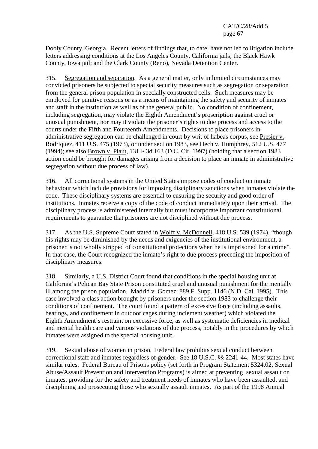Dooly County, Georgia. Recent letters of findings that, to date, have not led to litigation include letters addressing conditions at the Los Angeles County, California jails; the Black Hawk County, Iowa jail; and the Clark County (Reno), Nevada Detention Center.

315. Segregation and separation. As a general matter, only in limited circumstances may convicted prisoners be subjected to special security measures such as segregation or separation from the general prison population in specially constructed cells. Such measures may be employed for punitive reasons or as a means of maintaining the safety and security of inmates and staff in the institution as well as of the general public. No condition of confinement, including segregation, may violate the Eighth Amendment's proscription against cruel or unusual punishment, nor may it violate the prisoner's rights to due process and access to the courts under the Fifth and Fourteenth Amendments. Decisions to place prisoners in administrative segregation can be challenged in court by writ of habeas corpus, see Presier v. Rodriquez, 411 U.S. 475 (1973), or under section 1983, see Hech v. Humphrey, 512 U.S. 477 (1994); see also Brown v. Plaut, 131 F.3d 163 (D.C. Cir. 1997) (holding that a section 1983 action could be brought for damages arising from a decision to place an inmate in administrative segregation without due process of law).

316. All correctional systems in the United States impose codes of conduct on inmate behaviour which include provisions for imposing disciplinary sanctions when inmates violate the code. These disciplinary systems are essential to ensuring the security and good order of institutions. Inmates receive a copy of the code of conduct immediately upon their arrival. The disciplinary process is administered internally but must incorporate important constitutional requirements to guarantee that prisoners are not disciplined without due process.

317. As the U.S. Supreme Court stated in Wolff v. McDonnell, 418 U.S. 539 (1974), "though his rights may be diminished by the needs and exigencies of the institutional environment, a prisoner is not wholly stripped of constitutional protections when he is imprisoned for a crime". In that case, the Court recognized the inmate's right to due process preceding the imposition of disciplinary measures.

318. Similarly, a U.S. District Court found that conditions in the special housing unit at California's Pelican Bay State Prison constituted cruel and unusual punishment for the mentally ill among the prison population. Madrid v. Gomez, 889 F. Supp. 1146 (N.D. Cal. 1995). This case involved a class action brought by prisoners under the section 1983 to challenge their conditions of confinement. The court found a pattern of excessive force (including assaults, beatings, and confinement in outdoor cages during inclement weather) which violated the Eighth Amendment's restraint on excessive force, as well as systematic deficiencies in medical and mental health care and various violations of due process, notably in the procedures by which inmates were assigned to the special housing unit.

319. Sexual abuse of women in prison. Federal law prohibits sexual conduct between correctional staff and inmates regardless of gender. See 18 U.S.C. §§ 2241-44. Most states have similar rules. Federal Bureau of Prisons policy (set forth in Program Statement 5324.02, Sexual Abuse/Assault Prevention and Intervention Programs) is aimed at preventing sexual assault on inmates, providing for the safety and treatment needs of inmates who have been assaulted, and disciplining and prosecuting those who sexually assault inmates. As part of the 1998 Annual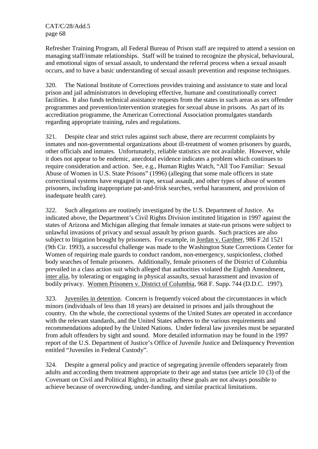Refresher Training Program, all Federal Bureau of Prison staff are required to attend a session on managing staff/inmate relationships. Staff will be trained to recognize the physical, behavioural, and emotional signs of sexual assault, to understand the referral process when a sexual assault occurs, and to have a basic understanding of sexual assault prevention and response techniques.

320. The National Institute of Corrections provides training and assistance to state and local prison and jail administrators in developing effective, humane and constitutionally correct facilities. It also funds technical assistance requests from the states in such areas as sex offender programmes and prevention/intervention strategies for sexual abuse in prisons. As part of its accreditation programme, the American Correctional Association promulgates standards regarding appropriate training, rules and regulations.

321. Despite clear and strict rules against such abuse, there are recurrent complaints by inmates and non-governmental organizations about ill-treatment of women prisoners by guards, other officials and inmates. Unfortunately, reliable statistics are not available. However, while it does not appear to be endemic, anecdotal evidence indicates a problem which continues to require consideration and action. See, e.g., Human Rights Watch, "All Too Familiar: Sexual Abuse of Women in U.S. State Prisons" (1996) (alleging that some male officers in state correctional systems have engaged in rape, sexual assault, and other types of abuse of women prisoners, including inappropriate pat-and-frisk searches, verbal harassment, and provision of inadequate health care).

322. Such allegations are routinely investigated by the U.S. Department of Justice. As indicated above, the Department's Civil Rights Division instituted litigation in 1997 against the states of Arizona and Michigan alleging that female inmates at state-run prisons were subject to unlawful invasions of privacy and sexual assault by prison guards. Such practices are also subject to litigation brought by prisoners. For example, in Jordan v. Gardner, 986 F.2d 1521 (9th Cir. 1993), a successful challenge was made to the Washington State Corrections Center for Women of requiring male guards to conduct random, non-emergency, suspicionless, clothed body searches of female prisoners. Additionally, female prisoners of the District of Columbia prevailed in a class action suit which alleged that authorities violated the Eighth Amendment, inter alia, by tolerating or engaging in physical assaults, sexual harassment and invasion of bodily privacy. Women Prisoners v. District of Columbia, 968 F. Supp. 744 (D.D.C. 1997).

323. Juveniles in detention. Concern is frequently voiced about the circumstances in which minors (individuals of less than 18 years) are detained in prisons and jails throughout the country. On the whole, the correctional systems of the United States are operated in accordance with the relevant standards, and the United States adheres to the various requirements and recommendations adopted by the United Nations. Under federal law juveniles must be separated from adult offenders by sight and sound. More detailed information may be found in the 1997 report of the U.S. Department of Justice's Office of Juvenile Justice and Delinquency Prevention entitled "Juveniles in Federal Custody".

324. Despite a general policy and practice of segregating juvenile offenders separately from adults and according them treatment appropriate to their age and status (see article 10 (3) of the Covenant on Civil and Political Rights), in actuality these goals are not always possible to achieve because of overcrowding, under-funding, and similar practical limitations.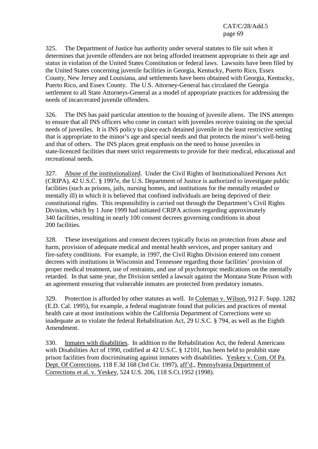325. The Department of Justice has authority under several statutes to file suit when it determines that juvenile offenders are not being afforded treatment appropriate to their age and status in violation of the United States Constitution or federal laws. Lawsuits have been filed by the United States concerning juvenile facilities in Georgia, Kentucky, Puerto Rico, Essex County, New Jersey and Louisiana, and settlements have been obtained with Georgia, Kentucky, Puerto Rico, and Essex County. The U.S. Attorney-General has circulated the Georgia settlement to all State Attorneys-General as a model of appropriate practices for addressing the needs of incarcerated juvenile offenders.

326. The INS has paid particular attention to the housing of juvenile aliens. The INS attempts to ensure that all INS officers who come in contact with juveniles receive training on the special needs of juveniles. It is INS policy to place each detained juvenile in the least restrictive setting that is appropriate to the minor's age and special needs and that protects the minor's well-being and that of others. The INS places great emphasis on the need to house juveniles in state-licenced facilities that meet strict requirements to provide for their medical, educational and recreational needs.

327. Abuse of the institutionalized. Under the Civil Rights of Institutionalized Persons Act (CRIPA), 42 U.S.C. § 1997e, the U.S. Department of Justice is authorized to investigate public facilities (such as prisons, jails, nursing homes, and institutions for the mentally retarded or mentally ill) in which it is believed that confined individuals are being deprived of their constitutional rights. This responsibility is carried out through the Department's Civil Rights Division, which by 1 June 1999 had initiated CRIPA actions regarding approximately 340 facilities, resulting in nearly 100 consent decrees governing conditions in about 200 facilities.

328. These investigations and consent decrees typically focus on protection from abuse and harm, provision of adequate medical and mental health services, and proper sanitary and fire-safety conditions. For example, in 1997, the Civil Rights Division entered into consent decrees with institutions in Wisconsin and Tennessee regarding those facilities' provision of proper medical treatment, use of restraints, and use of psychotropic medications on the mentally retarded. In that same year, the Division settled a lawsuit against the Montana State Prison with an agreement ensuring that vulnerable inmates are protected from predatory inmates.

329. Protection is afforded by other statutes as well. In Coleman v. Wilson, 912 F. Supp. 1282 (E.D. Cal. 1995), for example, a federal magistrate found that policies and practices of mental health care at most institutions within the California Department of Corrections were so inadequate as to violate the federal Rehabilitation Act, 29 U.S.C. § 794, as well as the Eighth Amendment.

330. Inmates with disabilities. In addition to the Rehabilitation Act, the federal Americans with Disabilities Act of 1990, codified at 42 U.S.C. § 12101, has been held to prohibit state prison facilities from discriminating against inmates with disabilities. Yeskey v. Com. Of Pa. Dept. Of Corrections, 118 F.3d 168 (3rd Cir. 1997), aff'd., Pennsylvania Department of Corrections et al. v. Yeskey, 524 U.S. 206, 118 S.Ct.1952 (1998).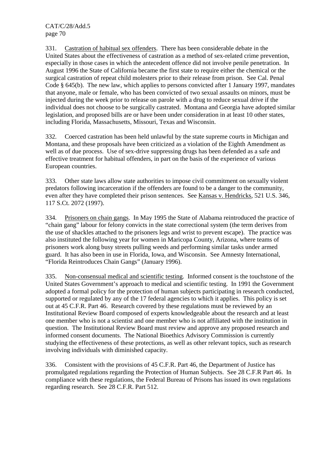331. Castration of habitual sex offenders. There has been considerable debate in the United States about the effectiveness of castration as a method of sex-related crime prevention, especially in those cases in which the antecedent offence did not involve penile penetration. In August 1996 the State of California became the first state to require either the chemical or the surgical castration of repeat child molesters prior to their release from prison. See Cal. Penal Code § 645(b). The new law, which applies to persons convicted after 1 January 1997, mandates that anyone, male or female, who has been convicted of two sexual assaults on minors, must be injected during the week prior to release on parole with a drug to reduce sexual drive if the individual does not choose to be surgically castrated. Montana and Georgia have adopted similar legislation, and proposed bills are or have been under consideration in at least 10 other states, including Florida, Massachusetts, Missouri, Texas and Wisconsin.

332. Coerced castration has been held unlawful by the state supreme courts in Michigan and Montana, and these proposals have been criticized as a violation of the Eighth Amendment as well as of due process. Use of sex-drive suppressing drugs has been defended as a safe and effective treatment for habitual offenders, in part on the basis of the experience of various European countries.

333. Other state laws allow state authorities to impose civil commitment on sexually violent predators following incarceration if the offenders are found to be a danger to the community, even after they have completed their prison sentences. See Kansas v. Hendricks, 521 U.S. 346, 117 S.Ct. 2072 (1997).

334. Prisoners on chain gangs. In May 1995 the State of Alabama reintroduced the practice of "chain gang" labour for felony convicts in the state correctional system (the term derives from the use of shackles attached to the prisoners legs and wrist to prevent escape). The practice was also instituted the following year for women in Maricopa County, Arizona, where teams of prisoners work along busy streets pulling weeds and performing similar tasks under armed guard. It has also been in use in Florida, Iowa, and Wisconsin. See Amnesty International, "Florida Reintroduces Chain Gangs" (January 1996).

335. Non-consensual medical and scientific testing. Informed consent is the touchstone of the United States Government's approach to medical and scientific testing. In 1991 the Government adopted a formal policy for the protection of human subjects participating in research conducted, supported or regulated by any of the 17 federal agencies to which it applies. This policy is set out at 45 C.F.R. Part 46. Research covered by these regulations must be reviewed by an Institutional Review Board composed of experts knowledgeable about the research and at least one member who is not a scientist and one member who is not affiliated with the institution in question. The Institutional Review Board must review and approve any proposed research and informed consent documents. The National Bioethics Advisory Commission is currently studying the effectiveness of these protections, as well as other relevant topics, such as research involving individuals with diminished capacity.

336. Consistent with the provisions of 45 C.F.R. Part 46, the Department of Justice has promulgated regulations regarding the Protection of Human Subjects. See 28 C.F.R Part 46. In compliance with these regulations, the Federal Bureau of Prisons has issued its own regulations regarding research. See 28 C.F.R. Part 512.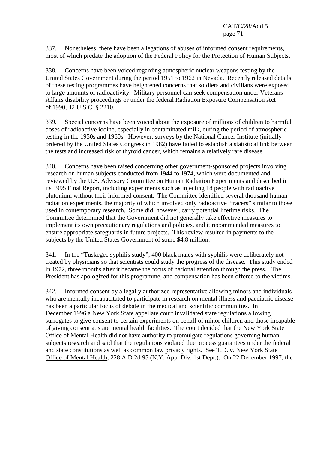337. Nonetheless, there have been allegations of abuses of informed consent requirements, most of which predate the adoption of the Federal Policy for the Protection of Human Subjects.

338. Concerns have been voiced regarding atmospheric nuclear weapons testing by the United States Government during the period 1951 to 1962 in Nevada. Recently released details of these testing programmes have heightened concerns that soldiers and civilians were exposed to large amounts of radioactivity. Military personnel can seek compensation under Veterans Affairs disability proceedings or under the federal Radiation Exposure Compensation Act of 1990, 42 U.S.C. § 2210.

339. Special concerns have been voiced about the exposure of millions of children to harmful doses of radioactive iodine, especially in contaminated milk, during the period of atmospheric testing in the 1950s and 1960s. However, surveys by the National Cancer Institute (initially ordered by the United States Congress in 1982) have failed to establish a statistical link between the tests and increased risk of thyroid cancer, which remains a relatively rare disease.

340. Concerns have been raised concerning other government-sponsored projects involving research on human subjects conducted from 1944 to 1974, which were documented and reviewed by the U.S. Advisory Committee on Human Radiation Experiments and described in its 1995 Final Report, including experiments such as injecting 18 people with radioactive plutonium without their informed consent. The Committee identified several thousand human radiation experiments, the majority of which involved only radioactive "tracers" similar to those used in contemporary research. Some did, however, carry potential lifetime risks. The Committee determined that the Government did not generally take effective measures to implement its own precautionary regulations and policies, and it recommended measures to ensure appropriate safeguards in future projects. This review resulted in payments to the subjects by the United States Government of some \$4.8 million.

341. In the "Tuskegee syphilis study", 400 black males with syphilis were deliberately not treated by physicians so that scientists could study the progress of the disease. This study ended in 1972, three months after it became the focus of national attention through the press. The President has apologized for this programme, and compensation has been offered to the victims.

342. Informed consent by a legally authorized representative allowing minors and individuals who are mentally incapacitated to participate in research on mental illness and paediatric disease has been a particular focus of debate in the medical and scientific communities. In December 1996 a New York State appellate court invalidated state regulations allowing surrogates to give consent to certain experiments on behalf of minor children and those incapable of giving consent at state mental health facilities. The court decided that the New York State Office of Mental Health did not have authority to promulgate regulations governing human subjects research and said that the regulations violated due process guarantees under the federal and state constitutions as well as common law privacy rights. See T.D. v. New York State Office of Mental Health, 228 A.D.2d 95 (N.Y. App. Div. 1st Dept.). On 22 December 1997, the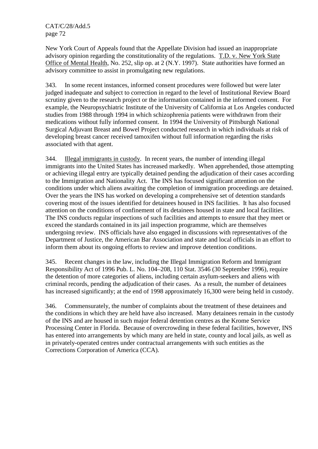New York Court of Appeals found that the Appellate Division had issued an inappropriate advisory opinion regarding the constitutionality of the regulations. T.D. v. New York State Office of Mental Health, No. 252, slip op. at 2 (N.Y. 1997). State authorities have formed an advisory committee to assist in promulgating new regulations.

343. In some recent instances, informed consent procedures were followed but were later judged inadequate and subject to correction in regard to the level of Institutional Review Board scrutiny given to the research project or the information contained in the informed consent. For example, the Neuropsychiatric Institute of the University of California at Los Angeles conducted studies from 1988 through 1994 in which schizophrenia patients were withdrawn from their medications without fully informed consent. In 1994 the University of Pittsburgh National Surgical Adjuvant Breast and Bowel Project conducted research in which individuals at risk of developing breast cancer received tamoxifen without full information regarding the risks associated with that agent.

344. Illegal immigrants in custody. In recent years, the number of intending illegal immigrants into the United States has increased markedly. When apprehended, those attempting or achieving illegal entry are typically detained pending the adjudication of their cases according to the Immigration and Nationality Act. The INS has focused significant attention on the conditions under which aliens awaiting the completion of immigration proceedings are detained. Over the years the INS has worked on developing a comprehensive set of detention standards covering most of the issues identified for detainees housed in INS facilities. It has also focused attention on the conditions of confinement of its detainees housed in state and local facilities. The INS conducts regular inspections of such facilities and attempts to ensure that they meet or exceed the standards contained in its jail inspection programme, which are themselves undergoing review. INS officials have also engaged in discussions with representatives of the Department of Justice, the American Bar Association and state and local officials in an effort to inform them about its ongoing efforts to review and improve detention conditions.

345. Recent changes in the law, including the Illegal Immigration Reform and Immigrant Responsibility Act of 1996 Pub. L. No. 104–208, 110 Stat. 3546 (30 September 1996), require the detention of more categories of aliens, including certain asylum-seekers and aliens with criminal records, pending the adjudication of their cases. As a result, the number of detainees has increased significantly; at the end of 1998 approximately 16,300 were being held in custody.

346. Commensurately, the number of complaints about the treatment of these detainees and the conditions in which they are held have also increased. Many detainees remain in the custody of the INS and are housed in such major federal detention centres as the Krome Service Processing Center in Florida. Because of overcrowding in these federal facilities, however, INS has entered into arrangements by which many are held in state, county and local jails, as well as in privately-operated centres under contractual arrangements with such entities as the Corrections Corporation of America (CCA).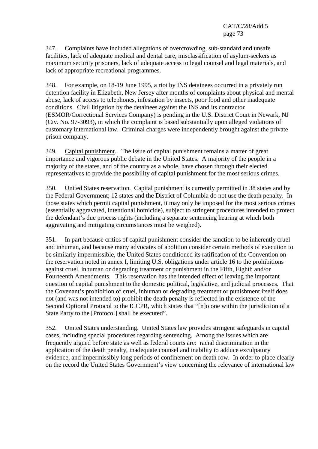347. Complaints have included allegations of overcrowding, sub-standard and unsafe facilities, lack of adequate medical and dental care, misclassification of asylum-seekers as maximum security prisoners, lack of adequate access to legal counsel and legal materials, and lack of appropriate recreational programmes.

348. For example, on 18-19 June 1995, a riot by INS detainees occurred in a privately run detention facility in Elizabeth, New Jersey after months of complaints about physical and mental abuse, lack of access to telephones, infestation by insects, poor food and other inadequate conditions. Civil litigation by the detainees against the INS and its contractor (ESMOR/Correctional Services Company) is pending in the U.S. District Court in Newark, NJ (Civ. No. 97-3093), in which the complaint is based substantially upon alleged violations of customary international law. Criminal charges were independently brought against the private prison company.

349. Capital punishment. The issue of capital punishment remains a matter of great importance and vigorous public debate in the United States. A majority of the people in a majority of the states, and of the country as a whole, have chosen through their elected representatives to provide the possibility of capital punishment for the most serious crimes.

350. United States reservation. Capital punishment is currently permitted in 38 states and by the Federal Government; 12 states and the District of Columbia do not use the death penalty. In those states which permit capital punishment, it may only be imposed for the most serious crimes (essentially aggravated, intentional homicide), subject to stringent procedures intended to protect the defendant's due process rights (including a separate sentencing hearing at which both aggravating and mitigating circumstances must be weighed).

351. In part because critics of capital punishment consider the sanction to be inherently cruel and inhuman, and because many advocates of abolition consider certain methods of execution to be similarly impermissible, the United States conditioned its ratification of the Convention on the reservation noted in annex I, limiting U.S. obligations under article 16 to the prohibitions against cruel, inhuman or degrading treatment or punishment in the Fifth, Eighth and/or Fourteenth Amendments. This reservation has the intended effect of leaving the important question of capital punishment to the domestic political, legislative, and judicial processes. That the Covenant's prohibition of cruel, inhuman or degrading treatment or punishment itself does not (and was not intended to) prohibit the death penalty is reflected in the existence of the Second Optional Protocol to the ICCPR, which states that "[n]o one within the jurisdiction of a State Party to the [Protocol] shall be executed".

352. United States understanding. United States law provides stringent safeguards in capital cases, including special procedures regarding sentencing. Among the issues which are frequently argued before state as well as federal courts are: racial discrimination in the application of the death penalty, inadequate counsel and inability to adduce exculpatory evidence, and impermissibly long periods of confinement on death row. In order to place clearly on the record the United States Government's view concerning the relevance of international law